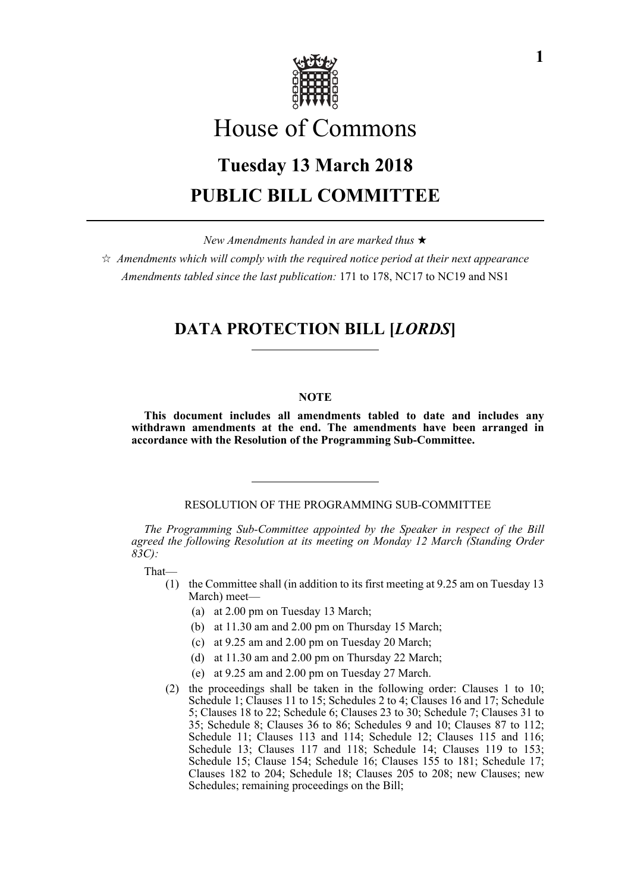

# House of Commons

# **Tuesday 13 March 2018 PUBLIC BILL COMMITTEE**

*New Amendments handed in are marked thus* 

 $\hat{\mathcal{A}}$  Amendments which will comply with the required notice period at their next appearance *Amendments tabled since the last publication:* 171 to 178, NC17 to NC19 and NS1

# **DATA PROTECTION BILL [***LORDS***]**

# **NOTE**

**This document includes all amendments tabled to date and includes any withdrawn amendments at the end. The amendments have been arranged in accordance with the Resolution of the Programming Sub-Committee.**

# RESOLUTION OF THE PROGRAMMING SUB-COMMITTEE

*The Programming Sub-Committee appointed by the Speaker in respect of the Bill agreed the following Resolution at its meeting on Monday 12 March (Standing Order 83C):*

That—

- (1) the Committee shall (in addition to its first meeting at 9.25 am on Tuesday 13 March) meet—
	- (a) at 2.00 pm on Tuesday 13 March;
	- (b) at 11.30 am and 2.00 pm on Thursday 15 March;
	- (c) at 9.25 am and 2.00 pm on Tuesday 20 March;
	- (d) at 11.30 am and 2.00 pm on Thursday 22 March;
	- (e) at 9.25 am and 2.00 pm on Tuesday 27 March.
- (2) the proceedings shall be taken in the following order: Clauses 1 to 10; Schedule 1; Clauses 11 to 15; Schedules 2 to 4; Clauses 16 and 17; Schedule 5; Clauses 18 to 22; Schedule 6; Clauses 23 to 30; Schedule 7; Clauses 31 to 35; Schedule 8; Clauses 36 to 86; Schedules 9 and 10; Clauses 87 to 112; Schedule 11; Clauses 113 and 114; Schedule 12; Clauses 115 and 116; Schedule 13; Clauses 117 and 118; Schedule 14; Clauses 119 to 153; Schedule 15; Clause 154; Schedule 16; Clauses 155 to 181; Schedule 17; Clauses 182 to 204; Schedule 18; Clauses 205 to 208; new Clauses; new Schedules; remaining proceedings on the Bill;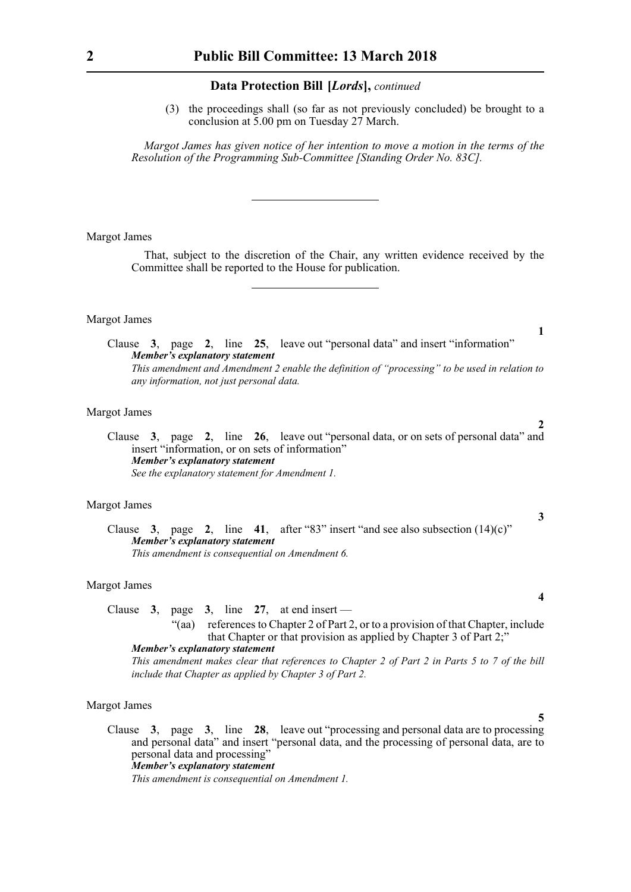(3) the proceedings shall (so far as not previously concluded) be brought to a conclusion at 5.00 pm on Tuesday 27 March.

*Margot James has given notice of her intention to move a motion in the terms of the Resolution of the Programming Sub-Committee [Standing Order No. 83C].*

#### Margot James

That, subject to the discretion of the Chair, any written evidence received by the Committee shall be reported to the House for publication.

#### Margot James

Clause **3**, page **2**, line **25**, leave out "personal data" and insert "information" *Member's explanatory statement This amendment and Amendment 2 enable the definition of "processing" to be used in relation to any information, not just personal data.*

#### Margot James

Clause **3**, page **2**, line **26**, leave out "personal data, or on sets of personal data" and insert "information, or on sets of information" *Member's explanatory statement See the explanatory statement for Amendment 1.*

# Margot James

Clause **3**, page **2**, line **41**, after "83" insert "and see also subsection (14)(c)" *Member's explanatory statement This amendment is consequential on Amendment 6.*

# Margot James

Clause  $3$ , page  $3$ , line  $27$ , at end insert — "(aa) references to Chapter 2 of Part 2, or to a provision of that Chapter, include that Chapter or that provision as applied by Chapter 3 of Part 2;"

*Member's explanatory statement This amendment makes clear that references to Chapter 2 of Part 2 in Parts 5 to 7 of the bill include that Chapter as applied by Chapter 3 of Part 2.*

#### Margot James

Clause **3**, page **3**, line **28**, leave out "processing and personal data are to processing and personal data" and insert "personal data, and the processing of personal data, are to personal data and processing" *Member's explanatory statement* 

*This amendment is consequential on Amendment 1.*

**1**

**2**

**3**

**4**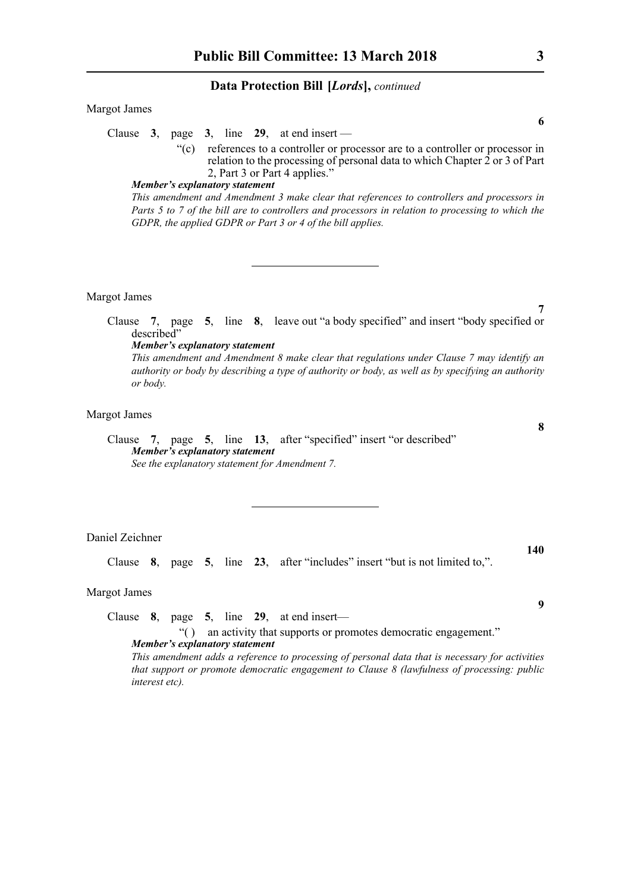| Margot James                                                                                                                                                                                               |
|------------------------------------------------------------------------------------------------------------------------------------------------------------------------------------------------------------|
| 6                                                                                                                                                                                                          |
| Clause 3, page 3, line 29, at end insert —                                                                                                                                                                 |
| references to a controller or processor are to a controller or processor in<br>$\lq\lq(c)$<br>relation to the processing of personal data to which Chapter 2 or 3 of Part<br>2, Part 3 or Part 4 applies." |
| Member's explanatory statement                                                                                                                                                                             |
| This amendment and Amendment 3 make clear that references to controllers and processors in                                                                                                                 |
| Parts 5 to 7 of the bill are to controllers and processors in relation to processing to which the                                                                                                          |
| GDPR, the applied GDPR or Part 3 or 4 of the bill applies.                                                                                                                                                 |
|                                                                                                                                                                                                            |
|                                                                                                                                                                                                            |
|                                                                                                                                                                                                            |

#### Margot James

Clause **7**, page **5**, line **8**, leave out "a body specified" and insert "body specified or described"

# *Member's explanatory statement*

*This amendment and Amendment 8 make clear that regulations under Clause 7 may identify an authority or body by describing a type of authority or body, as well as by specifying an authority or body.*

# Margot James

Clause **7**, page **5**, line **13**, after "specified" insert "or described" *Member's explanatory statement See the explanatory statement for Amendment 7.*

Daniel Zeichner

Clause **8**, page **5**, line **23**, after "includes" insert "but is not limited to,".

### Margot James

Clause **8**, page **5**, line **29**, at end insert—

"( ) an activity that supports or promotes democratic engagement." *Member's explanatory statement* 

*This amendment adds a reference to processing of personal data that is necessary for activities that support or promote democratic engagement to Clause 8 (lawfulness of processing: public interest etc).*

**6**

**7**

**8**

**9**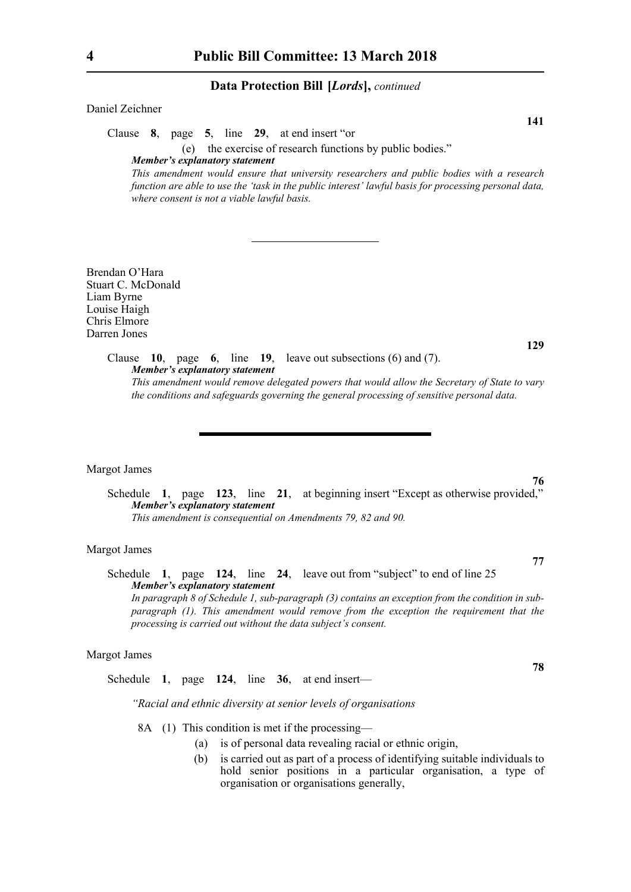Daniel Zeichner

Clause **8**, page **5**, line **29**, at end insert "or

(e) the exercise of research functions by public bodies."

*Member's explanatory statement* 

*This amendment would ensure that university researchers and public bodies with a research function are able to use the 'task in the public interest' lawful basis for processing personal data, where consent is not a viable lawful basis.*

Brendan O'Hara Stuart C. McDonald Liam Byrne Louise Haigh Chris Elmore Darren Jones

> Clause **10**, page **6**, line **19**, leave out subsections (6) and (7). *Member's explanatory statement This amendment would remove delegated powers that would allow the Secretary of State to vary the conditions and safeguards governing the general processing of sensitive personal data.*

#### Margot James

Schedule **1**, page **123**, line **21**, at beginning insert "Except as otherwise provided," *Member's explanatory statement This amendment is consequential on Amendments 79, 82 and 90.*

# Margot James

Schedule **1**, page **124**, line **24**, leave out from "subject" to end of line 25 *Member's explanatory statement In paragraph 8 of Schedule 1, sub-paragraph (3) contains an exception from the condition in subparagraph (1). This amendment would remove from the exception the requirement that the processing is carried out without the data subject's consent.*

#### Margot James

Schedule **1**, page **124**, line **36**, at end insert—

*"Racial and ethnic diversity at senior levels of organisations*

- 8A (1) This condition is met if the processing—
	- (a) is of personal data revealing racial or ethnic origin,
	- (b) is carried out as part of a process of identifying suitable individuals to hold senior positions in a particular organisation, a type of organisation or organisations generally,

**76**

**77**

**78**

**129**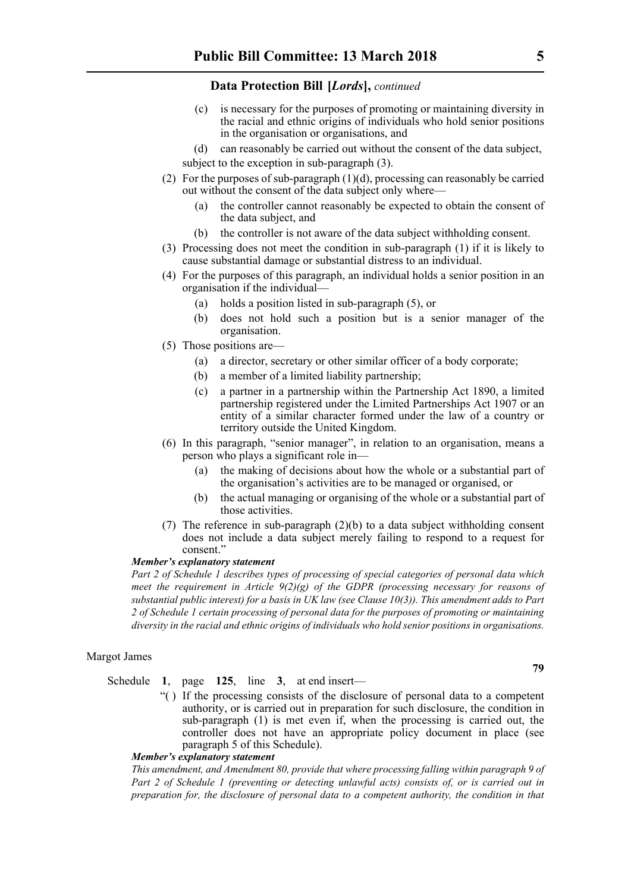- (c) is necessary for the purposes of promoting or maintaining diversity in the racial and ethnic origins of individuals who hold senior positions in the organisation or organisations, and
- (d) can reasonably be carried out without the consent of the data subject,
- subject to the exception in sub-paragraph (3).
- (2) For the purposes of sub-paragraph  $(1)(d)$ , processing can reasonably be carried out without the consent of the data subject only where—
	- (a) the controller cannot reasonably be expected to obtain the consent of the data subject, and
	- (b) the controller is not aware of the data subject withholding consent.
- (3) Processing does not meet the condition in sub-paragraph (1) if it is likely to cause substantial damage or substantial distress to an individual.
- (4) For the purposes of this paragraph, an individual holds a senior position in an organisation if the individual—
	- (a) holds a position listed in sub-paragraph (5), or
	- (b) does not hold such a position but is a senior manager of the organisation.
- (5) Those positions are—
	- (a) a director, secretary or other similar officer of a body corporate;
	- (b) a member of a limited liability partnership;
	- (c) a partner in a partnership within the Partnership Act 1890, a limited partnership registered under the Limited Partnerships Act 1907 or an entity of a similar character formed under the law of a country or territory outside the United Kingdom.
- (6) In this paragraph, "senior manager", in relation to an organisation, means a person who plays a significant role in—
	- (a) the making of decisions about how the whole or a substantial part of the organisation's activities are to be managed or organised, or
	- (b) the actual managing or organising of the whole or a substantial part of those activities.
- (7) The reference in sub-paragraph (2)(b) to a data subject withholding consent does not include a data subject merely failing to respond to a request for consent."

#### *Member's explanatory statement*

*Part 2 of Schedule 1 describes types of processing of special categories of personal data which meet the requirement in Article 9(2)(g) of the GDPR (processing necessary for reasons of substantial public interest) for a basis in UK law (see Clause 10(3)). This amendment adds to Part 2 of Schedule 1 certain processing of personal data for the purposes of promoting or maintaining diversity in the racial and ethnic origins of individuals who hold senior positions in organisations.*

### Margot James

Schedule **1**, page **125**, line **3**, at end insert—

"( ) If the processing consists of the disclosure of personal data to a competent authority, or is carried out in preparation for such disclosure, the condition in sub-paragraph (1) is met even if, when the processing is carried out, the controller does not have an appropriate policy document in place (see paragraph 5 of this Schedule).

# *Member's explanatory statement*

*This amendment, and Amendment 80, provide that where processing falling within paragraph 9 of Part 2 of Schedule 1 (preventing or detecting unlawful acts) consists of, or is carried out in preparation for, the disclosure of personal data to a competent authority, the condition in that*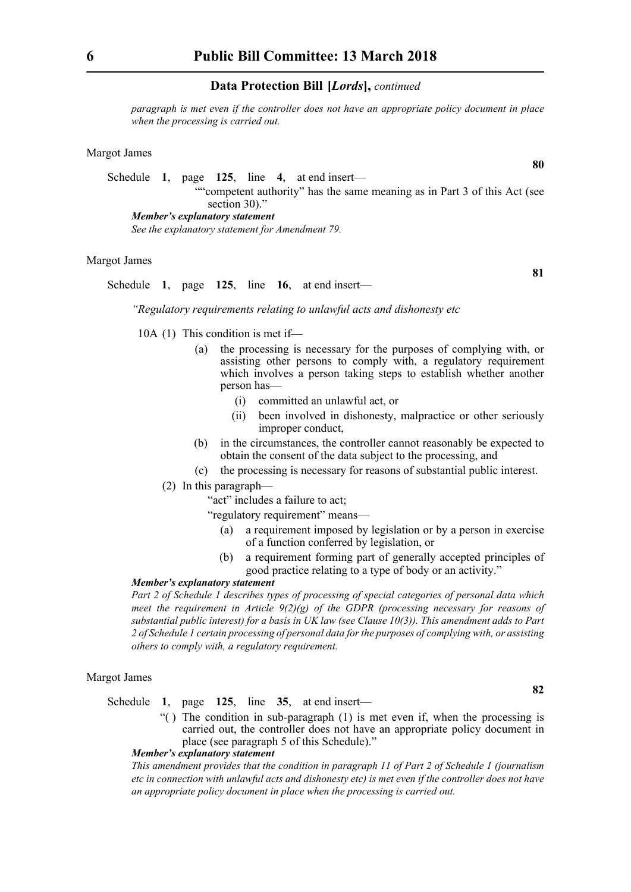*paragraph is met even if the controller does not have an appropriate policy document in place when the processing is carried out.* 

### Margot James

Schedule **1**, page **125**, line **4**, at end insert— ""competent authority" has the same meaning as in Part 3 of this Act (see section 30)." *Member's explanatory statement* 

*See the explanatory statement for Amendment 79.* 

# Margot James

Schedule **1**, page **125**, line **16**, at end insert—

*"Regulatory requirements relating to unlawful acts and dishonesty etc*

10A (1) This condition is met if—

- (a) the processing is necessary for the purposes of complying with, or assisting other persons to comply with, a regulatory requirement which involves a person taking steps to establish whether another person has—
	- (i) committed an unlawful act, or
	- (ii) been involved in dishonesty, malpractice or other seriously improper conduct,
- (b) in the circumstances, the controller cannot reasonably be expected to obtain the consent of the data subject to the processing, and
- (c) the processing is necessary for reasons of substantial public interest.
- (2) In this paragraph—
	- "act" includes a failure to act;
	- "regulatory requirement" means—
		- (a) a requirement imposed by legislation or by a person in exercise of a function conferred by legislation, or
		- (b) a requirement forming part of generally accepted principles of good practice relating to a type of body or an activity."

# *Member's explanatory statement*

*Part 2 of Schedule 1 describes types of processing of special categories of personal data which meet the requirement in Article 9(2)(g) of the GDPR (processing necessary for reasons of substantial public interest) for a basis in UK law (see Clause 10(3)). This amendment adds to Part 2 of Schedule 1 certain processing of personal data for the purposes of complying with, or assisting others to comply with, a regulatory requirement.*

# Margot James

Schedule **1**, page **125**, line **35**, at end insert—

"( ) The condition in sub-paragraph (1) is met even if, when the processing is carried out, the controller does not have an appropriate policy document in place (see paragraph 5 of this Schedule)."

#### *Member's explanatory statement*

*This amendment provides that the condition in paragraph 11 of Part 2 of Schedule 1 (journalism etc in connection with unlawful acts and dishonesty etc) is met even if the controller does not have an appropriate policy document in place when the processing is carried out.*

**80**

**81**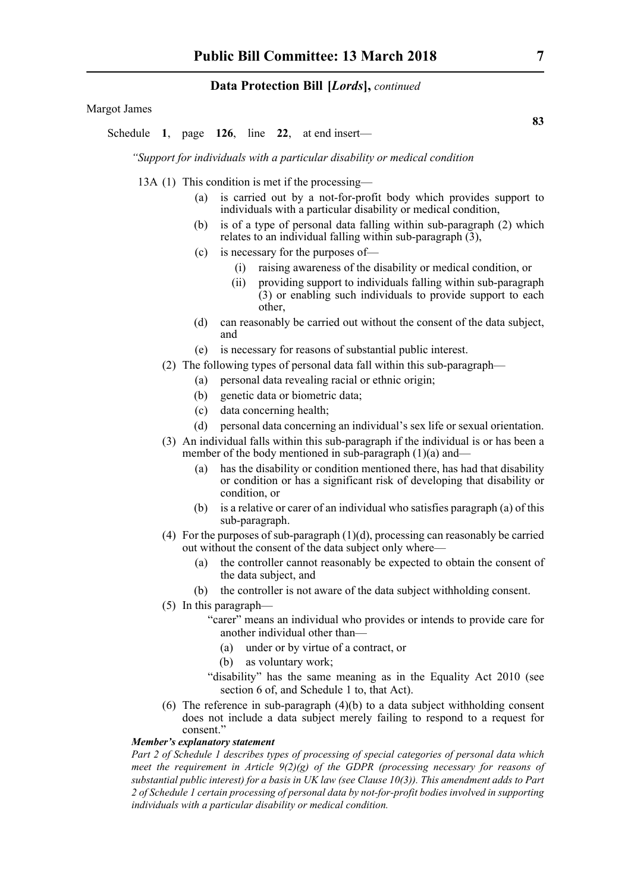Margot James

Schedule **1**, page **126**, line **22**, at end insert—

*"Support for individuals with a particular disability or medical condition*

13A (1) This condition is met if the processing—

- (a) is carried out by a not-for-profit body which provides support to individuals with a particular disability or medical condition,
- (b) is of a type of personal data falling within sub-paragraph (2) which relates to an individual falling within sub-paragraph  $(3)$ ,
- (c) is necessary for the purposes of—
	- (i) raising awareness of the disability or medical condition, or
	- (ii) providing support to individuals falling within sub-paragraph (3) or enabling such individuals to provide support to each other,
- (d) can reasonably be carried out without the consent of the data subject, and
- (e) is necessary for reasons of substantial public interest.
- (2) The following types of personal data fall within this sub-paragraph—
	- (a) personal data revealing racial or ethnic origin;
	- (b) genetic data or biometric data;
	- (c) data concerning health;
	- (d) personal data concerning an individual's sex life or sexual orientation.
- (3) An individual falls within this sub-paragraph if the individual is or has been a member of the body mentioned in sub-paragraph  $(1)(a)$  and—
	- (a) has the disability or condition mentioned there, has had that disability or condition or has a significant risk of developing that disability or condition, or
	- (b) is a relative or carer of an individual who satisfies paragraph (a) of this sub-paragraph.
- (4) For the purposes of sub-paragraph (1)(d), processing can reasonably be carried out without the consent of the data subject only where—
	- (a) the controller cannot reasonably be expected to obtain the consent of the data subject, and
	- (b) the controller is not aware of the data subject withholding consent.
- (5) In this paragraph—
	- "carer" means an individual who provides or intends to provide care for another individual other than—
		- (a) under or by virtue of a contract, or
		- (b) as voluntary work;
	- "disability" has the same meaning as in the Equality Act 2010 (see section 6 of, and Schedule 1 to, that Act).
- (6) The reference in sub-paragraph (4)(b) to a data subject withholding consent does not include a data subject merely failing to respond to a request for consent."

# *Member's explanatory statement*

*Part 2 of Schedule 1 describes types of processing of special categories of personal data which meet the requirement in Article 9(2)(g) of the GDPR (processing necessary for reasons of substantial public interest) for a basis in UK law (see Clause 10(3)). This amendment adds to Part 2 of Schedule 1 certain processing of personal data by not-for-profit bodies involved in supporting individuals with a particular disability or medical condition.*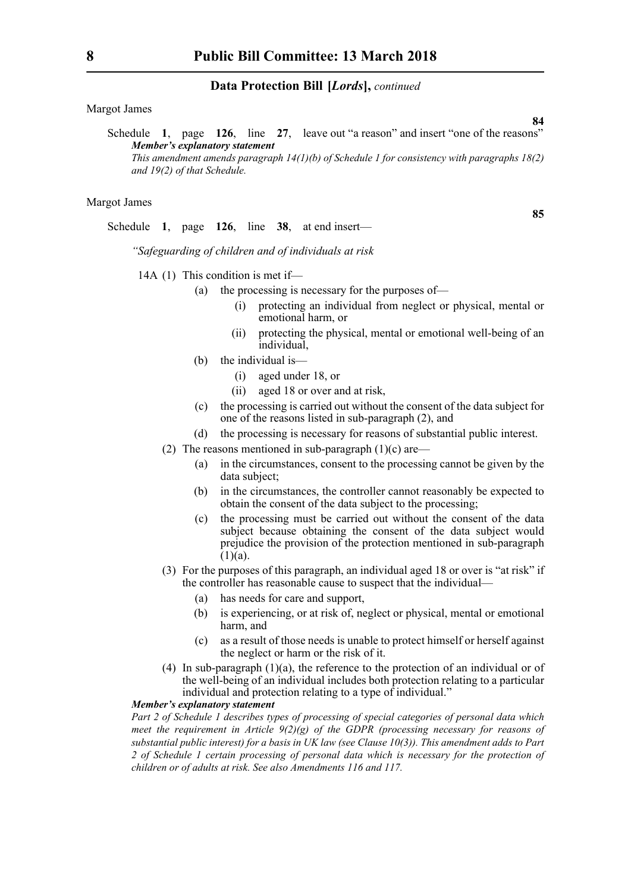Margot James

Schedule **1**, page **126**, line **27**, leave out "a reason" and insert "one of the reasons" *Member's explanatory statement This amendment amends paragraph 14(1)(b) of Schedule 1 for consistency with paragraphs 18(2) and 19(2) of that Schedule.*

#### Margot James

Schedule **1**, page **126**, line **38**, at end insert—

*"Safeguarding of children and of individuals at risk*

- 14A (1) This condition is met if—
	- (a) the processing is necessary for the purposes of—
		- (i) protecting an individual from neglect or physical, mental or emotional harm, or
		- (ii) protecting the physical, mental or emotional well-being of an *individual*
	- (b) the individual is—
		- (i) aged under 18, or
		- (ii) aged 18 or over and at risk,
	- (c) the processing is carried out without the consent of the data subject for one of the reasons listed in sub-paragraph (2), and
	- (d) the processing is necessary for reasons of substantial public interest.
	- (2) The reasons mentioned in sub-paragraph  $(1)(c)$  are—
		- (a) in the circumstances, consent to the processing cannot be given by the data subject;
		- (b) in the circumstances, the controller cannot reasonably be expected to obtain the consent of the data subject to the processing;
		- (c) the processing must be carried out without the consent of the data subject because obtaining the consent of the data subject would prejudice the provision of the protection mentioned in sub-paragraph  $(1)(a)$ .
	- (3) For the purposes of this paragraph, an individual aged 18 or over is "at risk" if the controller has reasonable cause to suspect that the individual—
		- (a) has needs for care and support,
		- (b) is experiencing, or at risk of, neglect or physical, mental or emotional harm, and
		- (c) as a result of those needs is unable to protect himself or herself against the neglect or harm or the risk of it.
	- (4) In sub-paragraph (1)(a), the reference to the protection of an individual or of the well-being of an individual includes both protection relating to a particular individual and protection relating to a type of individual."

#### *Member's explanatory statement*

*Part 2 of Schedule 1 describes types of processing of special categories of personal data which meet the requirement in Article 9(2)(g) of the GDPR (processing necessary for reasons of substantial public interest) for a basis in UK law (see Clause 10(3)). This amendment adds to Part 2 of Schedule 1 certain processing of personal data which is necessary for the protection of children or of adults at risk. See also Amendments 116 and 117.*

**85**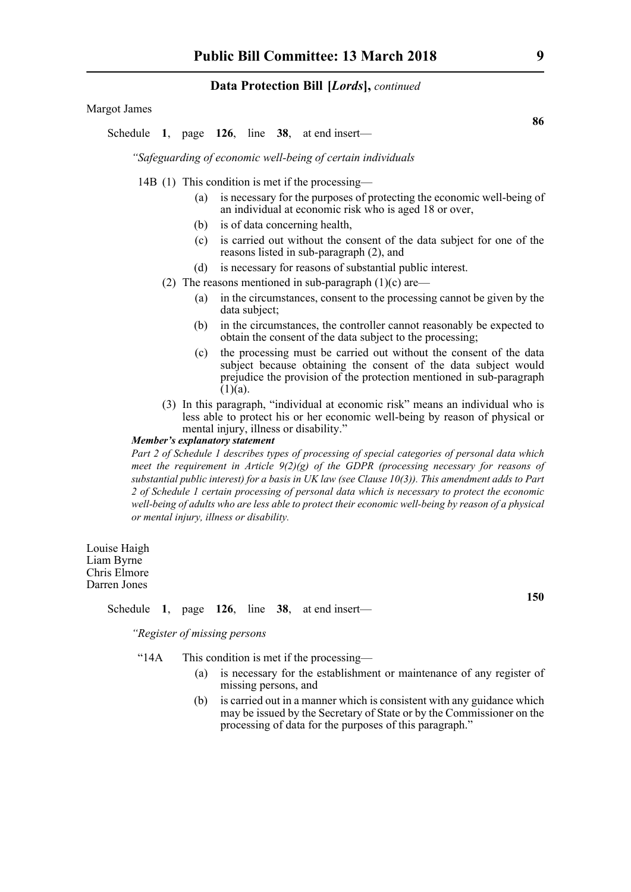Margot James

Schedule **1**, page **126**, line **38**, at end insert—

*"Safeguarding of economic well-being of certain individuals*

- 14B (1) This condition is met if the processing—
	- (a) is necessary for the purposes of protecting the economic well-being of an individual at economic risk who is aged 18 or over,
	- (b) is of data concerning health,
	- (c) is carried out without the consent of the data subject for one of the reasons listed in sub-paragraph (2), and
	- (d) is necessary for reasons of substantial public interest.
	- (2) The reasons mentioned in sub-paragraph  $(1)(c)$  are—
		- (a) in the circumstances, consent to the processing cannot be given by the data subject;
		- (b) in the circumstances, the controller cannot reasonably be expected to obtain the consent of the data subject to the processing;
		- (c) the processing must be carried out without the consent of the data subject because obtaining the consent of the data subject would prejudice the provision of the protection mentioned in sub-paragraph  $(1)(a)$ .
	- (3) In this paragraph, "individual at economic risk" means an individual who is less able to protect his or her economic well-being by reason of physical or mental injury, illness or disability."

# *Member's explanatory statement*

*Part 2 of Schedule 1 describes types of processing of special categories of personal data which meet the requirement in Article 9(2)(g) of the GDPR (processing necessary for reasons of substantial public interest) for a basis in UK law (see Clause 10(3)). This amendment adds to Part 2 of Schedule 1 certain processing of personal data which is necessary to protect the economic well-being of adults who are less able to protect their economic well-being by reason of a physical or mental injury, illness or disability.*

Louise Haigh Liam Byrne Chris Elmore Darren Jones

#### Schedule **1**, page **126**, line **38**, at end insert—

*"Register of missing persons*

- "14A This condition is met if the processing—
	- (a) is necessary for the establishment or maintenance of any register of missing persons, and
	- (b) is carried out in a manner which is consistent with any guidance which may be issued by the Secretary of State or by the Commissioner on the processing of data for the purposes of this paragraph."

**86**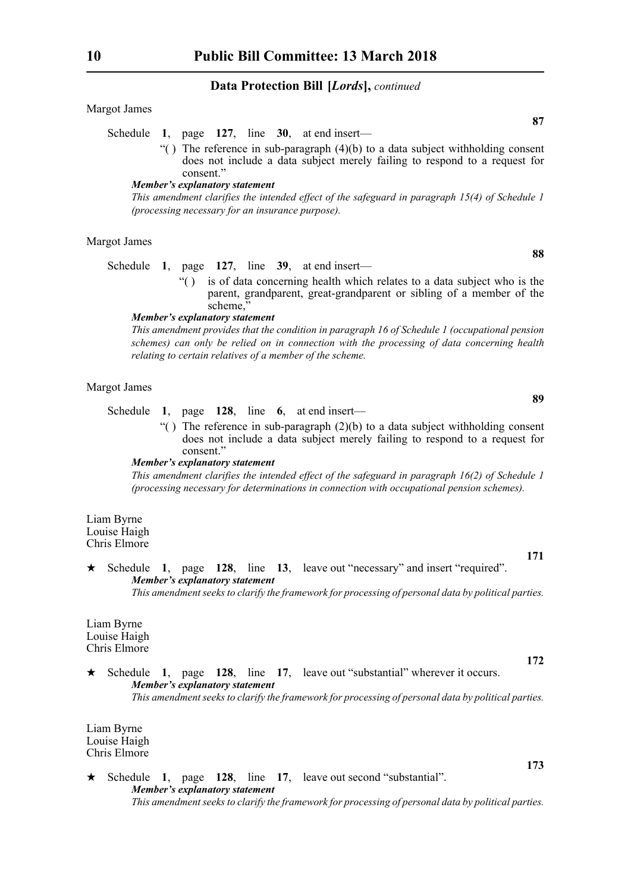Margot James

- Schedule **1**, page **127**, line **30**, at end insert—
	- "() The reference in sub-paragraph  $(4)(b)$  to a data subject withholding consent does not include a data subject merely failing to respond to a request for consent."

#### *Member's explanatory statement*

*This amendment clarifies the intended effect of the safeguard in paragraph 15(4) of Schedule 1 (processing necessary for an insurance purpose).*

#### Margot James

Schedule **1**, page **127**, line **39**, at end insert—

"( ) is of data concerning health which relates to a data subject who is the parent, grandparent, great-grandparent or sibling of a member of the scheme,

#### *Member's explanatory statement*

*This amendment provides that the condition in paragraph 16 of Schedule 1 (occupational pension schemes) can only be relied on in connection with the processing of data concerning health relating to certain relatives of a member of the scheme.*

#### Margot James

Schedule **1**, page **128**, line **6**, at end insert—

 $\lq$ () The reference in sub-paragraph (2)(b) to a data subject withholding consent does not include a data subject merely failing to respond to a request for consent."

### *Member's explanatory statement*

*This amendment clarifies the intended effect of the safeguard in paragraph 16(2) of Schedule 1 (processing necessary for determinations in connection with occupational pension schemes).*

Liam Byrne Louise Haigh Chris Elmore

 Schedule **1**, page **128**, line **13**, leave out "necessary" and insert "required". *Member's explanatory statement This amendment seeks to clarify the framework for processing of personal data by political parties.*

Liam Byrne Louise Haigh Chris Elmore

 Schedule **1**, page **128**, line **17**, leave out "substantial" wherever it occurs. *Member's explanatory statement This amendment seeks to clarify the framework for processing of personal data by political parties.*

Liam Byrne Louise Haigh Chris Elmore

 Schedule **1**, page **128**, line **17**, leave out second "substantial". *Member's explanatory statement This amendment seeks to clarify the framework for processing of personal data by political parties.*

**88**

**89**

**171**

**172**

**173**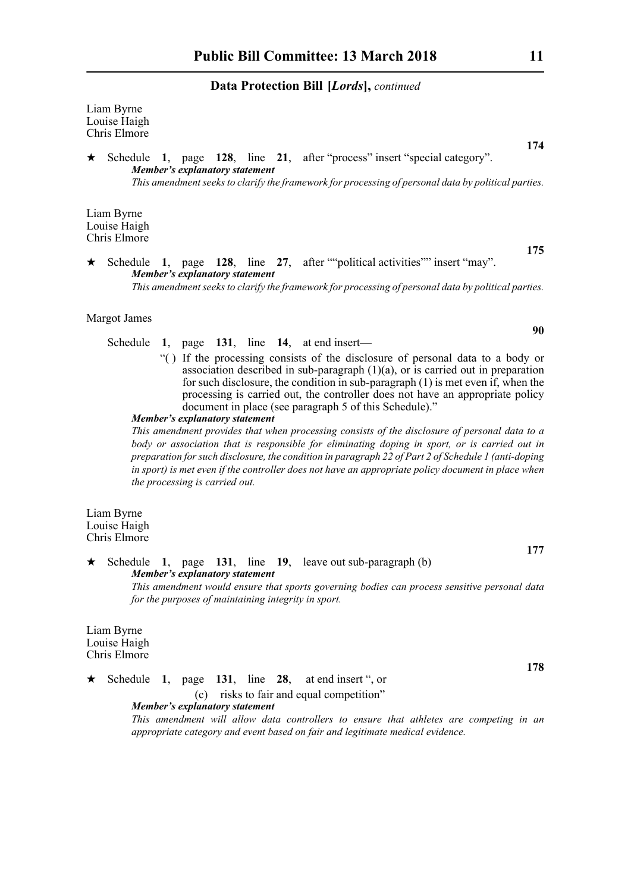Liam Byrne Louise Haigh Chris Elmore

 Schedule **1**, page **128**, line **21**, after "process" insert "special category". *Member's explanatory statement This amendment seeks to clarify the framework for processing of personal data by political parties.*

Liam Byrne Louise Haigh Chris Elmore

 Schedule **1**, page **128**, line **27**, after ""political activities"" insert "may". *Member's explanatory statement This amendment seeks to clarify the framework for processing of personal data by political parties.*

Margot James

Schedule **1**, page **131**, line **14**, at end insert—

"( ) If the processing consists of the disclosure of personal data to a body or association described in sub-paragraph (1)(a), or is carried out in preparation for such disclosure, the condition in sub-paragraph (1) is met even if, when the processing is carried out, the controller does not have an appropriate policy document in place (see paragraph 5 of this Schedule)."

*Member's explanatory statement* 

*This amendment provides that when processing consists of the disclosure of personal data to a body or association that is responsible for eliminating doping in sport, or is carried out in preparation for such disclosure, the condition in paragraph 22 of Part 2 of Schedule 1 (anti-doping in sport) is met even if the controller does not have an appropriate policy document in place when the processing is carried out.*

Liam Byrne Louise Haigh Chris Elmore

 Schedule **1**, page **131**, line **19**, leave out sub-paragraph (b) *Member's explanatory statement This amendment would ensure that sports governing bodies can process sensitive personal data for the purposes of maintaining integrity in sport.*

Liam Byrne Louise Haigh Chris Elmore

 $\star$  Schedule 1, page 131, line 28, at end insert ", or

#### (c) risks to fair and equal competition" *Member's explanatory statement*

*This amendment will allow data controllers to ensure that athletes are competing in an appropriate category and event based on fair and legitimate medical evidence.*

**175**

**174**

**90**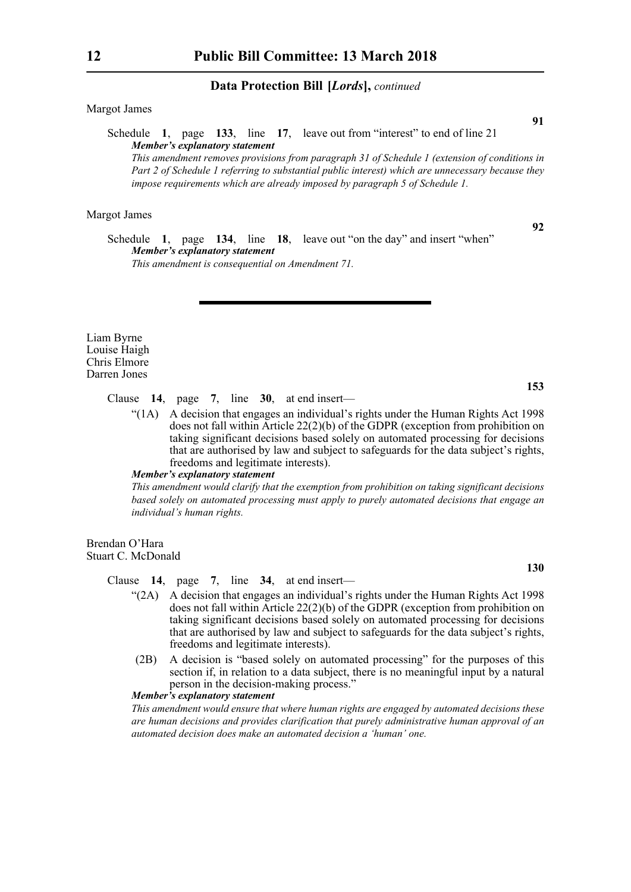Margot James

Schedule **1**, page **133**, line **17**, leave out from "interest" to end of line 21 *Member's explanatory statement* 

*This amendment removes provisions from paragraph 31 of Schedule 1 (extension of conditions in Part 2 of Schedule 1 referring to substantial public interest) which are unnecessary because they impose requirements which are already imposed by paragraph 5 of Schedule 1.*

# Margot James

**92**

**91**

Schedule **1**, page **134**, line **18**, leave out "on the day" and insert "when" *Member's explanatory statement This amendment is consequential on Amendment 71.*

Liam Byrne Louise Haigh Chris Elmore Darren Jones

**153**

**130**

Clause **14**, page **7**, line **30**, at end insert—

"(1A) A decision that engages an individual's rights under the Human Rights Act 1998 does not fall within Article 22(2)(b) of the GDPR (exception from prohibition on taking significant decisions based solely on automated processing for decisions that are authorised by law and subject to safeguards for the data subject's rights, freedoms and legitimate interests).

#### *Member's explanatory statement*

*This amendment would clarify that the exemption from prohibition on taking significant decisions based solely on automated processing must apply to purely automated decisions that engage an individual's human rights.*

Brendan O'Hara Stuart C. McDonald

Clause **14**, page **7**, line **34**, at end insert—

- "(2A) A decision that engages an individual's rights under the Human Rights Act 1998 does not fall within Article 22(2)(b) of the GDPR (exception from prohibition on taking significant decisions based solely on automated processing for decisions that are authorised by law and subject to safeguards for the data subject's rights, freedoms and legitimate interests).
- (2B) A decision is "based solely on automated processing" for the purposes of this section if, in relation to a data subject, there is no meaningful input by a natural person in the decision-making process."

# *Member's explanatory statement*

*This amendment would ensure that where human rights are engaged by automated decisions these are human decisions and provides clarification that purely administrative human approval of an automated decision does make an automated decision a 'human' one.*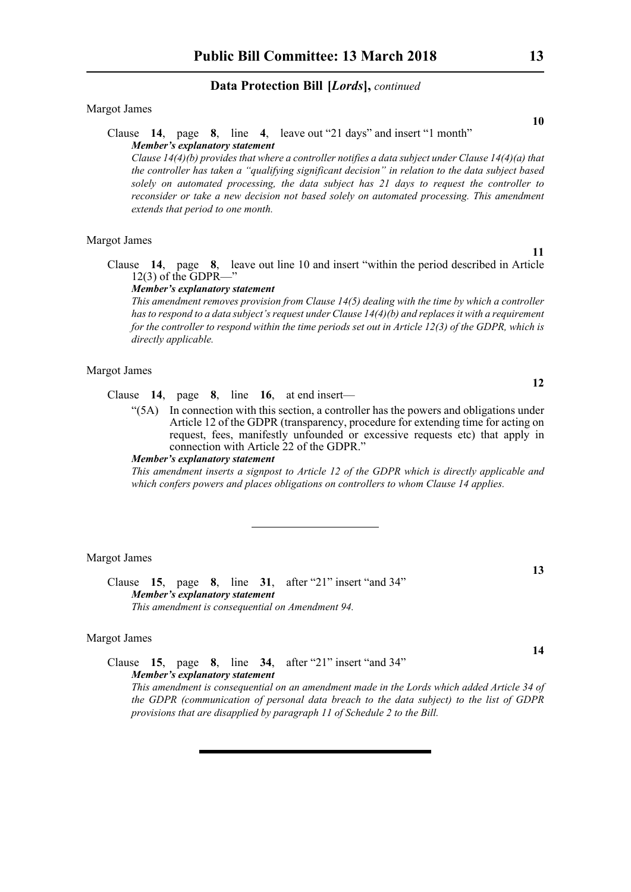#### Margot James

# Clause **14**, page **8**, line **4**, leave out "21 days" and insert "1 month" *Member's explanatory statement*

*Clause 14(4)(b) provides that where a controller notifies a data subject under Clause 14(4)(a) that the controller has taken a "qualifying significant decision" in relation to the data subject based solely on automated processing, the data subject has 21 days to request the controller to reconsider or take a new decision not based solely on automated processing. This amendment extends that period to one month.* 

#### Margot James

Clause **14**, page **8**, leave out line 10 and insert "within the period described in Article 12(3) of the GDPR—"

#### *Member's explanatory statement*

*This amendment removes provision from Clause 14(5) dealing with the time by which a controller has to respond to a data subject's request under Clause 14(4)(b) and replaces it with a requirement for the controller to respond within the time periods set out in Article 12(3) of the GDPR, which is directly applicable.*

# Margot James

- Clause **14**, page **8**, line **16**, at end insert—
	- "(5A) In connection with this section, a controller has the powers and obligations under Article 12 of the GDPR (transparency, procedure for extending time for acting on request, fees, manifestly unfounded or excessive requests etc) that apply in connection with Article 22 of the GDPR."

#### *Member's explanatory statement*

*This amendment inserts a signpost to Article 12 of the GDPR which is directly applicable and which confers powers and places obligations on controllers to whom Clause 14 applies.* 

Margot James

Clause **15**, page **8**, line **31**, after "21" insert "and 34" *Member's explanatory statement This amendment is consequential on Amendment 94.*

#### Margot James

Clause **15**, page **8**, line **34**, after "21" insert "and 34" *Member's explanatory statement* 

*This amendment is consequential on an amendment made in the Lords which added Article 34 of the GDPR (communication of personal data breach to the data subject) to the list of GDPR provisions that are disapplied by paragraph 11 of Schedule 2 to the Bill.*

**10**

**14**

**13**

**12**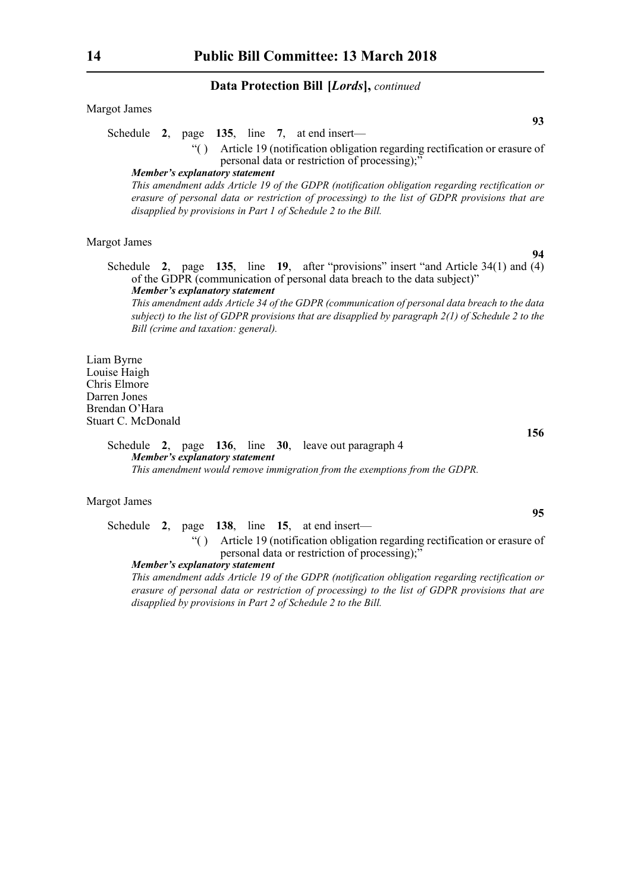Margot James

Schedule **2**, page **135**, line **7**, at end insert—

"( ) Article 19 (notification obligation regarding rectification or erasure of personal data or restriction of processing);

#### *Member's explanatory statement*

*This amendment adds Article 19 of the GDPR (notification obligation regarding rectification or erasure of personal data or restriction of processing) to the list of GDPR provisions that are disapplied by provisions in Part 1 of Schedule 2 to the Bill.*

#### Margot James

Schedule **2**, page **135**, line **19**, after "provisions" insert "and Article 34(1) and (4) of the GDPR (communication of personal data breach to the data subject)" *Member's explanatory statement* 

*This amendment adds Article 34 of the GDPR (communication of personal data breach to the data subject) to the list of GDPR provisions that are disapplied by paragraph 2(1) of Schedule 2 to the Bill (crime and taxation: general).*

Liam Byrne Louise Haigh Chris Elmore Darren Jones Brendan O'Hara Stuart C. McDonald

> Schedule **2**, page **136**, line **30**, leave out paragraph 4 *Member's explanatory statement This amendment would remove immigration from the exemptions from the GDPR.*

#### Margot James

Schedule **2**, page **138**, line **15**, at end insert—

"( ) Article 19 (notification obligation regarding rectification or erasure of personal data or restriction of processing);

#### *Member's explanatory statement*

*This amendment adds Article 19 of the GDPR (notification obligation regarding rectification or erasure of personal data or restriction of processing) to the list of GDPR provisions that are disapplied by provisions in Part 2 of Schedule 2 to the Bill.*

**93**

**94**

**95**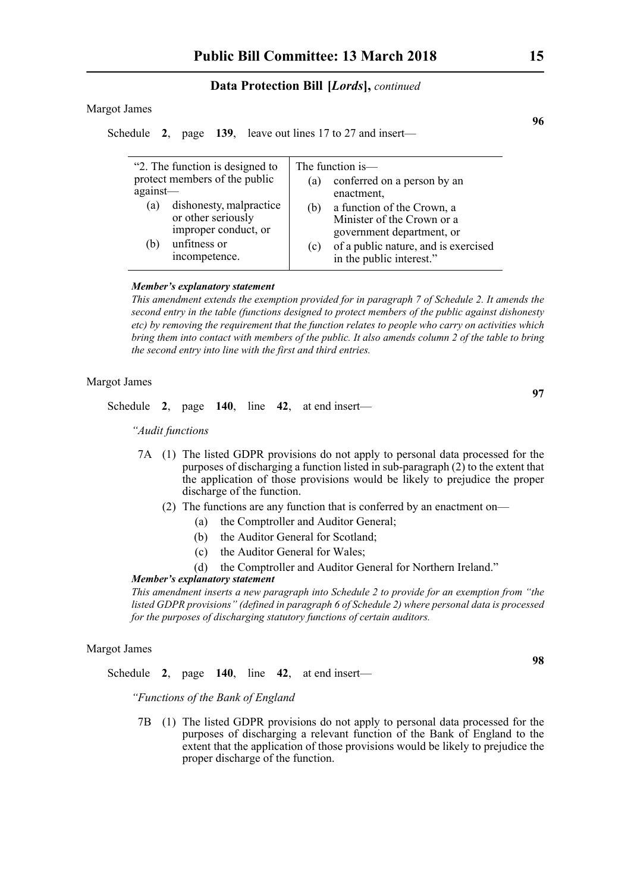#### Margot James

Schedule **2**, page **139**, leave out lines 17 to 27 and insert—

| "2. The function is designed to<br>protect members of the public<br>$against$ —<br>dishonesty, malpractice |                      | (a) | The function is—<br>conferred on a person by an<br>enactment, |
|------------------------------------------------------------------------------------------------------------|----------------------|-----|---------------------------------------------------------------|
| (a)                                                                                                        |                      | (b) | a function of the Crown, a                                    |
|                                                                                                            | or other seriously   |     | Minister of the Crown or a                                    |
|                                                                                                            | improper conduct, or |     | government department, or                                     |
|                                                                                                            |                      |     |                                                               |
| (b)                                                                                                        | unfitness or         | (c) | of a public nature, and is exercised                          |
|                                                                                                            | incompetence.        |     | in the public interest."                                      |
|                                                                                                            |                      |     |                                                               |

#### *Member's explanatory statement*

*This amendment extends the exemption provided for in paragraph 7 of Schedule 2. It amends the second entry in the table (functions designed to protect members of the public against dishonesty etc) by removing the requirement that the function relates to people who carry on activities which bring them into contact with members of the public. It also amends column 2 of the table to bring the second entry into line with the first and third entries.*

### Margot James

Schedule **2**, page **140**, line **42**, at end insert—

*"Audit functions*

- 7A (1) The listed GDPR provisions do not apply to personal data processed for the purposes of discharging a function listed in sub-paragraph (2) to the extent that the application of those provisions would be likely to prejudice the proper discharge of the function.
	- (2) The functions are any function that is conferred by an enactment on—
		- (a) the Comptroller and Auditor General;
		- (b) the Auditor General for Scotland;
		- (c) the Auditor General for Wales;
		- (d) the Comptroller and Auditor General for Northern Ireland."

#### *Member's explanatory statement*

*This amendment inserts a new paragraph into Schedule 2 to provide for an exemption from "the listed GDPR provisions" (defined in paragraph 6 of Schedule 2) where personal data is processed for the purposes of discharging statutory functions of certain auditors.*

# Margot James

Schedule **2**, page **140**, line **42**, at end insert—

*"Functions of the Bank of England*

7B (1) The listed GDPR provisions do not apply to personal data processed for the purposes of discharging a relevant function of the Bank of England to the extent that the application of those provisions would be likely to prejudice the proper discharge of the function.

**98**

**97**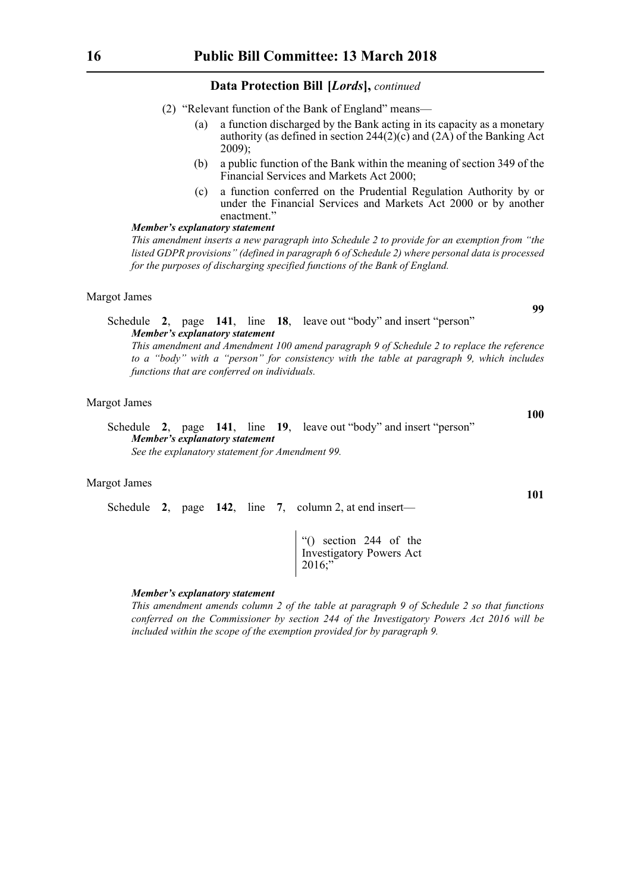- (2) "Relevant function of the Bank of England" means—
	- (a) a function discharged by the Bank acting in its capacity as a monetary authority (as defined in section 244(2)(c) and (2A) of the Banking Act 2009);
	- (b) a public function of the Bank within the meaning of section 349 of the Financial Services and Markets Act 2000;
	- (c) a function conferred on the Prudential Regulation Authority by or under the Financial Services and Markets Act 2000 or by another enactment."

#### *Member's explanatory statement*

*This amendment inserts a new paragraph into Schedule 2 to provide for an exemption from "the listed GDPR provisions" (defined in paragraph 6 of Schedule 2) where personal data is processed for the purposes of discharging specified functions of the Bank of England.*

#### Margot James

# Schedule **2**, page **141**, line **18**, leave out "body" and insert "person" *Member's explanatory statement*

*This amendment and Amendment 100 amend paragraph 9 of Schedule 2 to replace the reference to a "body" with a "person" for consistency with the table at paragraph 9, which includes functions that are conferred on individuals.*

# Margot James

### Schedule **2**, page **141**, line **19**, leave out "body" and insert "person" *Member's explanatory statement See the explanatory statement for Amendment 99.*

#### Margot James

Schedule **2**, page **142**, line **7**, column 2, at end insert—

"() section 244 of the Investigatory Powers Act 2016;"

#### *Member's explanatory statement*

*This amendment amends column 2 of the table at paragraph 9 of Schedule 2 so that functions conferred on the Commissioner by section 244 of the Investigatory Powers Act 2016 will be included within the scope of the exemption provided for by paragraph 9.*

**99**

**100**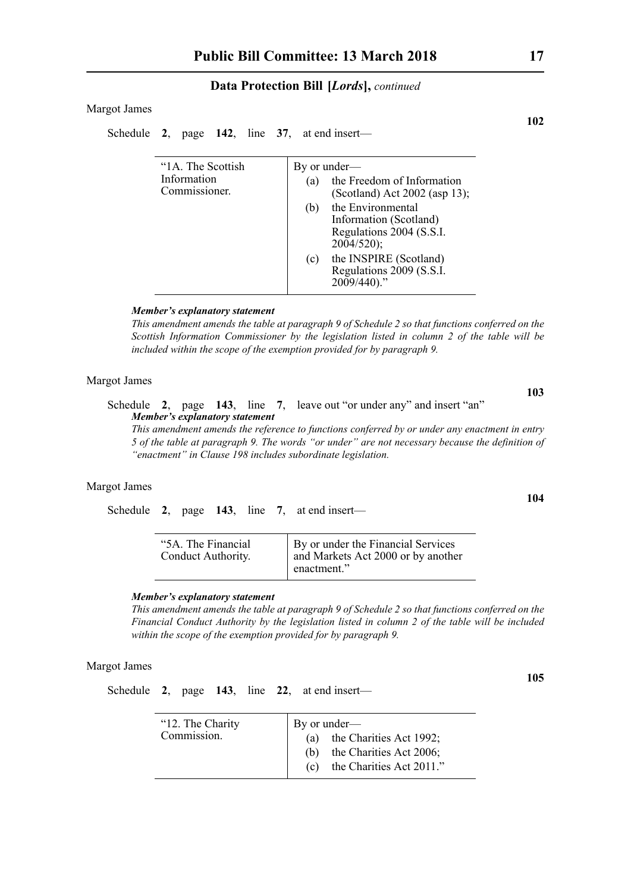#### Margot James

Schedule **2**, page **142**, line **37**, at end insert—

| "1A. The Scottish<br>Information<br>Commissioner. | By or under—<br>the Freedom of Information<br>(a)                                                                               |
|---------------------------------------------------|---------------------------------------------------------------------------------------------------------------------------------|
|                                                   | (Scotland) Act 2002 (asp 13);<br>the Environmental<br>(b)<br>Information (Scotland)<br>Regulations 2004 (S.S.I.<br>$2004/520$ ; |
|                                                   | the INSPIRE (Scotland)<br>(c)<br>Regulations 2009 (S.S.I.<br>2009/440)."                                                        |

#### *Member's explanatory statement*

*This amendment amends the table at paragraph 9 of Schedule 2 so that functions conferred on the Scottish Information Commissioner by the legislation listed in column 2 of the table will be included within the scope of the exemption provided for by paragraph 9.*

#### Margot James

**103** Schedule **2**, page **143**, line **7**, leave out "or under any" and insert "an" *Member's explanatory statement* 

*This amendment amends the reference to functions conferred by or under any enactment in entry 5 of the table at paragraph 9. The words "or under" are not necessary because the definition of "enactment" in Clause 198 includes subordinate legislation.*

# Margot James

Schedule **2**, page **143**, line **7**, at end insert—

| "5A. The Financial<br>Conduct Authority. | By or under the Financial Services<br>and Markets Act 2000 or by another<br>enactment." |
|------------------------------------------|-----------------------------------------------------------------------------------------|
|------------------------------------------|-----------------------------------------------------------------------------------------|

#### *Member's explanatory statement*

*This amendment amends the table at paragraph 9 of Schedule 2 so that functions conferred on the Financial Conduct Authority by the legislation listed in column 2 of the table will be included within the scope of the exemption provided for by paragraph 9.*

# Margot James

Schedule **2**, page **143**, line **22**, at end insert—

| "12. The Charity"<br>Commission. | By or under—<br>(a) the Charities Act 1992;<br>(b) the Charities Act 2006;<br>(c) the Charities Act 2011." |
|----------------------------------|------------------------------------------------------------------------------------------------------------|
|                                  |                                                                                                            |

**102**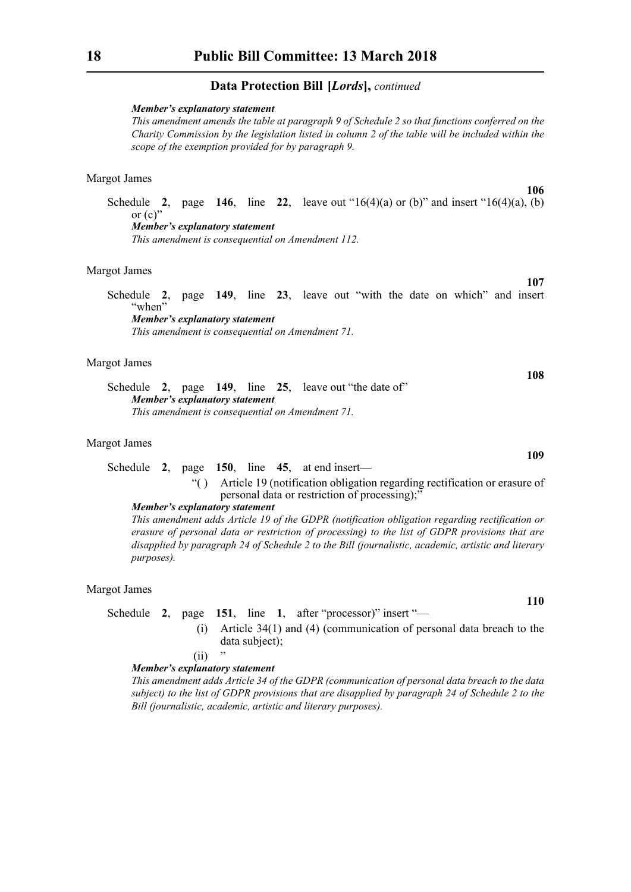#### *Member's explanatory statement*

*This amendment amends the table at paragraph 9 of Schedule 2 so that functions conferred on the Charity Commission by the legislation listed in column 2 of the table will be included within the scope of the exemption provided for by paragraph 9.*

# Margot James

Schedule **2**, page **146**, line **22**, leave out " $16(4)(a)$  or (b)" and insert " $16(4)(a)$ , (b) or  $(c)$ " *Member's explanatory statement* 

*This amendment is consequential on Amendment 112.*

#### Margot James

Schedule **2**, page **149**, line **23**, leave out "with the date on which" and insert "when" *Member's explanatory statement* 

*This amendment is consequential on Amendment 71.*

#### Margot James

Schedule **2**, page **149**, line **25**, leave out "the date of" *Member's explanatory statement This amendment is consequential on Amendment 71.*

#### Margot James

# Schedule **2**, page **150**, line **45**, at end insert—

"( ) Article 19 (notification obligation regarding rectification or erasure of personal data or restriction of processing);"

# *Member's explanatory statement*

*This amendment adds Article 19 of the GDPR (notification obligation regarding rectification or erasure of personal data or restriction of processing) to the list of GDPR provisions that are disapplied by paragraph 24 of Schedule 2 to the Bill (journalistic, academic, artistic and literary purposes).*

#### Margot James

Schedule **2**, page **151**, line **1**, after "processor)" insert "—

(i) Article 34(1) and (4) (communication of personal data breach to the data subject);

#### $(ii)$

#### *Member's explanatory statement*

*This amendment adds Article 34 of the GDPR (communication of personal data breach to the data subject) to the list of GDPR provisions that are disapplied by paragraph 24 of Schedule 2 to the Bill (journalistic, academic, artistic and literary purposes).*

**109**

**110**

**108**

**106**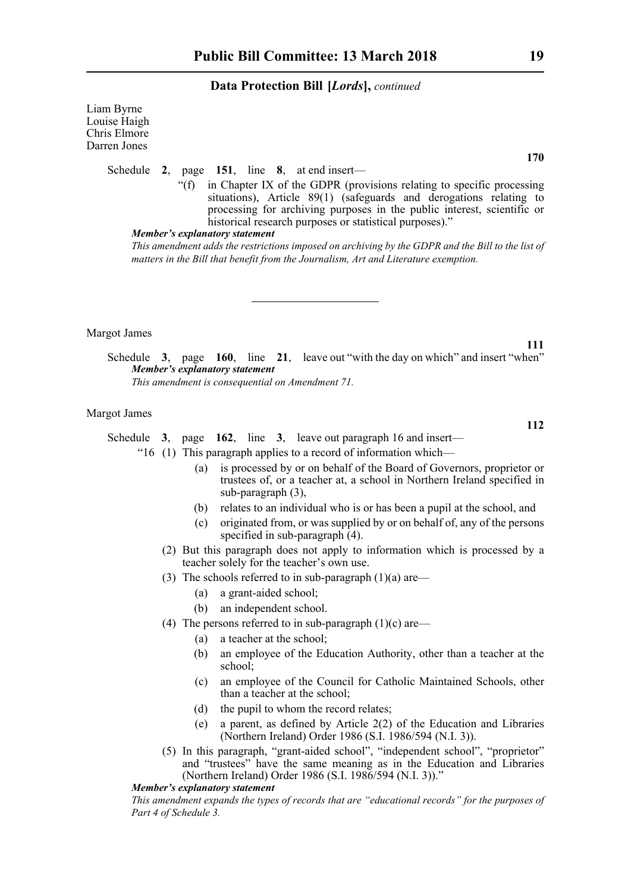Liam Byrne Louise Haigh Chris Elmore Darren Jones

#### Schedule **2**, page **151**, line **8**, at end insert—

"(f) in Chapter IX of the GDPR (provisions relating to specific processing situations), Article 89(1) (safeguards and derogations relating to processing for archiving purposes in the public interest, scientific or historical research purposes or statistical purposes)."

#### *Member's explanatory statement*

*This amendment adds the restrictions imposed on archiving by the GDPR and the Bill to the list of matters in the Bill that benefit from the Journalism, Art and Literature exemption.*

Margot James

Schedule **3**, page **160**, line **21**, leave out "with the day on which" and insert "when" *Member's explanatory statement This amendment is consequential on Amendment 71.*

#### Margot James

Schedule **3**, page **162**, line **3**, leave out paragraph 16 and insert—

"16 (1) This paragraph applies to a record of information which—

- (a) is processed by or on behalf of the Board of Governors, proprietor or trustees of, or a teacher at, a school in Northern Ireland specified in sub-paragraph (3),
- (b) relates to an individual who is or has been a pupil at the school, and
- (c) originated from, or was supplied by or on behalf of, any of the persons specified in sub-paragraph (4).
- (2) But this paragraph does not apply to information which is processed by a teacher solely for the teacher's own use.
- (3) The schools referred to in sub-paragraph  $(1)(a)$  are—
	- (a) a grant-aided school;
	- (b) an independent school.
- (4) The persons referred to in sub-paragraph  $(1)(c)$  are—
	- (a) a teacher at the school;
	- (b) an employee of the Education Authority, other than a teacher at the school;
	- (c) an employee of the Council for Catholic Maintained Schools, other than a teacher at the school;
	- (d) the pupil to whom the record relates;
	- (e) a parent, as defined by Article 2(2) of the Education and Libraries (Northern Ireland) Order 1986 (S.I. 1986/594 (N.I. 3)).
- (5) In this paragraph, "grant-aided school", "independent school", "proprietor" and "trustees" have the same meaning as in the Education and Libraries (Northern Ireland) Order 1986 (S.I. 1986/594 (N.I. 3))."

#### *Member's explanatory statement*

*This amendment expands the types of records that are "educational records" for the purposes of Part 4 of Schedule 3.*

**170**

**112**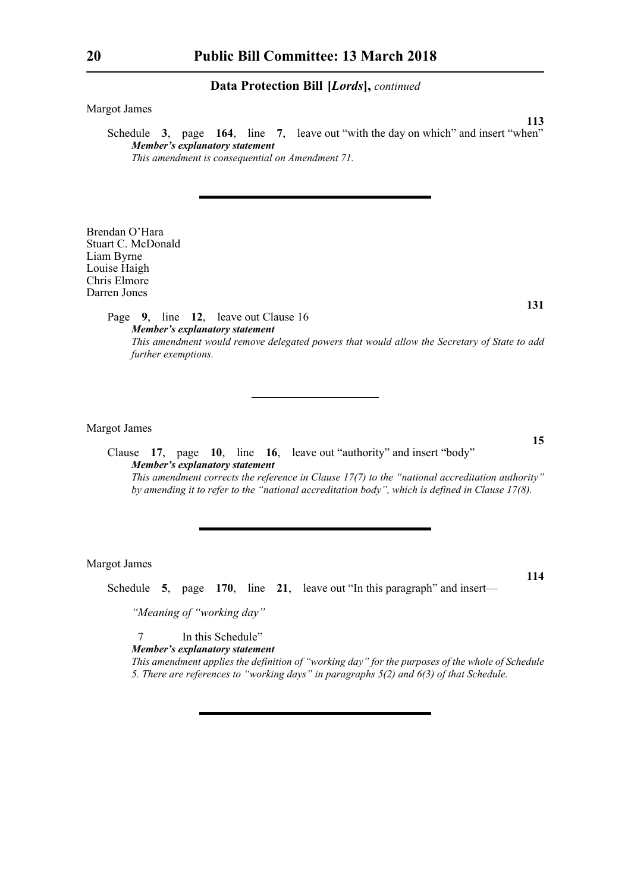Margot James

Schedule **3**, page **164**, line **7**, leave out "with the day on which" and insert "when" *Member's explanatory statement This amendment is consequential on Amendment 71.*

Brendan O'Hara Stuart C. McDonald Liam Byrne Louise Haigh Chris Elmore Darren Jones

> Page **9**, line **12**, leave out Clause 16 *Member's explanatory statement This amendment would remove delegated powers that would allow the Secretary of State to add further exemptions.*

Margot James

Clause **17**, page **10**, line **16**, leave out "authority" and insert "body" *Member's explanatory statement This amendment corrects the reference in Clause 17(7) to the "national accreditation authority" by amending it to refer to the "national accreditation body", which is defined in Clause 17(8).* 

Margot James

Schedule **5**, page **170**, line **21**, leave out "In this paragraph" and insert—

*"Meaning of "working day"*

7 In this Schedule"

*Member's explanatory statement* 

*This amendment applies the definition of "working day" for the purposes of the whole of Schedule 5. There are references to "working days" in paragraphs 5(2) and 6(3) of that Schedule.* 

**131**

**15**

**114**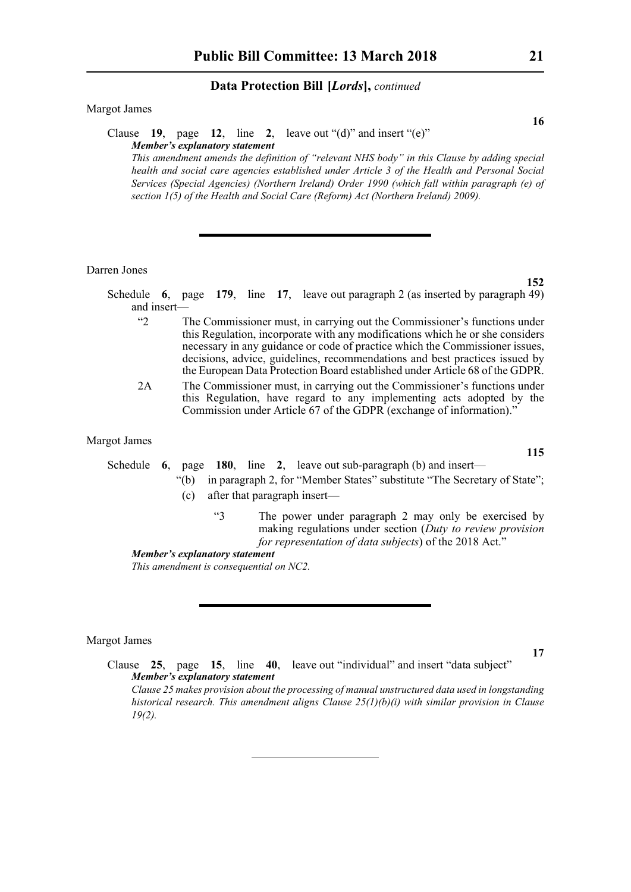#### Margot James

#### Clause **19**, page **12**, line **2**, leave out "(d)" and insert "(e)" *Member's explanatory statement*

*This amendment amends the definition of "relevant NHS body" in this Clause by adding special health and social care agencies established under Article 3 of the Health and Personal Social Services (Special Agencies) (Northern Ireland) Order 1990 (which fall within paragraph (e) of section 1(5) of the Health and Social Care (Reform) Act (Northern Ireland) 2009).*

#### Darren Jones

Schedule **6**, page **179**, line **17**, leave out paragraph 2 (as inserted by paragraph 49) and insert—

- "2 The Commissioner must, in carrying out the Commissioner's functions under this Regulation, incorporate with any modifications which he or she considers necessary in any guidance or code of practice which the Commissioner issues, decisions, advice, guidelines, recommendations and best practices issued by the European Data Protection Board established under Article 68 of the GDPR.
- 2A The Commissioner must, in carrying out the Commissioner's functions under this Regulation, have regard to any implementing acts adopted by the Commission under Article 67 of the GDPR (exchange of information)."

# Margot James

# Schedule **6**, page **180**, line **2**, leave out sub-paragraph (b) and insert—

- "(b) in paragraph 2, for "Member States" substitute "The Secretary of State"; (c) after that paragraph insert—
	- "3 The power under paragraph 2 may only be exercised by making regulations under section (*Duty to review provision for representation of data subjects*) of the 2018 Act."

*Member's explanatory statement* 

*This amendment is consequential on NC2.*

#### Margot James

Clause **25**, page **15**, line **40**, leave out "individual" and insert "data subject" *Member's explanatory statement* 

*Clause 25 makes provision about the processing of manual unstructured data used in longstanding historical research. This amendment aligns Clause 25(1)(b)(i) with similar provision in Clause 19(2).*

**16**

**152**

**115**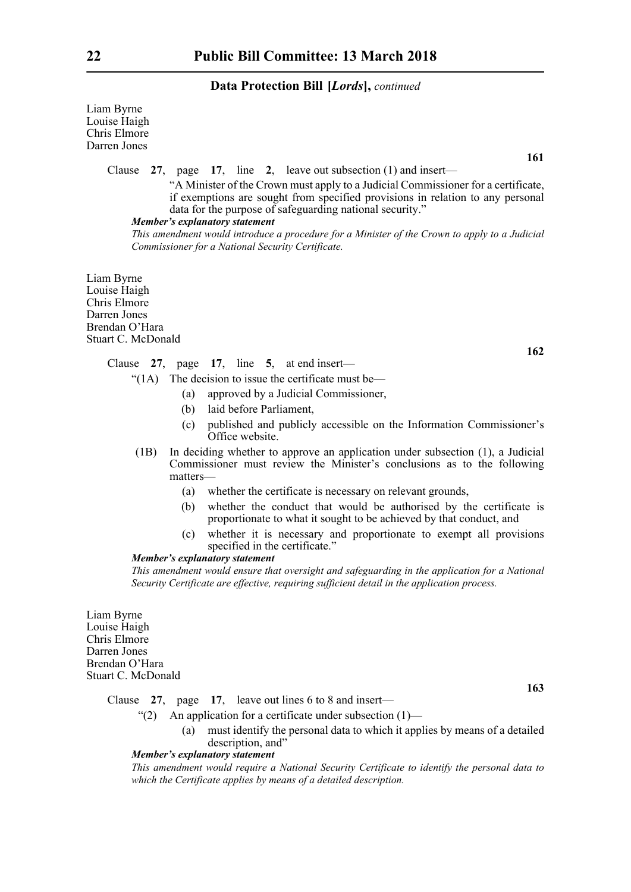Liam Byrne Louise Haigh Chris Elmore Darren Jones

**161**

**162**

Clause **27**, page **17**, line **2**, leave out subsection (1) and insert—

 "A Minister of the Crown must apply to a Judicial Commissioner for a certificate, if exemptions are sought from specified provisions in relation to any personal data for the purpose of safeguarding national security."

# *Member's explanatory statement*

*This amendment would introduce a procedure for a Minister of the Crown to apply to a Judicial Commissioner for a National Security Certificate.*

Liam Byrne Louise Haigh Chris Elmore Darren Jones Brendan O'Hara Stuart C. McDonald

Clause **27**, page **17**, line **5**, at end insert—

- " $(1)$  The decision to issue the certificate must be—
	- (a) approved by a Judicial Commissioner,
	- (b) laid before Parliament,
	- (c) published and publicly accessible on the Information Commissioner's Office website.
- (1B) In deciding whether to approve an application under subsection (1), a Judicial Commissioner must review the Minister's conclusions as to the following matters—
	- (a) whether the certificate is necessary on relevant grounds,
	- (b) whether the conduct that would be authorised by the certificate is proportionate to what it sought to be achieved by that conduct, and
	- (c) whether it is necessary and proportionate to exempt all provisions specified in the certificate."

#### *Member's explanatory statement*

*This amendment would ensure that oversight and safeguarding in the application for a National Security Certificate are effective, requiring sufficient detail in the application process.*

Liam Byrne Louise Haigh Chris Elmore Darren Jones Brendan O'Hara Stuart C. McDonald

**163**

Clause **27**, page **17**, leave out lines 6 to 8 and insert—

- "(2) An application for a certificate under subsection  $(1)$ 
	- (a) must identify the personal data to which it applies by means of a detailed description, and

#### *Member's explanatory statement*

*This amendment would require a National Security Certificate to identify the personal data to which the Certificate applies by means of a detailed description.*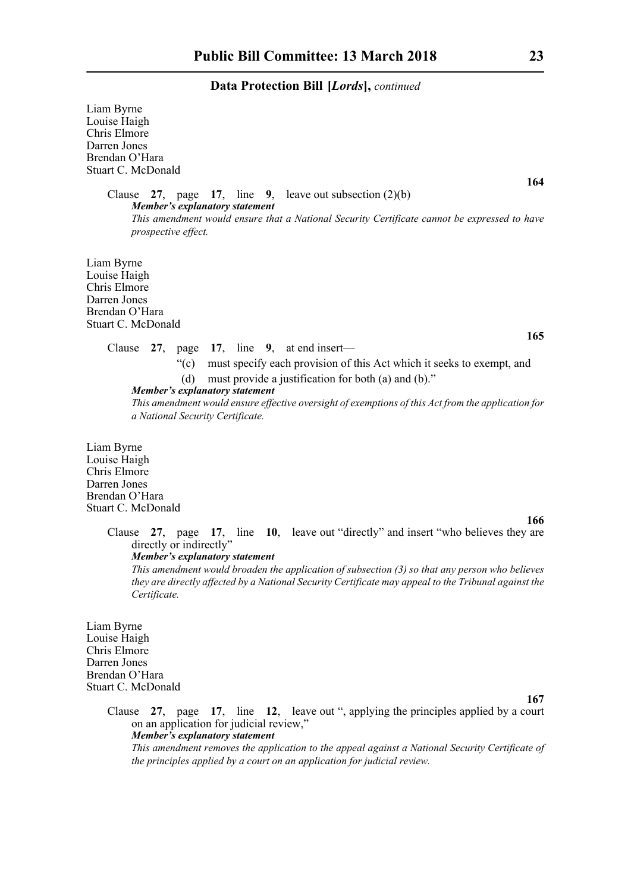Liam Byrne Louise Haigh Chris Elmore Darren Jones Brendan O'Hara Stuart C. McDonald

> Clause **27**, page **17**, line **9**, leave out subsection (2)(b) *Member's explanatory statement This amendment would ensure that a National Security Certificate cannot be expressed to have prospective effect.*

Liam Byrne Louise Haigh Chris Elmore Darren Jones Brendan O'Hara Stuart C. McDonald

#### Clause **27**, page **17**, line **9**, at end insert—

"(c) must specify each provision of this Act which it seeks to exempt, and (d) must provide a justification for both (a) and (b)."

*Member's explanatory statement* 

*This amendment would ensure effective oversight of exemptions of this Act from the application for a National Security Certificate.*

Liam Byrne Louise Haigh Chris Elmore Darren Jones Brendan O'Hara Stuart C. McDonald

#### **166**

Clause **27**, page **17**, line **10**, leave out "directly" and insert "who believes they are directly or indirectly" *Member's explanatory statement* 

*This amendment would broaden the application of subsection (3) so that any person who believes they are directly affected by a National Security Certificate may appeal to the Tribunal against the Certificate.*

Liam Byrne Louise Haigh Chris Elmore Darren Jones Brendan O'Hara Stuart C. McDonald

#### **167**

Clause **27**, page **17**, line **12**, leave out ", applying the principles applied by a court on an application for judicial review," *Member's explanatory statement* 

*This amendment removes the application to the appeal against a National Security Certificate of the principles applied by a court on an application for judicial review.*

**164**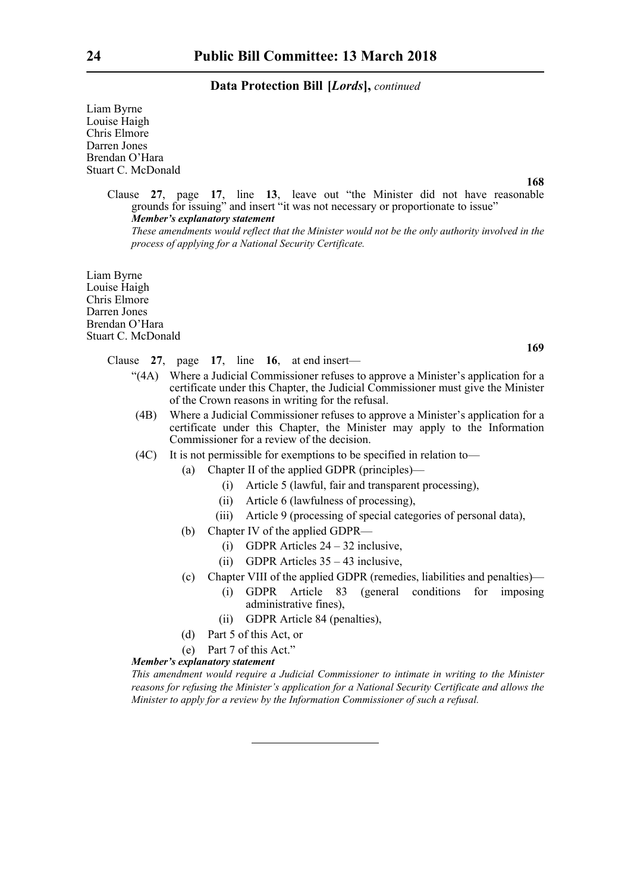Liam Byrne Louise Haigh Chris Elmore Darren Jones Brendan O'Hara Stuart C. McDonald

**168**

**169**

Clause **27**, page **17**, line **13**, leave out "the Minister did not have reasonable grounds for issuing" and insert "it was not necessary or proportionate to issue" *Member's explanatory statement These amendments would reflect that the Minister would not be the only authority involved in the*

Liam Byrne Louise Haigh Chris Elmore Darren Jones Brendan O'Hara Stuart C. McDonald

Clause **27**, page **17**, line **16**, at end insert—

*process of applying for a National Security Certificate.*

- "(4A) Where a Judicial Commissioner refuses to approve a Minister's application for a certificate under this Chapter, the Judicial Commissioner must give the Minister of the Crown reasons in writing for the refusal.
- (4B) Where a Judicial Commissioner refuses to approve a Minister's application for a certificate under this Chapter, the Minister may apply to the Information Commissioner for a review of the decision.
- (4C) It is not permissible for exemptions to be specified in relation to—
	- (a) Chapter II of the applied GDPR (principles)—
		- (i) Article 5 (lawful, fair and transparent processing),
		- (ii) Article 6 (lawfulness of processing),
		- (iii) Article 9 (processing of special categories of personal data),
	- (b) Chapter IV of the applied GDPR—
		- (i) GDPR Articles  $24 32$  inclusive.
		- (ii) GDPR Articles 35 43 inclusive,
	- (c) Chapter VIII of the applied GDPR (remedies, liabilities and penalties)—
		- (i) GDPR Article 83 (general conditions for imposing administrative fines),
		- (ii) GDPR Article 84 (penalties),
	- (d) Part 5 of this Act, or
	- (e) Part 7 of this Act."

#### *Member's explanatory statement*

*This amendment would require a Judicial Commissioner to intimate in writing to the Minister reasons for refusing the Minister's application for a National Security Certificate and allows the Minister to apply for a review by the Information Commissioner of such a refusal.*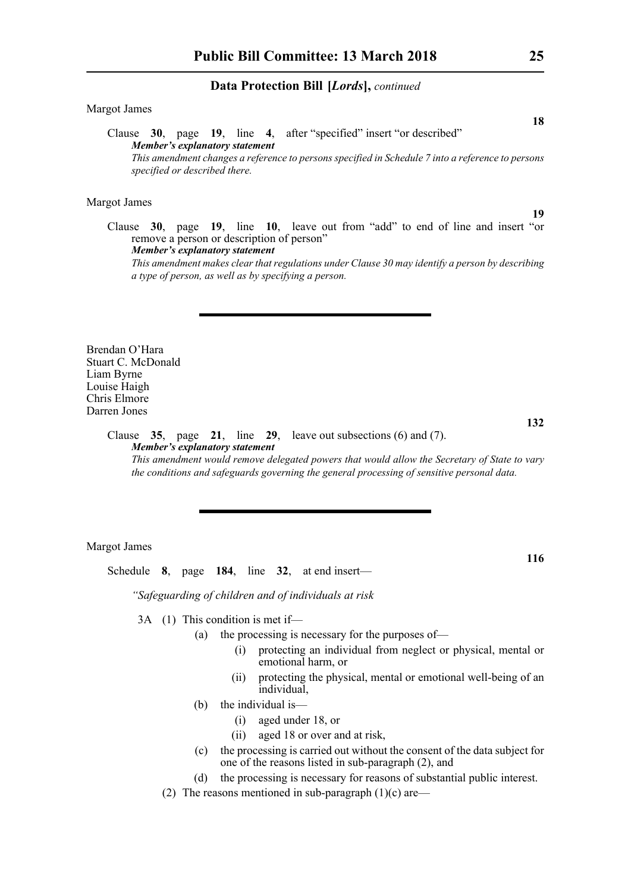#### Margot James

Clause **30**, page **19**, line **4**, after "specified" insert "or described" *Member's explanatory statement This amendment changes a reference to persons specified in Schedule 7 into a reference to persons specified or described there.*

#### Margot James

Clause **30**, page **19**, line **10**, leave out from "add" to end of line and insert "or remove a person or description of person" *Member's explanatory statement* 

*This amendment makes clear that regulations under Clause 30 may identify a person by describing a type of person, as well as by specifying a person.*

Brendan O'Hara Stuart C. McDonald Liam Byrne Louise Haigh Chris Elmore Darren Jones

# **132**

**116**

#### Clause **35**, page **21**, line **29**, leave out subsections (6) and (7). *Member's explanatory statement This amendment would remove delegated powers that would allow the Secretary of State to vary*

*the conditions and safeguards governing the general processing of sensitive personal data.*

#### Margot James

Schedule **8**, page **184**, line **32**, at end insert—

*"Safeguarding of children and of individuals at risk*

3A (1) This condition is met if—

- (a) the processing is necessary for the purposes of—
	- (i) protecting an individual from neglect or physical, mental or emotional harm, or
	- (ii) protecting the physical, mental or emotional well-being of an individual,
- (b) the individual is—
	- (i) aged under 18, or
	- (ii) aged 18 or over and at risk,
- (c) the processing is carried out without the consent of the data subject for one of the reasons listed in sub-paragraph (2), and
- (d) the processing is necessary for reasons of substantial public interest.
- (2) The reasons mentioned in sub-paragraph  $(1)(c)$  are—

**18**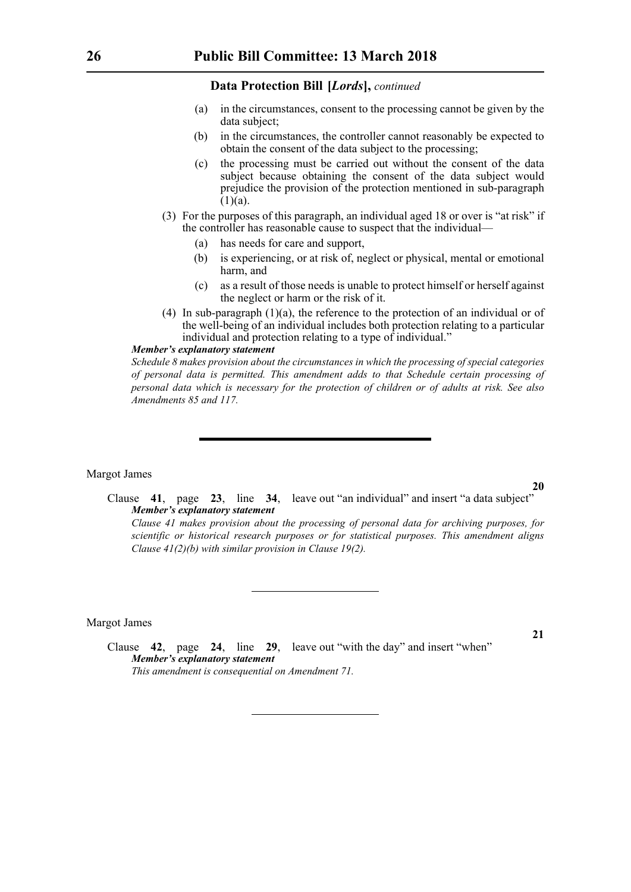- (a) in the circumstances, consent to the processing cannot be given by the data subject;
- (b) in the circumstances, the controller cannot reasonably be expected to obtain the consent of the data subject to the processing;
- (c) the processing must be carried out without the consent of the data subject because obtaining the consent of the data subject would prejudice the provision of the protection mentioned in sub-paragraph  $(1)(a)$ .
- (3) For the purposes of this paragraph, an individual aged 18 or over is "at risk" if the controller has reasonable cause to suspect that the individual—
	- (a) has needs for care and support,
	- (b) is experiencing, or at risk of, neglect or physical, mental or emotional harm, and
	- (c) as a result of those needs is unable to protect himself or herself against the neglect or harm or the risk of it.
- (4) In sub-paragraph (1)(a), the reference to the protection of an individual or of the well-being of an individual includes both protection relating to a particular individual and protection relating to a type of individual."

#### *Member's explanatory statement*

*Schedule 8 makes provision about the circumstances in which the processing of special categories of personal data is permitted. This amendment adds to that Schedule certain processing of personal data which is necessary for the protection of children or of adults at risk. See also Amendments 85 and 117.*

#### Margot James

**20**

**21**

Clause **41**, page **23**, line **34**, leave out "an individual" and insert "a data subject" *Member's explanatory statement* 

*Clause 41 makes provision about the processing of personal data for archiving purposes, for scientific or historical research purposes or for statistical purposes. This amendment aligns Clause 41(2)(b) with similar provision in Clause 19(2).*

Margot James

Clause **42**, page **24**, line **29**, leave out "with the day" and insert "when" *Member's explanatory statement This amendment is consequential on Amendment 71.*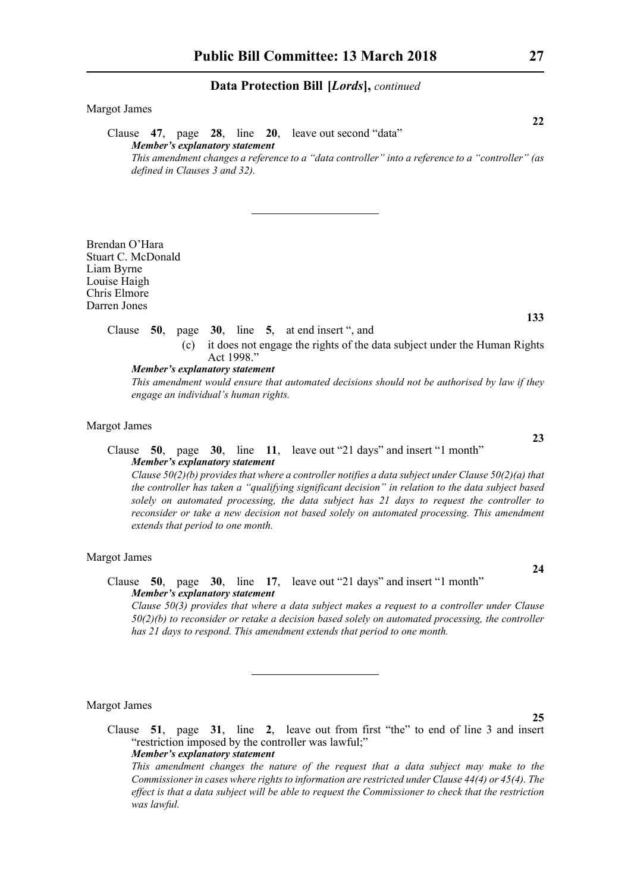# Margot James Clause **47**, page **28**, line **20**, leave out second "data" *Member's explanatory statement This amendment changes a reference to a "data controller" into a reference to a "controller" (as defined in Clauses 3 and 32).*

Brendan O'Hara Stuart C. McDonald Liam Byrne Louise Haigh Chris Elmore Darren Jones

# Clause **50**, page **30**, line **5**, at end insert ", and

(c) it does not engage the rights of the data subject under the Human Rights Act 1998."

*Member's explanatory statement* 

*This amendment would ensure that automated decisions should not be authorised by law if they engage an individual's human rights.*

#### Margot James

### Clause **50**, page **30**, line **11**, leave out "21 days" and insert "1 month" *Member's explanatory statement*

*Clause 50(2)(b) provides that where a controller notifies a data subject under Clause 50(2)(a) that the controller has taken a "qualifying significant decision" in relation to the data subject based solely on automated processing, the data subject has 21 days to request the controller to reconsider or take a new decision not based solely on automated processing. This amendment extends that period to one month.* 

# Margot James

# Clause **50**, page **30**, line **17**, leave out "21 days" and insert "1 month" *Member's explanatory statement*

*Clause 50(3) provides that where a data subject makes a request to a controller under Clause 50(2)(b) to reconsider or retake a decision based solely on automated processing, the controller has 21 days to respond. This amendment extends that period to one month.* 

Margot James

Clause **51**, page **31**, line **2**, leave out from first "the" to end of line 3 and insert "restriction imposed by the controller was lawful;" *Member's explanatory statement* 

*This amendment changes the nature of the request that a data subject may make to the Commissioner in cases where rights to information are restricted under Clause 44(4) or 45(4). The effect is that a data subject will be able to request the Commissioner to check that the restriction was lawful.*

**22**

**23**

**24**

**25**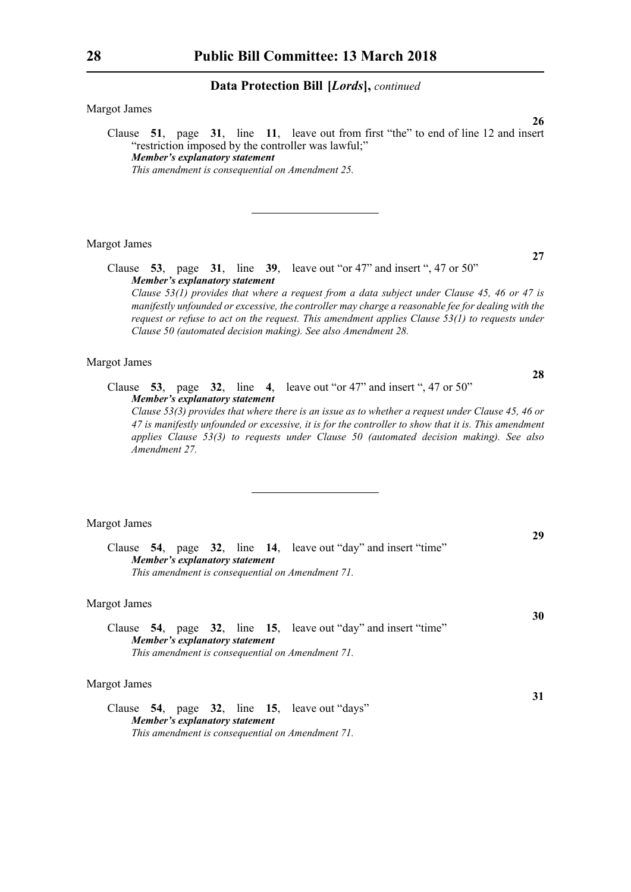Margot James

Clause **51**, page **31**, line **11**, leave out from first "the" to end of line 12 and insert "restriction imposed by the controller was lawful;" *Member's explanatory statement This amendment is consequential on Amendment 25.*

Margot James

Clause **53**, page **31**, line **39**, leave out "or 47" and insert ", 47 or 50" *Member's explanatory statement Clause 53(1) provides that where a request from a data subject under Clause 45, 46 or 47 is*

*manifestly unfounded or excessive, the controller may charge a reasonable fee for dealing with the request or refuse to act on the request. This amendment applies Clause 53(1) to requests under Clause 50 (automated decision making). See also Amendment 28.*

#### Margot James

Clause **53**, page **32**, line **4**, leave out "or 47" and insert ", 47 or 50" *Member's explanatory statement* 

*Clause 53(3) provides that where there is an issue as to whether a request under Clause 45, 46 or 47 is manifestly unfounded or excessive, it is for the controller to show that it is. This amendment applies Clause 53(3) to requests under Clause 50 (automated decision making). See also Amendment 27.*

#### Margot James

Clause **54**, page **32**, line **14**, leave out "day" and insert "time" *Member's explanatory statement This amendment is consequential on Amendment 71.*

#### Margot James

Clause **54**, page **32**, line **15**, leave out "day" and insert "time" *Member's explanatory statement This amendment is consequential on Amendment 71.*

#### Margot James

Clause **54**, page **32**, line **15**, leave out "days" *Member's explanatory statement This amendment is consequential on Amendment 71.*

**27**

**28**

**26**

**29**

**31**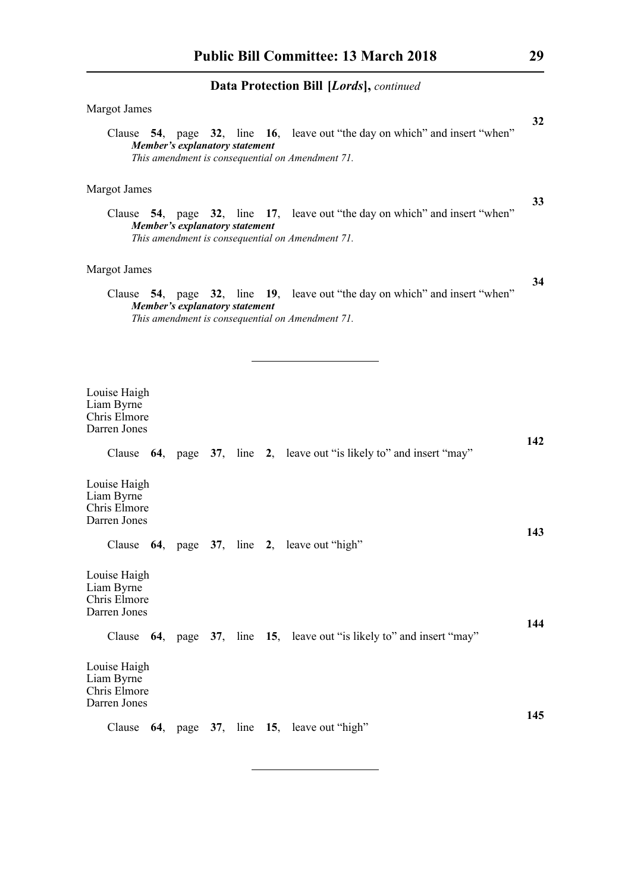| Margot James                                                                                                                                                             | 32  |
|--------------------------------------------------------------------------------------------------------------------------------------------------------------------------|-----|
| Clause 54, page 32, line 16, leave out "the day on which" and insert "when"<br><b>Member's explanatory statement</b><br>This amendment is consequential on Amendment 71. |     |
|                                                                                                                                                                          |     |
| Margot James                                                                                                                                                             |     |
| Clause 54, page 32, line 17, leave out "the day on which" and insert "when"<br>Member's explanatory statement<br>This amendment is consequential on Amendment 71.        | 33  |
| Margot James                                                                                                                                                             |     |
| Clause 54, page 32, line 19, leave out "the day on which" and insert "when"<br><b>Member's explanatory statement</b><br>This amendment is consequential on Amendment 71. | 34  |
|                                                                                                                                                                          |     |
|                                                                                                                                                                          |     |
| Louise Haigh<br>Liam Byrne<br>Chris Elmore<br>Darren Jones                                                                                                               |     |
| Clause 64, page 37, line 2, leave out "is likely to" and insert "may"                                                                                                    | 142 |
| Louise Haigh<br>Liam Byrne<br>Chris Elmore<br>Darren Jones                                                                                                               | 143 |
| Clause 64, page 37, line 2, leave out "high"                                                                                                                             |     |
| Louise Haigh<br>Liam Byrne<br>Chris Elmore<br>Darren Jones                                                                                                               |     |
| Clause 64, page 37, line 15, leave out "is likely to" and insert "may"                                                                                                   | 144 |
| Louise Haigh<br>Liam Byrne<br>Chris Elmore<br>Darren Jones                                                                                                               |     |
| Clause 64, page 37, line 15, leave out "high"                                                                                                                            | 145 |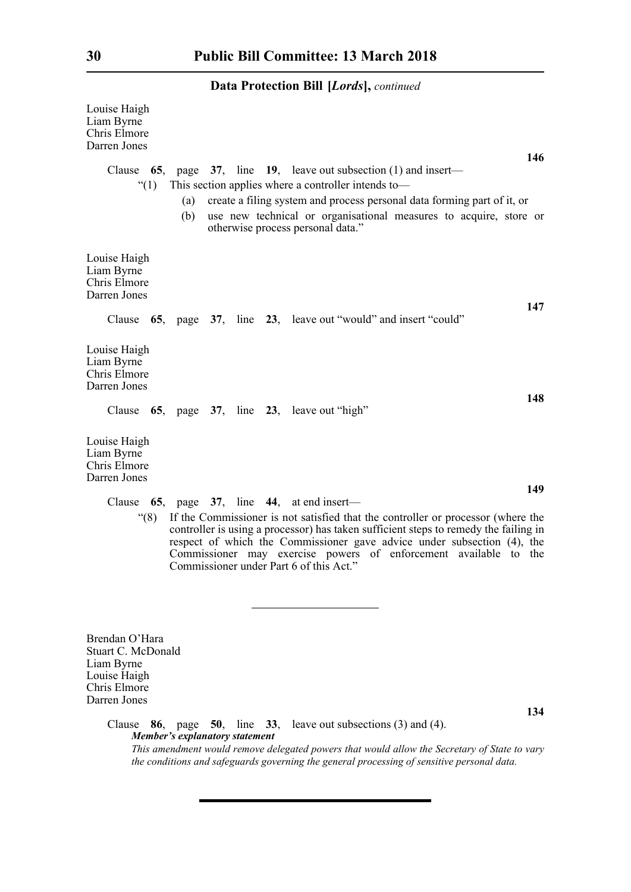| <b>Data Protection Bill [Lords]</b> , continued                                                                                                                                                                                                                                                                                                                           |
|---------------------------------------------------------------------------------------------------------------------------------------------------------------------------------------------------------------------------------------------------------------------------------------------------------------------------------------------------------------------------|
| Louise Haigh<br>Liam Byrne<br>Chris Elmore<br>Darren Jones<br>146                                                                                                                                                                                                                                                                                                         |
| Clause $65$ , page $37$ , line $19$ , leave out subsection (1) and insert—                                                                                                                                                                                                                                                                                                |
| This section applies where a controller intends to—<br>$\degree(1)$                                                                                                                                                                                                                                                                                                       |
| create a filing system and process personal data forming part of it, or<br>(a)<br>(b)<br>use new technical or organisational measures to acquire, store or<br>otherwise process personal data."                                                                                                                                                                           |
| Louise Haigh<br>Liam Byrne<br>Chris Elmore<br>Darren Jones<br>147                                                                                                                                                                                                                                                                                                         |
| Clause 65, page 37, line 23, leave out "would" and insert "could"                                                                                                                                                                                                                                                                                                         |
| Louise Haigh<br>Liam Byrne<br>Chris Elmore<br>Darren Jones<br>148                                                                                                                                                                                                                                                                                                         |
| Clause 65, page 37, line 23, leave out "high"                                                                                                                                                                                                                                                                                                                             |
| Louise Haigh<br>Liam Byrne<br>Chris Elmore<br>Darren Jones<br>149                                                                                                                                                                                                                                                                                                         |
| Clause $65$ , page $37$ , line $44$ , at end insert—                                                                                                                                                                                                                                                                                                                      |
| If the Commissioner is not satisfied that the controller or processor (where the<br>(8)<br>controller is using a processor) has taken sufficient steps to remedy the failing in<br>respect of which the Commissioner gave advice under subsection (4), the<br>Commissioner may exercise powers of enforcement available to the<br>Commissioner under Part 6 of this Act." |

Brendan O'Hara Stuart C. McDonald Liam Byrne Louise Haigh Chris Elmore Darren Jones

Clause **86**, page **50**, line **33**, leave out subsections (3) and (4). *Member's explanatory statement This amendment would remove delegated powers that would allow the Secretary of State to vary the conditions and safeguards governing the general processing of sensitive personal data.*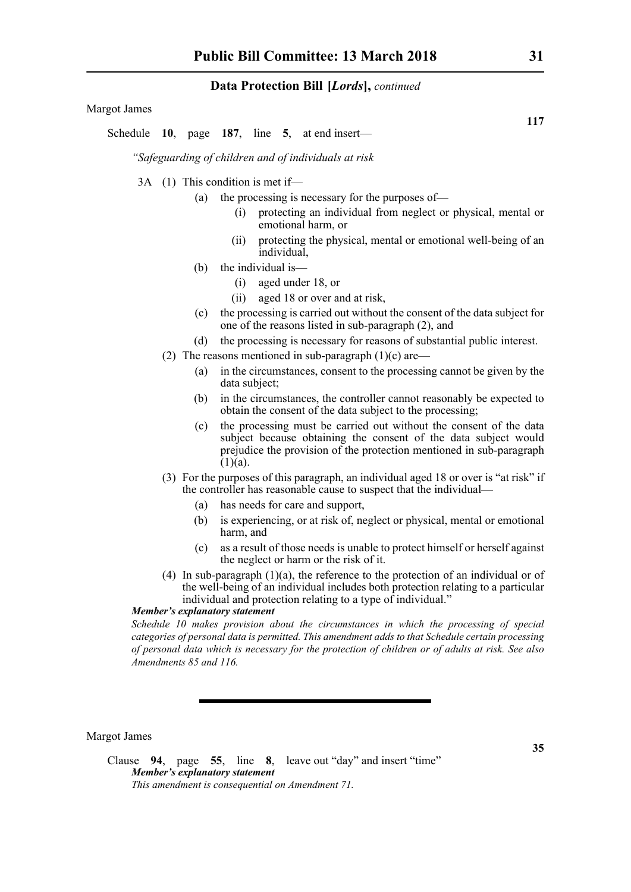Margot James

Schedule **10**, page **187**, line **5**, at end insert—

*"Safeguarding of children and of individuals at risk*

- 3A (1) This condition is met if—
	- (a) the processing is necessary for the purposes of—
		- (i) protecting an individual from neglect or physical, mental or emotional harm, or
		- (ii) protecting the physical, mental or emotional well-being of an individual,
		- (b) the individual is—
			- (i) aged under 18, or
			- (ii) aged 18 or over and at risk,
		- (c) the processing is carried out without the consent of the data subject for one of the reasons listed in sub-paragraph (2), and
		- (d) the processing is necessary for reasons of substantial public interest.
	- (2) The reasons mentioned in sub-paragraph  $(1)(c)$  are—
		- (a) in the circumstances, consent to the processing cannot be given by the data subject;
		- (b) in the circumstances, the controller cannot reasonably be expected to obtain the consent of the data subject to the processing;
		- (c) the processing must be carried out without the consent of the data subject because obtaining the consent of the data subject would prejudice the provision of the protection mentioned in sub-paragraph  $(1)(a)$ .
	- (3) For the purposes of this paragraph, an individual aged 18 or over is "at risk" if the controller has reasonable cause to suspect that the individual—
		- (a) has needs for care and support,
		- (b) is experiencing, or at risk of, neglect or physical, mental or emotional harm, and
		- (c) as a result of those needs is unable to protect himself or herself against the neglect or harm or the risk of it.
	- (4) In sub-paragraph (1)(a), the reference to the protection of an individual or of the well-being of an individual includes both protection relating to a particular individual and protection relating to a type of individual."

# *Member's explanatory statement*

*Schedule 10 makes provision about the circumstances in which the processing of special categories of personal data is permitted. This amendment adds to that Schedule certain processing of personal data which is necessary for the protection of children or of adults at risk. See also Amendments 85 and 116.*

Margot James

**117**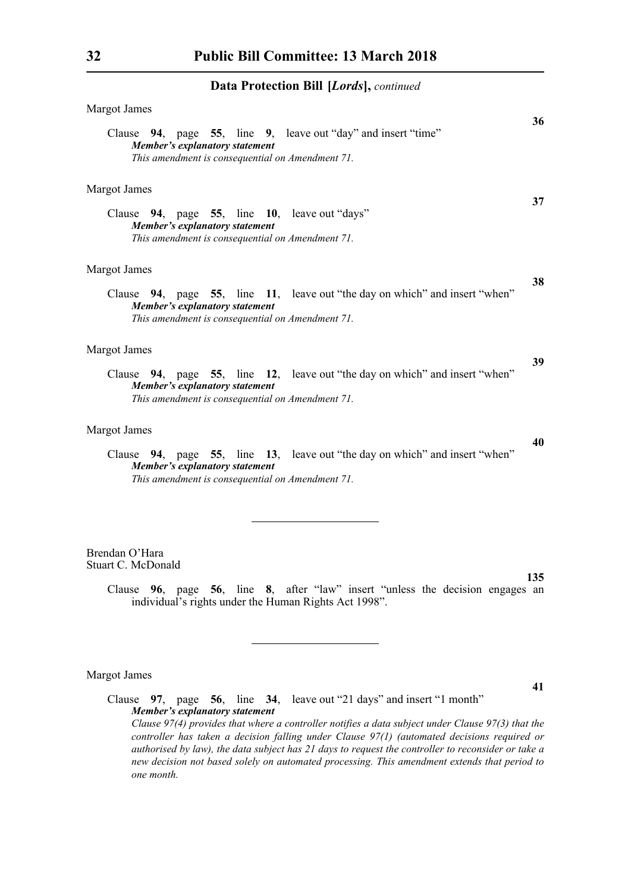| <b>Margot James</b>                                                                                                                                                      | 36 |
|--------------------------------------------------------------------------------------------------------------------------------------------------------------------------|----|
| Clause 94, page 55, line 9, leave out "day" and insert "time"<br>Member's explanatory statement<br>This amendment is consequential on Amendment 71.                      |    |
| <b>Margot James</b>                                                                                                                                                      |    |
| Clause 94, page 55, line 10, leave out "days"<br>Member's explanatory statement<br>This amendment is consequential on Amendment 71.                                      | 37 |
| <b>Margot James</b>                                                                                                                                                      |    |
| Clause 94, page 55, line 11, leave out "the day on which" and insert "when"<br><b>Member's explanatory statement</b><br>This amendment is consequential on Amendment 71. | 38 |
| <b>Margot James</b>                                                                                                                                                      |    |
| Clause 94, page 55, line 12, leave out "the day on which" and insert "when"<br>Member's explanatory statement<br>This amendment is consequential on Amendment 71.        | 39 |
| <b>Margot James</b>                                                                                                                                                      |    |
| Clause 94, page 55, line 13, leave out "the day on which" and insert "when"<br>Member's explanatory statement<br>This amendment is consequential on Amendment 71.        | 40 |
| Brendan O'Hara                                                                                                                                                           |    |

Stuart C. McDonald

Clause **96**, page **56**, line **8**, after "law" insert "unless the decision engages an individual's rights under the Human Rights Act 1998".

# Margot James

**41**

**135**

Clause **97**, page **56**, line **34**, leave out "21 days" and insert "1 month" *Member's explanatory statement Clause 97(4) provides that where a controller notifies a data subject under Clause 97(3) that the controller has taken a decision falling under Clause 97(1) (automated decisions required or authorised by law), the data subject has 21 days to request the controller to reconsider or take a new decision not based solely on automated processing. This amendment extends that period to one month.*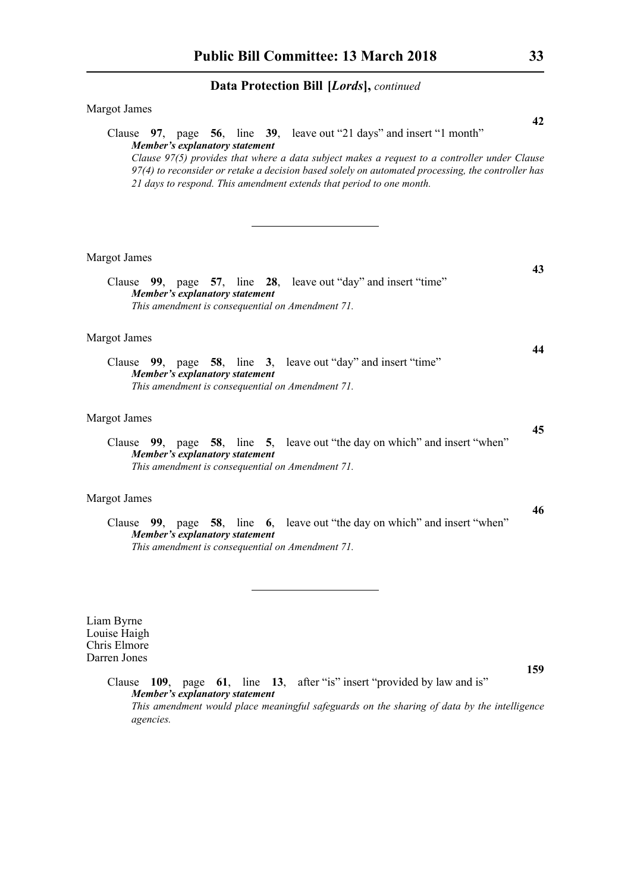| Margot James                                                                                                                                                                                                                                                                                                                                                                                      |
|---------------------------------------------------------------------------------------------------------------------------------------------------------------------------------------------------------------------------------------------------------------------------------------------------------------------------------------------------------------------------------------------------|
| 42<br>Clause 97, page 56, line 39, leave out "21 days" and insert "1 month"<br><b>Member's explanatory statement</b><br>Clause 97(5) provides that where a data subject makes a request to a controller under Clause<br>97(4) to reconsider or retake a decision based solely on automated processing, the controller has<br>21 days to respond. This amendment extends that period to one month. |
| <b>Margot James</b>                                                                                                                                                                                                                                                                                                                                                                               |
| 43<br>Clause 99, page 57, line 28, leave out "day" and insert "time"<br>Member's explanatory statement<br>This amendment is consequential on Amendment 71.                                                                                                                                                                                                                                        |
| Margot James                                                                                                                                                                                                                                                                                                                                                                                      |
| 44<br>Clause 99, page 58, line 3, leave out "day" and insert "time"<br>Member's explanatory statement<br>This amendment is consequential on Amendment 71.                                                                                                                                                                                                                                         |
| <b>Margot James</b>                                                                                                                                                                                                                                                                                                                                                                               |
| 45<br>Clause 99, page 58, line 5, leave out "the day on which" and insert "when"<br>Member's explanatory statement<br>This amendment is consequential on Amendment 71.                                                                                                                                                                                                                            |
| Margot James                                                                                                                                                                                                                                                                                                                                                                                      |
| 46<br>Clause 99, page 58, line 6, leave out "the day on which" and insert "when"<br>Member's explanatory statement<br>This amendment is consequential on Amendment 71.                                                                                                                                                                                                                            |
| Liam Byrne<br>Louise Haigh<br>Chris Elmore                                                                                                                                                                                                                                                                                                                                                        |
| Darren Jones<br>159                                                                                                                                                                                                                                                                                                                                                                               |
| 61, line 13, after "is" insert "provided by law and is"<br>Clause<br>$109$ , page<br>Member's explanatory statement<br>This amendment would place meaningful safeguards on the sharing of data by the intelligence<br>agencies.                                                                                                                                                                   |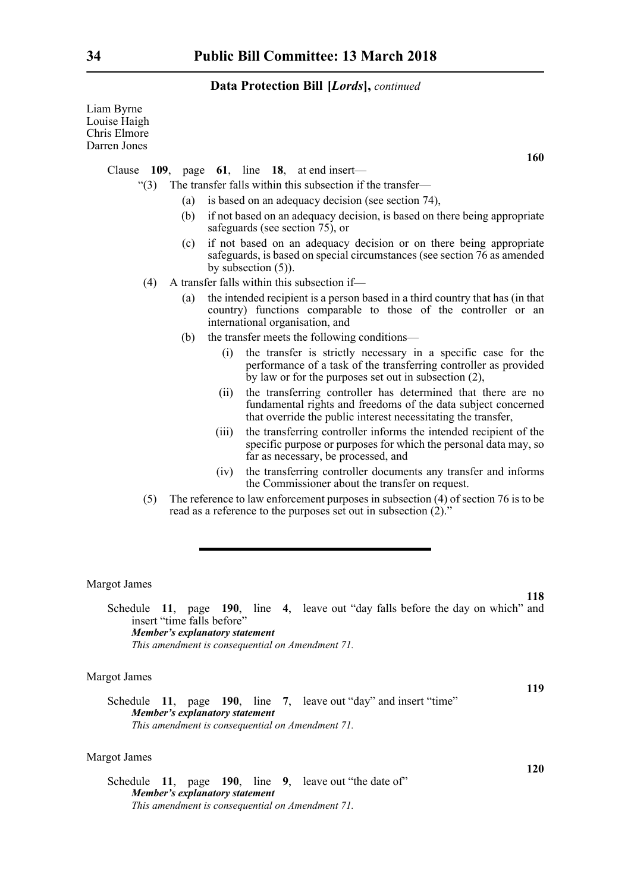| Liam Byrne<br>Louise Haigh<br>Chris Elmore<br>Darren Jones |       |                                                                                                                                                                                                |
|------------------------------------------------------------|-------|------------------------------------------------------------------------------------------------------------------------------------------------------------------------------------------------|
| Clause                                                     |       | 160<br>109, page $61$ , line 18, at end insert—                                                                                                                                                |
| " $(3)$                                                    |       | The transfer falls within this subsection if the transfer-                                                                                                                                     |
|                                                            | (a)   | is based on an adequacy decision (see section 74),                                                                                                                                             |
|                                                            | (b)   | if not based on an adequacy decision, is based on there being appropriate<br>safeguards (see section 75), or                                                                                   |
|                                                            | (c)   | if not based on an adequacy decision or on there being appropriate<br>safeguards, is based on special circumstances (see section 76 as amended<br>by subsection $(5)$ ).                       |
| (4)                                                        |       | A transfer falls within this subsection if-                                                                                                                                                    |
|                                                            | (a)   | the intended recipient is a person based in a third country that has (in that<br>country) functions comparable to those of the controller or an<br>international organisation, and             |
|                                                            | (b)   | the transfer meets the following conditions—                                                                                                                                                   |
|                                                            | (i)   | the transfer is strictly necessary in a specific case for the<br>performance of a task of the transferring controller as provided<br>by law or for the purposes set out in subsection $(2)$ ,  |
|                                                            | (ii)  | the transferring controller has determined that there are no<br>fundamental rights and freedoms of the data subject concerned<br>that override the public interest necessitating the transfer, |
|                                                            | (iii) | the transferring controller informs the intended recipient of the<br>specific purpose or purposes for which the personal data may, so<br>far as necessary, be processed, and                   |
|                                                            | (iv)  | the transferring controller documents any transfer and informs<br>the Commissioner about the transfer on request.                                                                              |
| (5)                                                        |       | The reference to law enforcement purposes in subsection $(4)$ of section 76 is to be<br>read as a reference to the purposes set out in subsection (2)."                                        |
|                                                            |       |                                                                                                                                                                                                |
|                                                            |       |                                                                                                                                                                                                |
| <b>Margot James</b>                                        |       | 118                                                                                                                                                                                            |

Schedule **11**, page **190**, line **4**, leave out "day falls before the day on which" and insert "time falls before" *Member's explanatory statement This amendment is consequential on Amendment 71.*

# Margot James

**119** Schedule **11**, page **190**, line **7**, leave out "day" and insert "time" *Member's explanatory statement This amendment is consequential on Amendment 71.*

# Margot James

Schedule **11**, page **190**, line **9**, leave out "the date of" *Member's explanatory statement This amendment is consequential on Amendment 71.*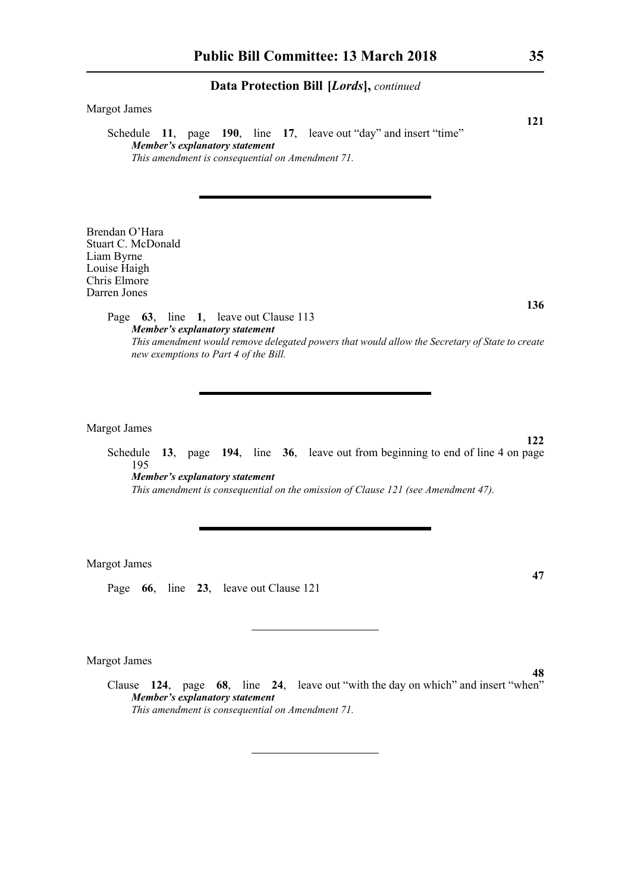| <b>Margot James</b><br>121                                                                                                                                                                                                |
|---------------------------------------------------------------------------------------------------------------------------------------------------------------------------------------------------------------------------|
| Schedule 11, page 190, line 17, leave out "day" and insert "time"<br>Member's explanatory statement                                                                                                                       |
| This amendment is consequential on Amendment 71.                                                                                                                                                                          |
|                                                                                                                                                                                                                           |
| Brendan O'Hara<br>Stuart C. McDonald<br>Liam Byrne<br>Louise Haigh<br>Chris Elmore<br>Darren Jones                                                                                                                        |
| 136<br>Page 63, line 1, leave out Clause 113                                                                                                                                                                              |
| <b>Member's explanatory statement</b><br>This amendment would remove delegated powers that would allow the Secretary of State to create<br>new exemptions to Part 4 of the Bill.                                          |
|                                                                                                                                                                                                                           |
|                                                                                                                                                                                                                           |
| <b>Margot James</b><br>122                                                                                                                                                                                                |
| 13, page 194, line 36, leave out from beginning to end of line 4 on page<br>Schedule<br>195<br><b>Member's explanatory statement</b><br>This amendment is consequential on the omission of Clause 121 (see Amendment 47). |
|                                                                                                                                                                                                                           |
| <b>Margot James</b><br>47                                                                                                                                                                                                 |
| Page 66, line 23, leave out Clause 121                                                                                                                                                                                    |
|                                                                                                                                                                                                                           |
| Margot James                                                                                                                                                                                                              |
| 48<br>Clause 124, page 68, line 24, leave out "with the day on which" and insert "when"<br>Member's explanatory statement<br>This amendment is consequential on Amendment 71.                                             |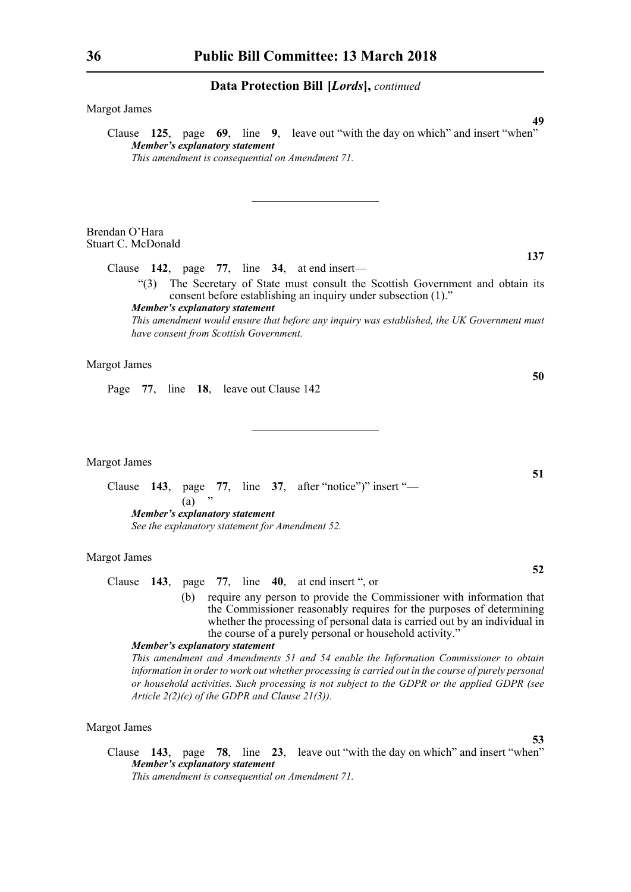Margot James

Clause **125**, page **69**, line **9**, leave out "with the day on which" and insert "when" *Member's explanatory statement This amendment is consequential on Amendment 71.*

Brendan O'Hara Stuart C. McDonald

Clause **142**, page **77**, line **34**, at end insert—

"(3) The Secretary of State must consult the Scottish Government and obtain its consent before establishing an inquiry under subsection (1)."

*Member's explanatory statement* 

*This amendment would ensure that before any inquiry was established, the UK Government must have consent from Scottish Government.*

# Margot James

Page **77**, line **18**, leave out Clause 142

Margot James

Clause **143**, page **77**, line **37**, after "notice")" insert "—  $(a)$ *Member's explanatory statement See the explanatory statement for Amendment 52.*

#### Margot James

- Clause **143**, page **77**, line **40**, at end insert ", or
	- (b) require any person to provide the Commissioner with information that the Commissioner reasonably requires for the purposes of determining whether the processing of personal data is carried out by an individual in the course of a purely personal or household activity."

#### *Member's explanatory statement*

*This amendment and Amendments 51 and 54 enable the Information Commissioner to obtain information in order to work out whether processing is carried out in the course of purely personal or household activities. Such processing is not subject to the GDPR or the applied GDPR (see Article 2(2)(c) of the GDPR and Clause 21(3)).*

#### Margot James

Clause **143**, page **78**, line **23**, leave out "with the day on which" and insert "when" *Member's explanatory statement* 

*This amendment is consequential on Amendment 71.*

**137**

**49**

**51**

**50**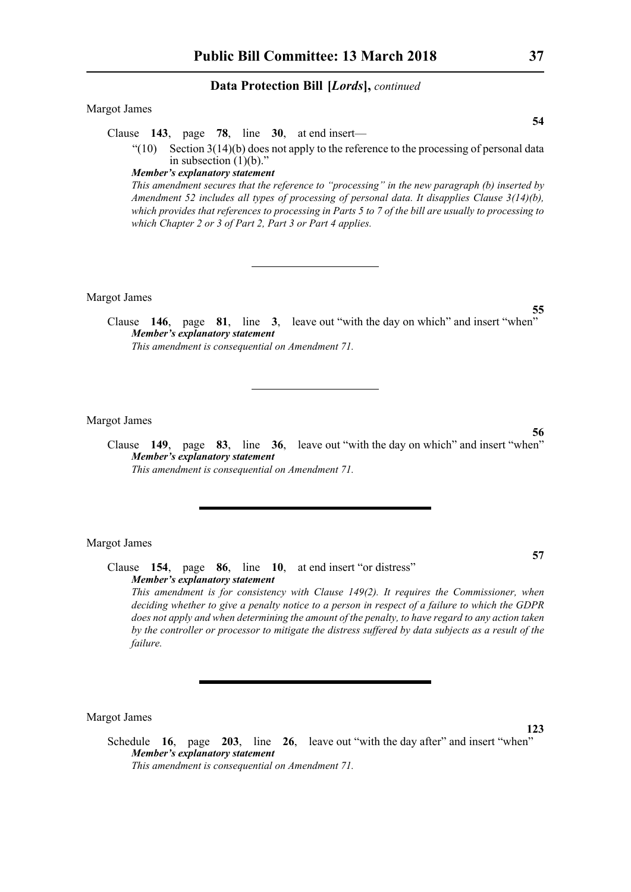# Margot James

Clause **143**, page **78**, line **30**, at end insert—

 $(10)$  Section 3(14)(b) does not apply to the reference to the processing of personal data in subsection (1)(b)."

#### *Member's explanatory statement*

*This amendment secures that the reference to "processing" in the new paragraph (b) inserted by Amendment 52 includes all types of processing of personal data. It disapplies Clause 3(14)(b), which provides that references to processing in Parts 5 to 7 of the bill are usually to processing to which Chapter 2 or 3 of Part 2, Part 3 or Part 4 applies.*

Margot James

Clause **146**, page **81**, line **3**, leave out "with the day on which" and insert "when" *Member's explanatory statement This amendment is consequential on Amendment 71.*

Margot James

Clause **149**, page **83**, line **36**, leave out "with the day on which" and insert "when" *Member's explanatory statement This amendment is consequential on Amendment 71.*

Margot James

Clause **154**, page **86**, line **10**, at end insert "or distress" *Member's explanatory statement This amendment is for consistency with Clause 149(2). It requires the Commissioner, when deciding whether to give a penalty notice to a person in respect of a failure to which the GDPR does not apply and when determining the amount of the penalty, to have regard to any action taken by the controller or processor to mitigate the distress suffered by data subjects as a result of the failure.* 

Margot James

Schedule **16**, page **203**, line **26**, leave out "with the day after" and insert "when" *Member's explanatory statement This amendment is consequential on Amendment 71.*

**123**

**57**

**55**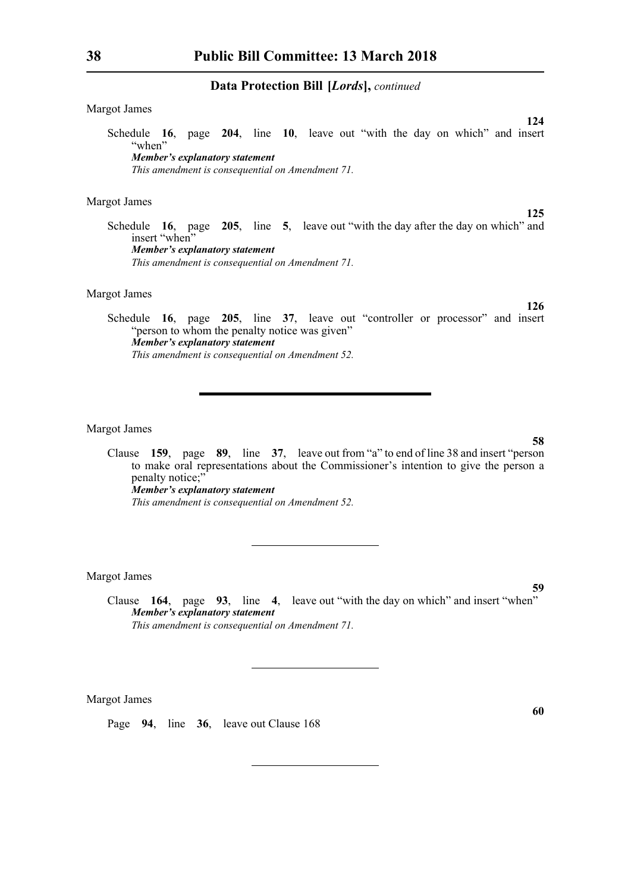# Margot James

Schedule **16**, page **204**, line **10**, leave out "with the day on which" and insert "when" *Member's explanatory statement* 

*This amendment is consequential on Amendment 71.*

#### Margot James

Margot James

Schedule **16**, page **205**, line **5**, leave out "with the day after the day on which" and insert "when" *Member's explanatory statement This amendment is consequential on Amendment 71.*

Schedule **16**, page **205**, line **37**, leave out "controller or processor" and insert "person to whom the penalty notice was given" *Member's explanatory statement This amendment is consequential on Amendment 52.*

# Margot James

Clause **159**, page **89**, line **37**, leave out from "a" to end of line 38 and insert "person to make oral representations about the Commissioner's intention to give the person a penalty notice;" *Member's explanatory statement This amendment is consequential on Amendment 52.*

Margot James

Clause **164**, page **93**, line **4**, leave out "with the day on which" and insert "when" *Member's explanatory statement This amendment is consequential on Amendment 71.*

Margot James

Page **94**, line **36**, leave out Clause 168

**125**

**126**

**124**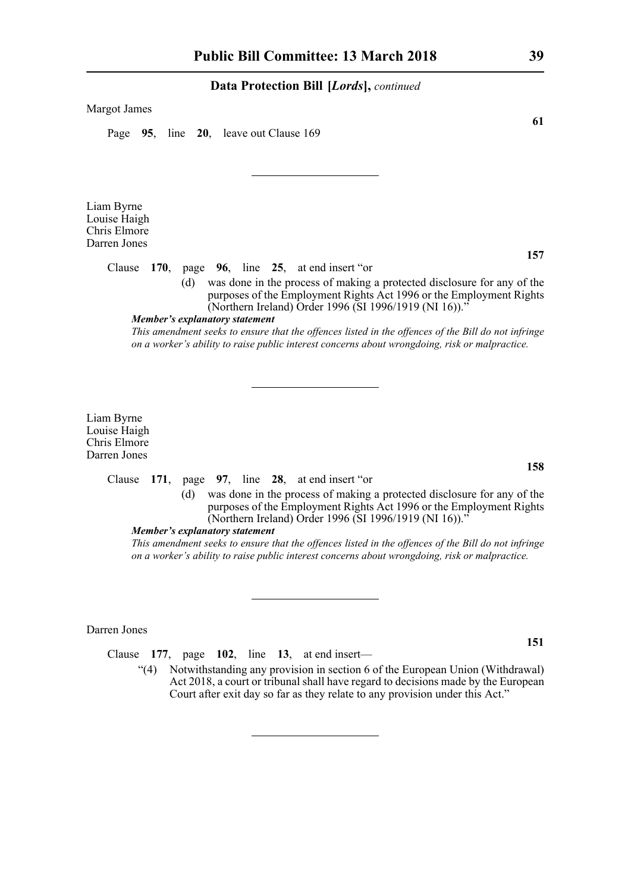#### Margot James

Page **95**, line **20**, leave out Clause 169

Liam Byrne Louise Haigh Chris Elmore Darren Jones

Clause **170**, page **96**, line **25**, at end insert "or

(d) was done in the process of making a protected disclosure for any of the purposes of the Employment Rights Act 1996 or the Employment Rights (Northern Ireland) Order 1996 (SI 1996/1919 (NI 16)).'

# *Member's explanatory statement*

*This amendment seeks to ensure that the offences listed in the offences of the Bill do not infringe on a worker's ability to raise public interest concerns about wrongdoing, risk or malpractice.*

Liam Byrne Louise Haigh Chris Elmore Darren Jones

### Clause **171**, page **97**, line **28**, at end insert "or

(d) was done in the process of making a protected disclosure for any of the purposes of the Employment Rights Act 1996 or the Employment Rights (Northern Ireland) Order 1996 (SI 1996/1919 (NI 16)).'

### *Member's explanatory statement*

*This amendment seeks to ensure that the offences listed in the offences of the Bill do not infringe on a worker's ability to raise public interest concerns about wrongdoing, risk or malpractice.*

Darren Jones

Clause **177**, page **102**, line **13**, at end insert—

"(4) Notwithstanding any provision in section 6 of the European Union (Withdrawal) Act 2018, a court or tribunal shall have regard to decisions made by the European Court after exit day so far as they relate to any provision under this Act."

**61**

**151**

# **157**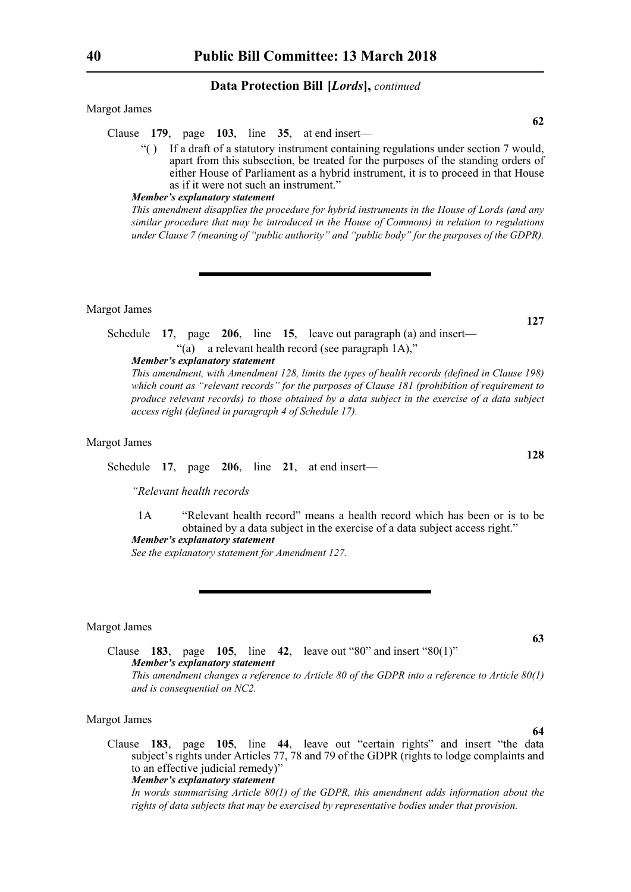Margot James

Clause **179**, page **103**, line **35**, at end insert—

"( ) If a draft of a statutory instrument containing regulations under section 7 would, apart from this subsection, be treated for the purposes of the standing orders of either House of Parliament as a hybrid instrument, it is to proceed in that House as if it were not such an instrument."

#### *Member's explanatory statement*

*This amendment disapplies the procedure for hybrid instruments in the House of Lords (and any similar procedure that may be introduced in the House of Commons) in relation to regulations under Clause 7 (meaning of "public authority" and "public body" for the purposes of the GDPR).*

Margot James

Schedule **17**, page **206**, line **15**, leave out paragraph (a) and insert— "(a) a relevant health record (see paragraph 1A),"

*Member's explanatory statement* 

*This amendment, with Amendment 128, limits the types of health records (defined in Clause 198) which count as "relevant records" for the purposes of Clause 181 (prohibition of requirement to produce relevant records) to those obtained by a data subject in the exercise of a data subject access right (defined in paragraph 4 of Schedule 17).*

#### Margot James

Schedule **17**, page **206**, line **21**, at end insert—

*"Relevant health records*

1A "Relevant health record" means a health record which has been or is to be obtained by a data subject in the exercise of a data subject access right." *Member's explanatory statement* 

*See the explanatory statement for Amendment 127.*

#### Margot James

Clause **183**, page **105**, line **42**, leave out "80" and insert "80(1)" *Member's explanatory statement This amendment changes a reference to Article 80 of the GDPR into a reference to Article 80(1) and is consequential on NC2.*

#### Margot James

Clause **183**, page **105**, line **44**, leave out "certain rights" and insert "the data subject's rights under Articles 77, 78 and 79 of the GDPR (rights to lodge complaints and to an effective judicial remedy)' *Member's explanatory statement* 

*In words summarising Article 80(1) of the GDPR, this amendment adds information about the rights of data subjects that may be exercised by representative bodies under that provision.*

**127**

**62**

**128**

**63**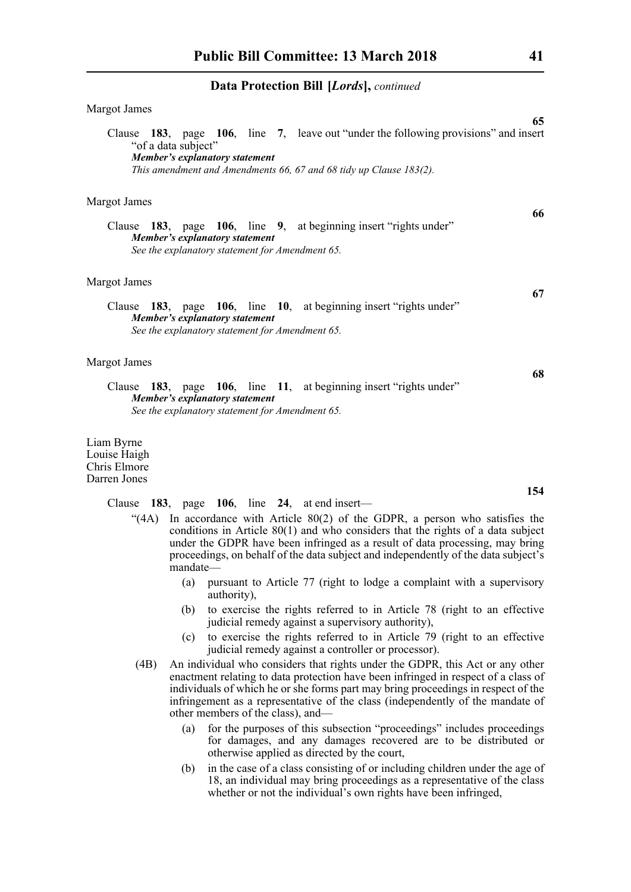| <b>Margot James</b>                                                                                                                                                                                                                                                                                  |
|------------------------------------------------------------------------------------------------------------------------------------------------------------------------------------------------------------------------------------------------------------------------------------------------------|
| 65<br>Clause 183, page 106, line 7, leave out "under the following provisions" and insert<br>"of a data subject"<br>Member's explanatory statement<br>This amendment and Amendments 66, 67 and 68 tidy up Clause 183(2).                                                                             |
| <b>Margot James</b>                                                                                                                                                                                                                                                                                  |
| 66<br>Clause 183, page 106, line 9, at beginning insert "rights under"<br>Member's explanatory statement<br>See the explanatory statement for Amendment 65.                                                                                                                                          |
| <b>Margot James</b>                                                                                                                                                                                                                                                                                  |
| 67<br>Clause 183, page 106, line 10, at beginning insert "rights under"<br>Member's explanatory statement<br>See the explanatory statement for Amendment 65.                                                                                                                                         |
| <b>Margot James</b>                                                                                                                                                                                                                                                                                  |
| 68<br>Clause 183, page 106, line 11, at beginning insert "rights under"<br>Member's explanatory statement<br>See the explanatory statement for Amendment 65.                                                                                                                                         |
| Liam Byrne<br>Louise Haigh<br>Chris Elmore<br>Darren Jones                                                                                                                                                                                                                                           |
| 154                                                                                                                                                                                                                                                                                                  |
| Clause 183, page 106, line 24, at end insert-<br>"(4A) In accordance with Article 80(2) of the GDPR, a person who satisfies the<br>conditions in Article $80(1)$ and who considers that the rights of a data subject<br>under the GDPR have been infringed as a result of data processing, may bring |

- proceedings, on behalf of the data subject and independently of the data subject's mandate— (a) pursuant to Article 77 (right to lodge a complaint with a supervisory
	- authority), (b) to exercise the rights referred to in Article 78 (right to an effective judicial remedy against a supervisory authority),
	- (c) to exercise the rights referred to in Article 79 (right to an effective judicial remedy against a controller or processor).
- (4B) An individual who considers that rights under the GDPR, this Act or any other enactment relating to data protection have been infringed in respect of a class of individuals of which he or she forms part may bring proceedings in respect of the infringement as a representative of the class (independently of the mandate of other members of the class), and—
	- (a) for the purposes of this subsection "proceedings" includes proceedings for damages, and any damages recovered are to be distributed or otherwise applied as directed by the court,
	- (b) in the case of a class consisting of or including children under the age of 18, an individual may bring proceedings as a representative of the class whether or not the individual's own rights have been infringed,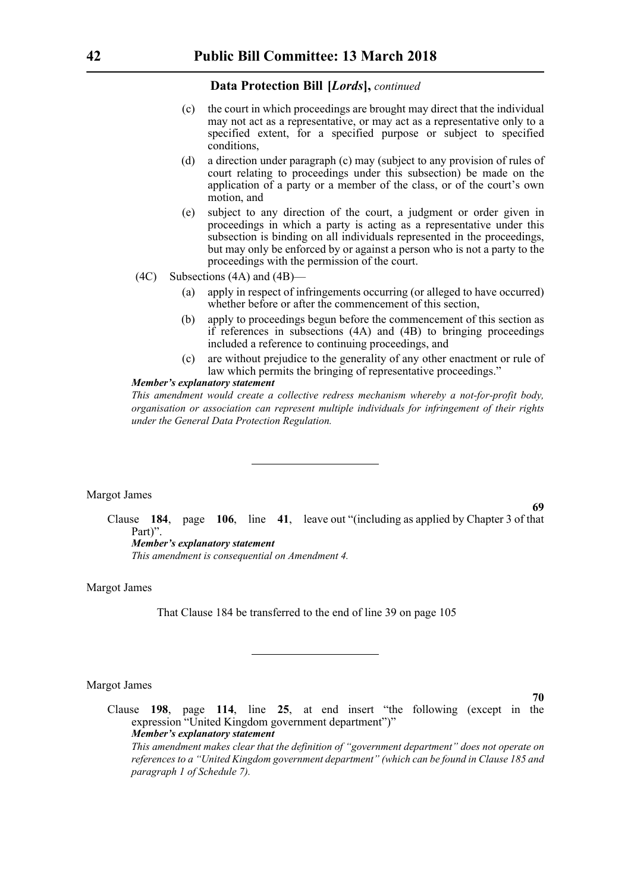- (c) the court in which proceedings are brought may direct that the individual may not act as a representative, or may act as a representative only to a specified extent, for a specified purpose or subject to specified conditions,
- (d) a direction under paragraph (c) may (subject to any provision of rules of court relating to proceedings under this subsection) be made on the application of a party or a member of the class, or of the court's own motion, and
- (e) subject to any direction of the court, a judgment or order given in proceedings in which a party is acting as a representative under this subsection is binding on all individuals represented in the proceedings, but may only be enforced by or against a person who is not a party to the proceedings with the permission of the court.
- (4C) Subsections (4A) and (4B)—
	- (a) apply in respect of infringements occurring (or alleged to have occurred) whether before or after the commencement of this section,
	- (b) apply to proceedings begun before the commencement of this section as if references in subsections (4A) and (4B) to bringing proceedings included a reference to continuing proceedings, and
	- (c) are without prejudice to the generality of any other enactment or rule of law which permits the bringing of representative proceedings."

# *Member's explanatory statement*

*This amendment would create a collective redress mechanism whereby a not-for-profit body, organisation or association can represent multiple individuals for infringement of their rights under the General Data Protection Regulation.*

# Margot James

**69**

**70**

Clause **184**, page **106**, line **41**, leave out "(including as applied by Chapter 3 of that Part)". *Member's explanatory statement* 

*This amendment is consequential on Amendment 4.*

#### Margot James

That Clause 184 be transferred to the end of line 39 on page 105

Margot James

Clause **198**, page **114**, line **25**, at end insert "the following (except in the expression "United Kingdom government department")" *Member's explanatory statement This amendment makes clear that the definition of "government department" does not operate on references to a "United Kingdom government department" (which can be found in Clause 185 and paragraph 1 of Schedule 7).*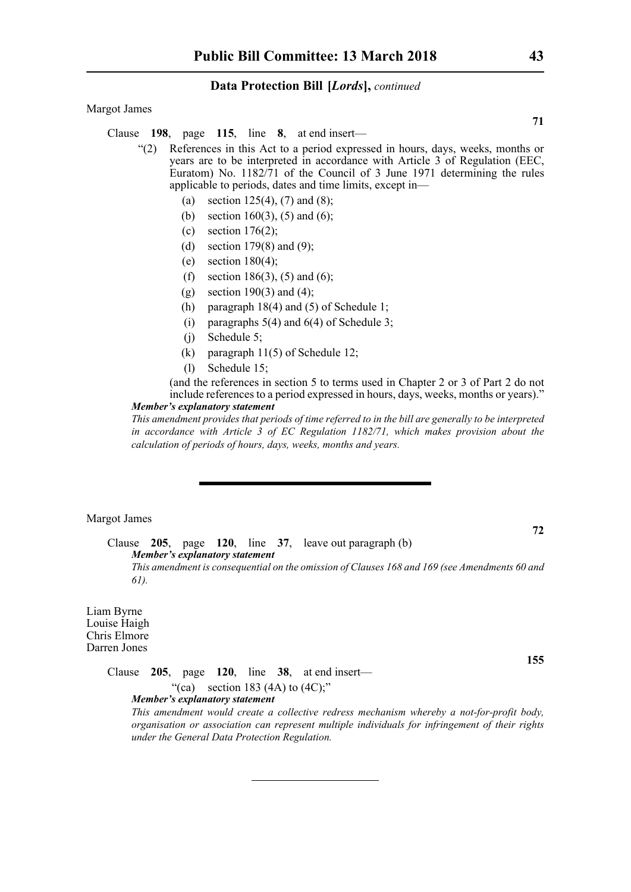Margot James

Clause **198**, page **115**, line **8**, at end insert—

- "(2) References in this Act to a period expressed in hours, days, weeks, months or years are to be interpreted in accordance with Article 3 of Regulation (EEC, Euratom) No. 1182/71 of the Council of 3 June 1971 determining the rules applicable to periods, dates and time limits, except in—
	- (a) section  $125(4)$ ,  $(7)$  and  $(8)$ ;
	- (b) section 160(3), (5) and (6);
	- (c) section  $176(2)$ ;
	- (d) section 179 $(8)$  and  $(9)$ ;
	- (e) section  $180(4)$ ;
	- (f) section 186(3), (5) and (6);
	- (g) section 190(3) and (4);
	- (h) paragraph 18(4) and (5) of Schedule 1;
	- (i) paragraphs  $5(4)$  and  $6(4)$  of Schedule 3;
	- (j) Schedule 5;
	- (k) paragraph 11(5) of Schedule 12;
	- (l) Schedule 15;

(and the references in section 5 to terms used in Chapter 2 or 3 of Part 2 do not include references to a period expressed in hours, days, weeks, months or years)."

# *Member's explanatory statement*

*This amendment provides that periods of time referred to in the bill are generally to be interpreted in accordance with Article 3 of EC Regulation 1182/71, which makes provision about the calculation of periods of hours, days, weeks, months and years.*

Margot James

**72**

**155**

Clause **205**, page **120**, line **37**, leave out paragraph (b) *Member's explanatory statement This amendment is consequential on the omission of Clauses 168 and 169 (see Amendments 60 and 61).*

Liam Byrne Louise Haigh Chris Elmore Darren Jones

> Clause **205**, page **120**, line **38**, at end insert— "(ca) section 183 (4A) to  $(4C)$ ;" *Member's explanatory statement*

*This amendment would create a collective redress mechanism whereby a not-for-profit body, organisation or association can represent multiple individuals for infringement of their rights under the General Data Protection Regulation.*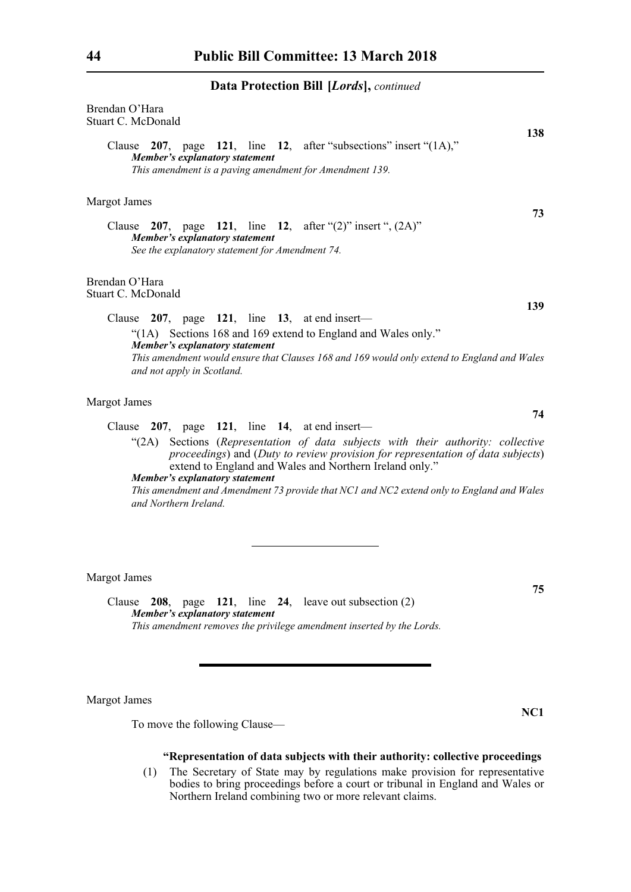| Brendan O'Hara<br>Stuart C. McDonald                                                                                                                                                                                                                                                                                                                                                                                                      | 138 |
|-------------------------------------------------------------------------------------------------------------------------------------------------------------------------------------------------------------------------------------------------------------------------------------------------------------------------------------------------------------------------------------------------------------------------------------------|-----|
| Clause 207, page 121, line 12, after "subsections" insert "(1A),"<br>Member's explanatory statement<br>This amendment is a paving amendment for Amendment 139.                                                                                                                                                                                                                                                                            |     |
| <b>Margot James</b>                                                                                                                                                                                                                                                                                                                                                                                                                       |     |
| Clause 207, page 121, line 12, after " $(2)$ " insert ", $(2A)$ "<br>Member's explanatory statement<br>See the explanatory statement for Amendment 74.                                                                                                                                                                                                                                                                                    | 73  |
| Brendan O'Hara<br>Stuart C. McDonald                                                                                                                                                                                                                                                                                                                                                                                                      | 139 |
| Clause $207$ , page 121, line 13, at end insert—<br>"(1A) Sections 168 and 169 extend to England and Wales only."<br>Member's explanatory statement<br>This amendment would ensure that Clauses 168 and 169 would only extend to England and Wales<br>and not apply in Scotland.                                                                                                                                                          |     |
| <b>Margot James</b>                                                                                                                                                                                                                                                                                                                                                                                                                       | 74  |
| Clause 207, page 121, line 14, at end insert-<br>Sections (Representation of data subjects with their authority: collective<br>(2A)<br>proceedings) and (Duty to review provision for representation of data subjects)<br>extend to England and Wales and Northern Ireland only."<br>Member's explanatory statement<br>This amendment and Amendment 73 provide that NC1 and NC2 extend only to England and Wales<br>and Northern Ireland. |     |
| <b>Margot James</b>                                                                                                                                                                                                                                                                                                                                                                                                                       | 75  |
| $\Omega$ $\Omega$<br>$101 \t 17 \t 01 \t 17 \t 11 \t 01$                                                                                                                                                                                                                                                                                                                                                                                  |     |

Clause **208**, page **121**, line **24**, leave out subsection (2) *Member's explanatory statement This amendment removes the privilege amendment inserted by the Lords.*

Margot James

To move the following Clause—

# **"Representation of data subjects with their authority: collective proceedings**

**NC1**

(1) The Secretary of State may by regulations make provision for representative bodies to bring proceedings before a court or tribunal in England and Wales or Northern Ireland combining two or more relevant claims.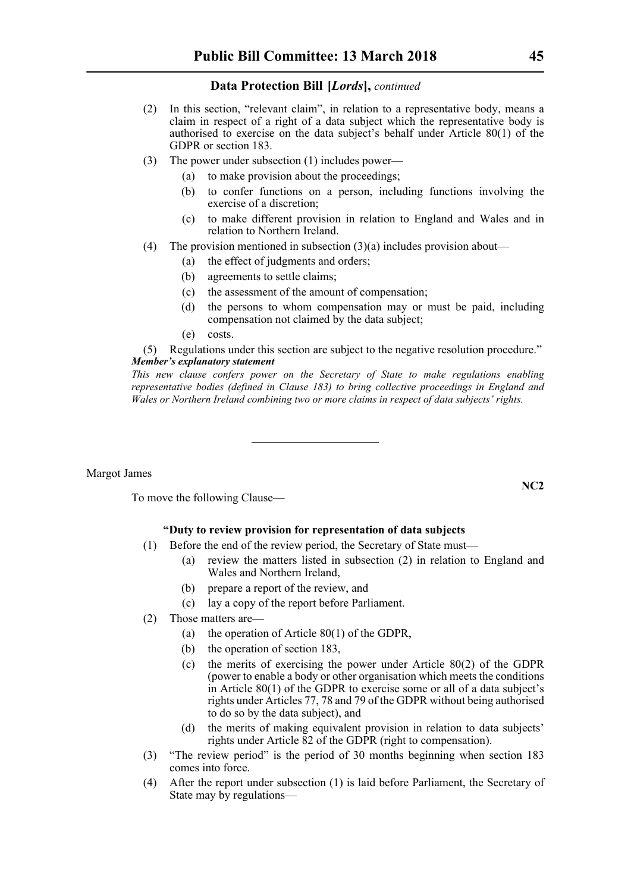- (2) In this section, "relevant claim", in relation to a representative body, means a claim in respect of a right of a data subject which the representative body is authorised to exercise on the data subject's behalf under Article 80(1) of the GDPR or section 183.
- (3) The power under subsection (1) includes power—
	- (a) to make provision about the proceedings;
	- (b) to confer functions on a person, including functions involving the exercise of a discretion;
	- (c) to make different provision in relation to England and Wales and in relation to Northern Ireland.
- (4) The provision mentioned in subsection  $(3)(a)$  includes provision about—
	- (a) the effect of judgments and orders;
	- (b) agreements to settle claims;
	- (c) the assessment of the amount of compensation;
	- (d) the persons to whom compensation may or must be paid, including compensation not claimed by the data subject;
	- (e) costs.

(5) Regulations under this section are subject to the negative resolution procedure." *Member's explanatory statement* 

*This new clause confers power on the Secretary of State to make regulations enabling representative bodies (defined in Clause 183) to bring collective proceedings in England and Wales or Northern Ireland combining two or more claims in respect of data subjects' rights.*

Margot James

To move the following Clause—

# **"Duty to review provision for representation of data subjects**

- (1) Before the end of the review period, the Secretary of State must—
	- (a) review the matters listed in subsection (2) in relation to England and Wales and Northern Ireland,
	- (b) prepare a report of the review, and
	- (c) lay a copy of the report before Parliament.
- (2) Those matters are—
	- (a) the operation of Article 80(1) of the GDPR,
	- (b) the operation of section 183,
	- (c) the merits of exercising the power under Article 80(2) of the GDPR (power to enable a body or other organisation which meets the conditions in Article 80(1) of the GDPR to exercise some or all of a data subject's rights under Articles 77, 78 and 79 of the GDPR without being authorised to do so by the data subject), and
	- (d) the merits of making equivalent provision in relation to data subjects' rights under Article 82 of the GDPR (right to compensation).
- (3) "The review period" is the period of 30 months beginning when section 183 comes into force.
- (4) After the report under subsection (1) is laid before Parliament, the Secretary of State may by regulations—

**NC2**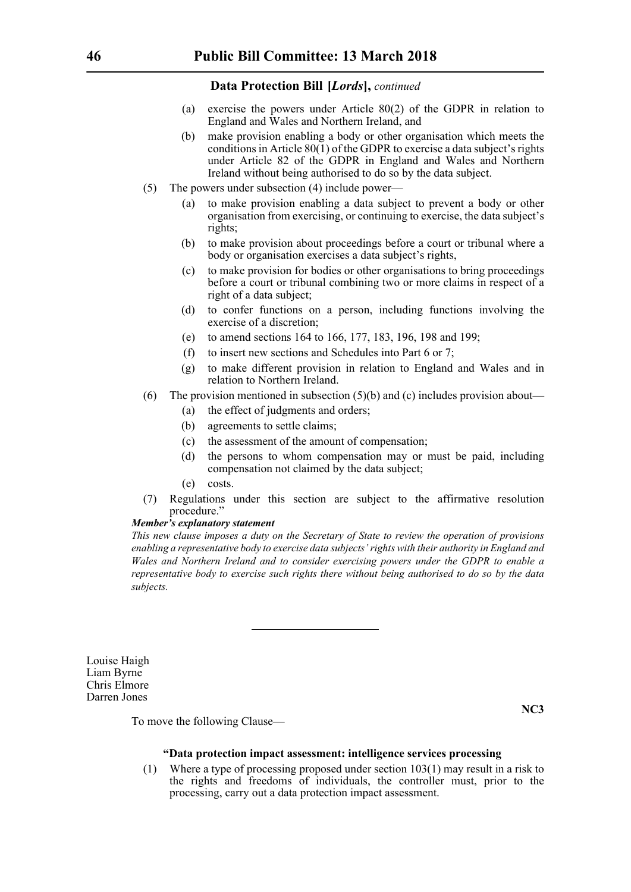- (a) exercise the powers under Article 80(2) of the GDPR in relation to England and Wales and Northern Ireland, and
- (b) make provision enabling a body or other organisation which meets the conditions in Article  $80(1)$  of the GDPR to exercise a data subject's rights under Article 82 of the GDPR in England and Wales and Northern Ireland without being authorised to do so by the data subject.
- (5) The powers under subsection (4) include power—
	- (a) to make provision enabling a data subject to prevent a body or other organisation from exercising, or continuing to exercise, the data subject's rights;
	- (b) to make provision about proceedings before a court or tribunal where a body or organisation exercises a data subject's rights,
	- (c) to make provision for bodies or other organisations to bring proceedings before a court or tribunal combining two or more claims in respect of a right of a data subject;
	- (d) to confer functions on a person, including functions involving the exercise of a discretion;
	- (e) to amend sections 164 to 166, 177, 183, 196, 198 and 199;
	- (f) to insert new sections and Schedules into Part 6 or 7;
	- (g) to make different provision in relation to England and Wales and in relation to Northern Ireland.
- (6) The provision mentioned in subsection  $(5)(b)$  and (c) includes provision about—
	- (a) the effect of judgments and orders;
	- (b) agreements to settle claims;
	- (c) the assessment of the amount of compensation;
	- (d) the persons to whom compensation may or must be paid, including compensation not claimed by the data subject;
	- (e) costs.
- (7) Regulations under this section are subject to the affirmative resolution procedure.'

#### *Member's explanatory statement*

*This new clause imposes a duty on the Secretary of State to review the operation of provisions enabling a representative body to exercise data subjects' rights with their authority in England and Wales and Northern Ireland and to consider exercising powers under the GDPR to enable a representative body to exercise such rights there without being authorised to do so by the data subjects.*

Louise Haigh Liam Byrne Chris Elmore Darren Jones

To move the following Clause—

# **"Data protection impact assessment: intelligence services processing**

**NC3**

(1) Where a type of processing proposed under section 103(1) may result in a risk to the rights and freedoms of individuals, the controller must, prior to the processing, carry out a data protection impact assessment.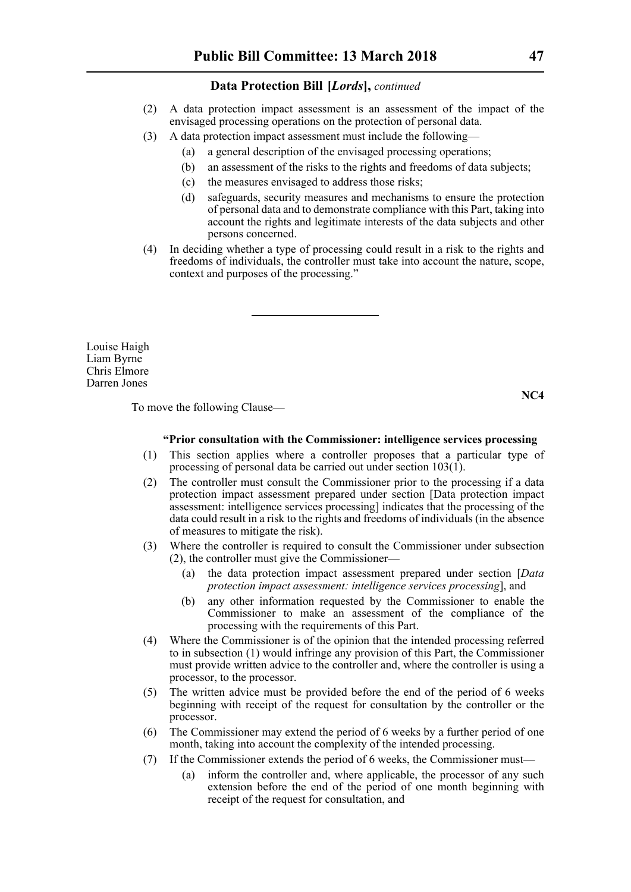- (2) A data protection impact assessment is an assessment of the impact of the envisaged processing operations on the protection of personal data.
- (3) A data protection impact assessment must include the following—
	- (a) a general description of the envisaged processing operations;
	- (b) an assessment of the risks to the rights and freedoms of data subjects;
	- (c) the measures envisaged to address those risks;
	- (d) safeguards, security measures and mechanisms to ensure the protection of personal data and to demonstrate compliance with this Part, taking into account the rights and legitimate interests of the data subjects and other persons concerned.
- (4) In deciding whether a type of processing could result in a risk to the rights and freedoms of individuals, the controller must take into account the nature, scope, context and purposes of the processing."

Louise Haigh Liam Byrne Chris Elmore Darren Jones

To move the following Clause—

**NC4**

# **"Prior consultation with the Commissioner: intelligence services processing**

- (1) This section applies where a controller proposes that a particular type of processing of personal data be carried out under section  $103(1)$ .
- (2) The controller must consult the Commissioner prior to the processing if a data protection impact assessment prepared under section [Data protection impact assessment: intelligence services processing] indicates that the processing of the data could result in a risk to the rights and freedoms of individuals (in the absence of measures to mitigate the risk).
- (3) Where the controller is required to consult the Commissioner under subsection (2), the controller must give the Commissioner—
	- (a) the data protection impact assessment prepared under section [*Data protection impact assessment: intelligence services processing*], and
	- (b) any other information requested by the Commissioner to enable the Commissioner to make an assessment of the compliance of the processing with the requirements of this Part.
- (4) Where the Commissioner is of the opinion that the intended processing referred to in subsection (1) would infringe any provision of this Part, the Commissioner must provide written advice to the controller and, where the controller is using a processor, to the processor.
- (5) The written advice must be provided before the end of the period of 6 weeks beginning with receipt of the request for consultation by the controller or the processor.
- (6) The Commissioner may extend the period of 6 weeks by a further period of one month, taking into account the complexity of the intended processing.
- (7) If the Commissioner extends the period of 6 weeks, the Commissioner must—
	- (a) inform the controller and, where applicable, the processor of any such extension before the end of the period of one month beginning with receipt of the request for consultation, and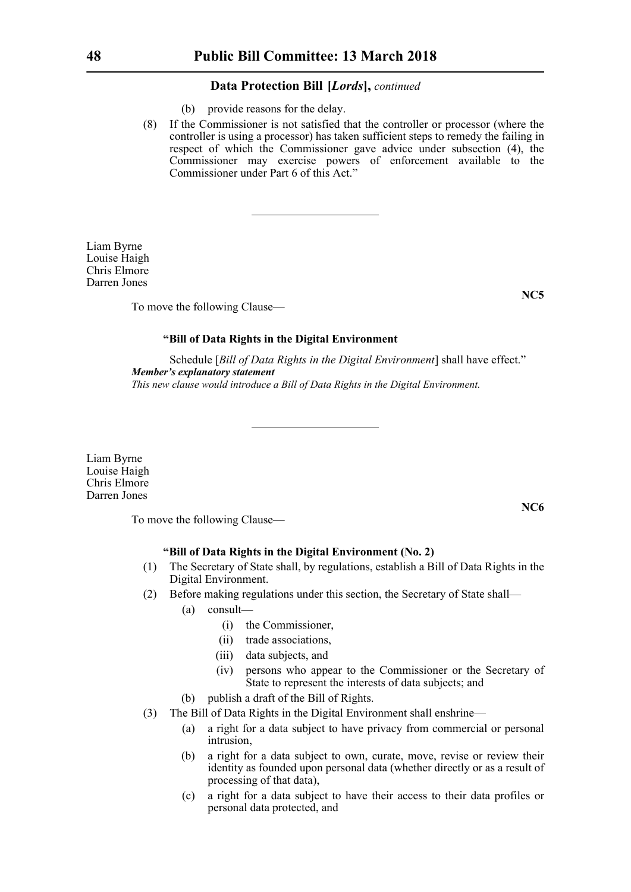- (b) provide reasons for the delay.
- (8) If the Commissioner is not satisfied that the controller or processor (where the controller is using a processor) has taken sufficient steps to remedy the failing in respect of which the Commissioner gave advice under subsection (4), the Commissioner may exercise powers of enforcement available to the Commissioner under Part 6 of this Act."

Liam Byrne Louise Haigh Chris Elmore Darren Jones

To move the following Clause—

#### **"Bill of Data Rights in the Digital Environment**

Schedule [*Bill of Data Rights in the Digital Environment*] shall have effect." *Member's explanatory statement This new clause would introduce a Bill of Data Rights in the Digital Environment.*

Liam Byrne Louise Haigh Chris Elmore Darren Jones

To move the following Clause—

# **"Bill of Data Rights in the Digital Environment (No. 2)**

- (1) The Secretary of State shall, by regulations, establish a Bill of Data Rights in the Digital Environment.
- (2) Before making regulations under this section, the Secretary of State shall—
	- (a) consult—
		- (i) the Commissioner,
		- (ii) trade associations,
		- (iii) data subjects, and
		- (iv) persons who appear to the Commissioner or the Secretary of State to represent the interests of data subjects; and
	- (b) publish a draft of the Bill of Rights.
- (3) The Bill of Data Rights in the Digital Environment shall enshrine—
	- (a) a right for a data subject to have privacy from commercial or personal intrusion,
	- (b) a right for a data subject to own, curate, move, revise or review their identity as founded upon personal data (whether directly or as a result of processing of that data),
	- (c) a right for a data subject to have their access to their data profiles or personal data protected, and

**NC5**

**NC6**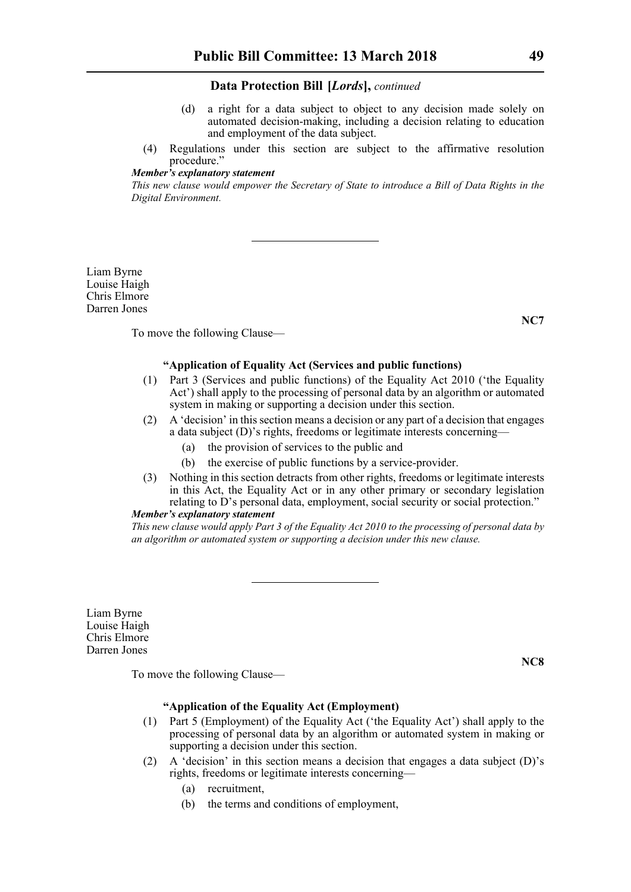- (d) a right for a data subject to object to any decision made solely on automated decision-making, including a decision relating to education and employment of the data subject.
- (4) Regulations under this section are subject to the affirmative resolution procedure<sup>'</sup>

# *Member's explanatory statement*

*This new clause would empower the Secretary of State to introduce a Bill of Data Rights in the Digital Environment.*

Liam Byrne Louise Haigh Chris Elmore Darren Jones

To move the following Clause—

# **"Application of Equality Act (Services and public functions)**

- (1) Part 3 (Services and public functions) of the Equality Act 2010 ('the Equality Act') shall apply to the processing of personal data by an algorithm or automated system in making or supporting a decision under this section.
- (2) A 'decision' in this section means a decision or any part of a decision that engages a data subject (D)'s rights, freedoms or legitimate interests concerning—
	- (a) the provision of services to the public and
	- (b) the exercise of public functions by a service-provider.
- (3) Nothing in this section detracts from other rights, freedoms or legitimate interests in this Act, the Equality Act or in any other primary or secondary legislation relating to D's personal data, employment, social security or social protection."

# *Member's explanatory statement*

*This new clause would apply Part 3 of the Equality Act 2010 to the processing of personal data by an algorithm or automated system or supporting a decision under this new clause.*

Liam Byrne Louise Haigh Chris Elmore Darren Jones

To move the following Clause—

# **"Application of the Equality Act (Employment)**

- (1) Part 5 (Employment) of the Equality Act ('the Equality Act') shall apply to the processing of personal data by an algorithm or automated system in making or supporting a decision under this section.
- (2) A 'decision' in this section means a decision that engages a data subject  $(D)$ 's rights, freedoms or legitimate interests concerning—
	- (a) recruitment,
	- (b) the terms and conditions of employment,

**NC8**

**NC7**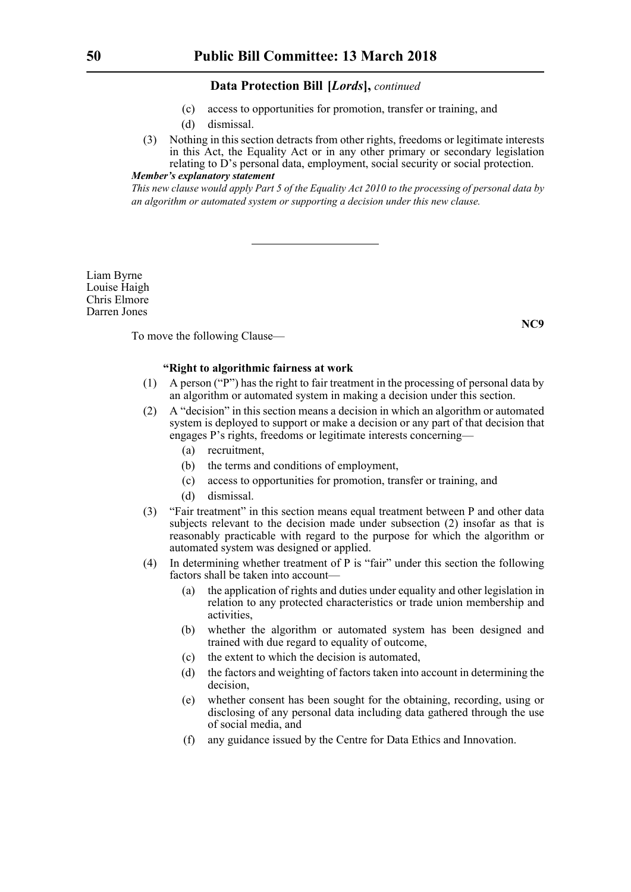- (c) access to opportunities for promotion, transfer or training, and
- (d) dismissal.
- (3) Nothing in this section detracts from other rights, freedoms or legitimate interests in this Act, the Equality Act or in any other primary or secondary legislation relating to D's personal data, employment, social security or social protection. *Member's explanatory statement*

*This new clause would apply Part 5 of the Equality Act 2010 to the processing of personal data by an algorithm or automated system or supporting a decision under this new clause.*

Liam Byrne Louise Haigh Chris Elmore Darren Jones

**NC9**

To move the following Clause—

### **"Right to algorithmic fairness at work**

- (1) A person ("P") has the right to fair treatment in the processing of personal data by an algorithm or automated system in making a decision under this section.
- (2) A "decision" in this section means a decision in which an algorithm or automated system is deployed to support or make a decision or any part of that decision that engages P's rights, freedoms or legitimate interests concerning—
	- (a) recruitment,
	- (b) the terms and conditions of employment,
	- (c) access to opportunities for promotion, transfer or training, and
	- (d) dismissal.
- (3) "Fair treatment" in this section means equal treatment between P and other data subjects relevant to the decision made under subsection (2) insofar as that is reasonably practicable with regard to the purpose for which the algorithm or automated system was designed or applied.
- (4) In determining whether treatment of P is "fair" under this section the following factors shall be taken into account—
	- (a) the application of rights and duties under equality and other legislation in relation to any protected characteristics or trade union membership and activities,
	- (b) whether the algorithm or automated system has been designed and trained with due regard to equality of outcome,
	- (c) the extent to which the decision is automated,
	- (d) the factors and weighting of factors taken into account in determining the decision,
	- (e) whether consent has been sought for the obtaining, recording, using or disclosing of any personal data including data gathered through the use of social media, and
	- (f) any guidance issued by the Centre for Data Ethics and Innovation.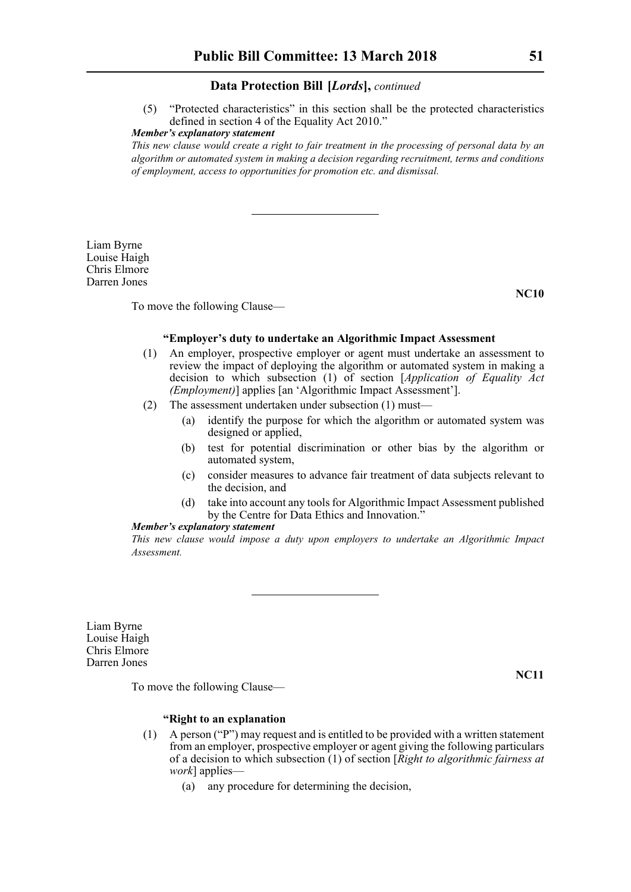(5) "Protected characteristics" in this section shall be the protected characteristics defined in section 4 of the Equality Act 2010."

# *Member's explanatory statement*

*This new clause would create a right to fair treatment in the processing of personal data by an algorithm or automated system in making a decision regarding recruitment, terms and conditions of employment, access to opportunities for promotion etc. and dismissal.*

Liam Byrne Louise Haigh Chris Elmore Darren Jones

To move the following Clause—

#### **"Employer's duty to undertake an Algorithmic Impact Assessment**

- (1) An employer, prospective employer or agent must undertake an assessment to review the impact of deploying the algorithm or automated system in making a decision to which subsection (1) of section [*Application of Equality Act (Employment)*] applies [an 'Algorithmic Impact Assessment'].
- (2) The assessment undertaken under subsection (1) must—
	- (a) identify the purpose for which the algorithm or automated system was designed or applied,
	- (b) test for potential discrimination or other bias by the algorithm or automated system,
	- (c) consider measures to advance fair treatment of data subjects relevant to the decision, and
	- (d) take into account any tools for Algorithmic Impact Assessment published by the Centre for Data Ethics and Innovation.<sup>5</sup>

#### *Member's explanatory statement*

*This new clause would impose a duty upon employers to undertake an Algorithmic Impact Assessment.*

Liam Byrne Louise Haigh Chris Elmore Darren Jones

**NC11**

To move the following Clause—

# **"Right to an explanation**

- (1) A person ("P") may request and is entitled to be provided with a written statement from an employer, prospective employer or agent giving the following particulars of a decision to which subsection (1) of section [*Right to algorithmic fairness at work*] applies—
	- (a) any procedure for determining the decision,

**NC10**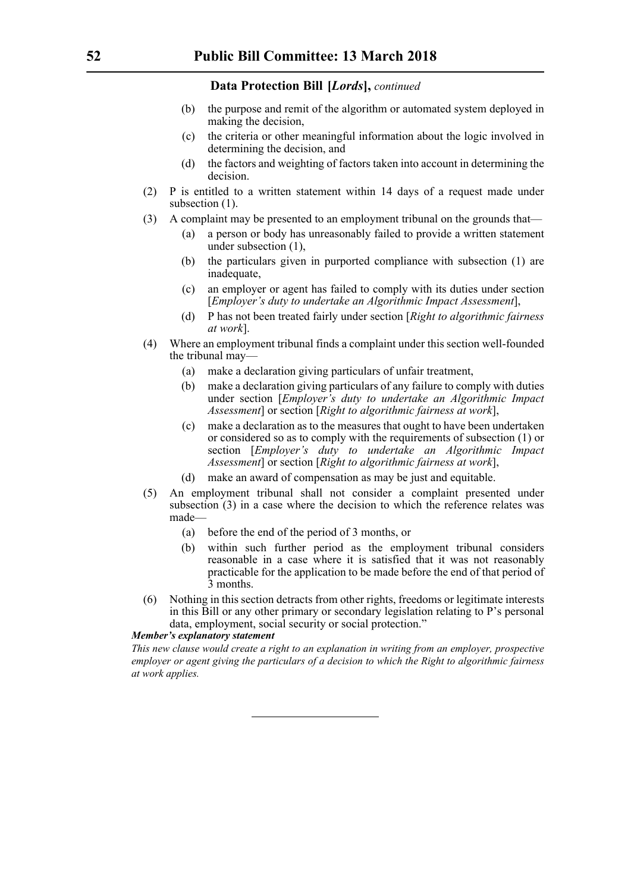- (b) the purpose and remit of the algorithm or automated system deployed in making the decision,
- (c) the criteria or other meaningful information about the logic involved in determining the decision, and
- (d) the factors and weighting of factors taken into account in determining the decision.
- (2) P is entitled to a written statement within 14 days of a request made under subsection  $(1)$ .
- (3) A complaint may be presented to an employment tribunal on the grounds that—
	- (a) a person or body has unreasonably failed to provide a written statement under subsection (1),
	- (b) the particulars given in purported compliance with subsection (1) are inadequate,
	- (c) an employer or agent has failed to comply with its duties under section [*Employer's duty to undertake an Algorithmic Impact Assessment*],
	- (d) P has not been treated fairly under section [*Right to algorithmic fairness at work*].
- (4) Where an employment tribunal finds a complaint under this section well-founded the tribunal may—
	- (a) make a declaration giving particulars of unfair treatment,
	- (b) make a declaration giving particulars of any failure to comply with duties under section [*Employer's duty to undertake an Algorithmic Impact Assessment*] or section [*Right to algorithmic fairness at work*],
	- (c) make a declaration as to the measures that ought to have been undertaken or considered so as to comply with the requirements of subsection (1) or section [*Employer's duty to undertake an Algorithmic Impact Assessment*] or section [*Right to algorithmic fairness at work*],
	- (d) make an award of compensation as may be just and equitable.
- (5) An employment tribunal shall not consider a complaint presented under subsection (3) in a case where the decision to which the reference relates was made—
	- (a) before the end of the period of 3 months, or
	- (b) within such further period as the employment tribunal considers reasonable in a case where it is satisfied that it was not reasonably practicable for the application to be made before the end of that period of 3 months.
- (6) Nothing in this section detracts from other rights, freedoms or legitimate interests in this Bill or any other primary or secondary legislation relating to P's personal data, employment, social security or social protection."

# *Member's explanatory statement*

*This new clause would create a right to an explanation in writing from an employer, prospective employer or agent giving the particulars of a decision to which the Right to algorithmic fairness at work applies.*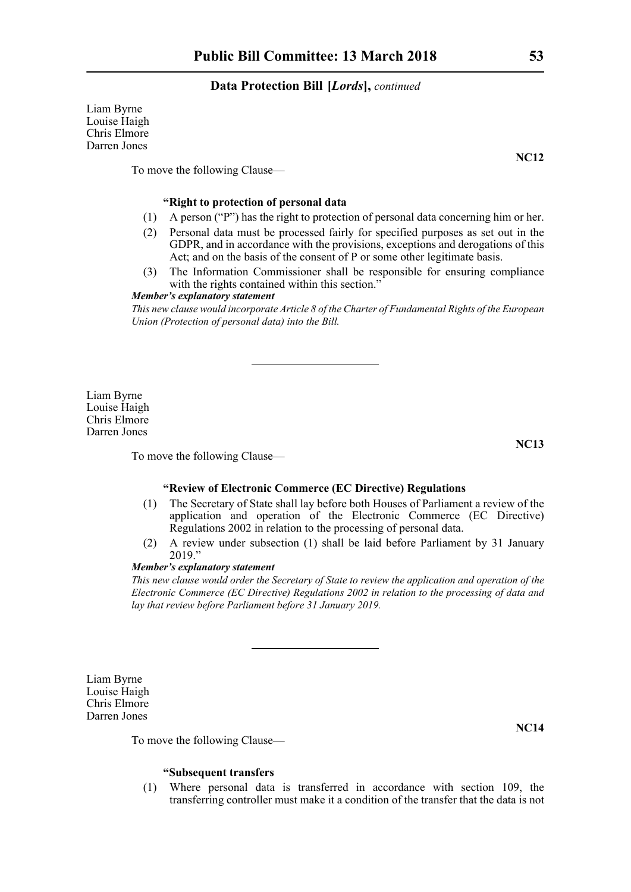Liam Byrne Louise Haigh Chris Elmore Darren Jones

**NC12**

To move the following Clause—

# **"Right to protection of personal data**

- (1) A person ("P") has the right to protection of personal data concerning him or her.
- (2) Personal data must be processed fairly for specified purposes as set out in the GDPR, and in accordance with the provisions, exceptions and derogations of this Act; and on the basis of the consent of P or some other legitimate basis.
- (3) The Information Commissioner shall be responsible for ensuring compliance with the rights contained within this section."

# *Member's explanatory statement*

*This new clause would incorporate Article 8 of the Charter of Fundamental Rights of the European Union (Protection of personal data) into the Bill.*

Liam Byrne Louise Haigh Chris Elmore Darren Jones

To move the following Clause—

# **"Review of Electronic Commerce (EC Directive) Regulations**

- (1) The Secretary of State shall lay before both Houses of Parliament a review of the application and operation of the Electronic Commerce (EC Directive) Regulations 2002 in relation to the processing of personal data.
- (2) A review under subsection (1) shall be laid before Parliament by 31 January  $2019."$

#### *Member's explanatory statement*

*This new clause would order the Secretary of State to review the application and operation of the Electronic Commerce (EC Directive) Regulations 2002 in relation to the processing of data and lay that review before Parliament before 31 January 2019.*

Liam Byrne Louise Haigh Chris Elmore Darren Jones

To move the following Clause—

#### **"Subsequent transfers**

(1) Where personal data is transferred in accordance with section 109, the transferring controller must make it a condition of the transfer that the data is not

**NC13**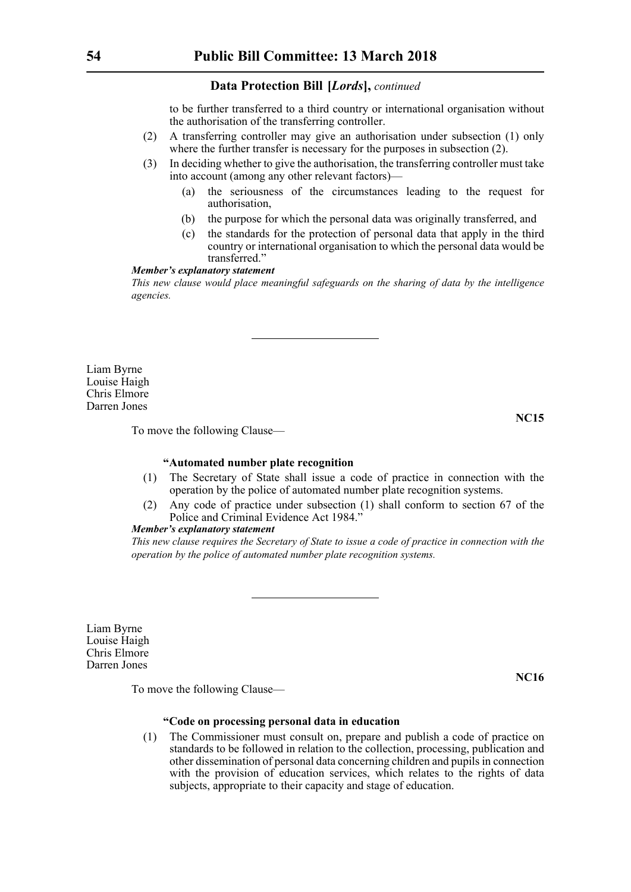to be further transferred to a third country or international organisation without the authorisation of the transferring controller.

- (2) A transferring controller may give an authorisation under subsection (1) only where the further transfer is necessary for the purposes in subsection  $(2)$ .
- (3) In deciding whether to give the authorisation, the transferring controller must take into account (among any other relevant factors)—
	- (a) the seriousness of the circumstances leading to the request for authorisation,
	- (b) the purpose for which the personal data was originally transferred, and
	- (c) the standards for the protection of personal data that apply in the third country or international organisation to which the personal data would be transferred."

#### *Member's explanatory statement*

*This new clause would place meaningful safeguards on the sharing of data by the intelligence agencies.*

Liam Byrne Louise Haigh Chris Elmore Darren Jones

**NC15**

To move the following Clause—

# **"Automated number plate recognition**

- (1) The Secretary of State shall issue a code of practice in connection with the operation by the police of automated number plate recognition systems.
- (2) Any code of practice under subsection (1) shall conform to section 67 of the Police and Criminal Evidence Act 1984.'

# *Member's explanatory statement*

*This new clause requires the Secretary of State to issue a code of practice in connection with the operation by the police of automated number plate recognition systems.*

Liam Byrne Louise Haigh Chris Elmore Darren Jones

**NC16**

To move the following Clause—

# **"Code on processing personal data in education**

(1) The Commissioner must consult on, prepare and publish a code of practice on standards to be followed in relation to the collection, processing, publication and other dissemination of personal data concerning children and pupils in connection with the provision of education services, which relates to the rights of data subjects, appropriate to their capacity and stage of education.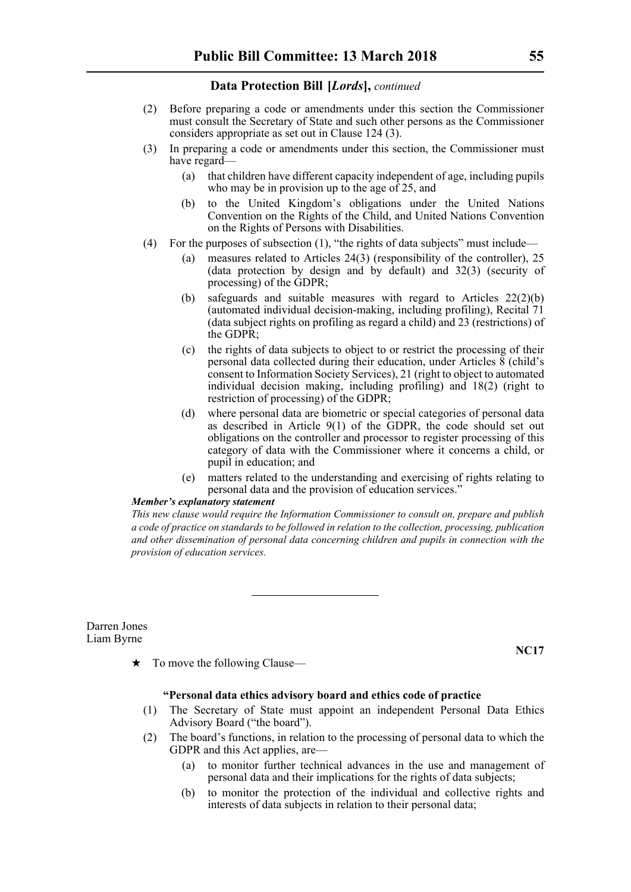- (2) Before preparing a code or amendments under this section the Commissioner must consult the Secretary of State and such other persons as the Commissioner considers appropriate as set out in Clause 124 (3).
- (3) In preparing a code or amendments under this section, the Commissioner must have regard—
	- (a) that children have different capacity independent of age, including pupils who may be in provision up to the age of 25, and
	- (b) to the United Kingdom's obligations under the United Nations Convention on the Rights of the Child, and United Nations Convention on the Rights of Persons with Disabilities.
- (4) For the purposes of subsection (1), "the rights of data subjects" must include—
	- (a) measures related to Articles 24(3) (responsibility of the controller), 25 (data protection by design and by default) and 32(3) (security of processing) of the GDPR;
	- (b) safeguards and suitable measures with regard to Articles 22(2)(b) (automated individual decision-making, including profiling), Recital 71 (data subject rights on profiling as regard a child) and 23 (restrictions) of the GDPR;
	- (c) the rights of data subjects to object to or restrict the processing of their personal data collected during their education, under Articles 8 (child's consent to Information Society Services), 21 (right to object to automated individual decision making, including profiling) and 18(2) (right to restriction of processing) of the GDPR;
	- (d) where personal data are biometric or special categories of personal data as described in Article 9(1) of the GDPR, the code should set out obligations on the controller and processor to register processing of this category of data with the Commissioner where it concerns a child, or pupil in education; and
	- (e) matters related to the understanding and exercising of rights relating to personal data and the provision of education services."

#### *Member's explanatory statement*

*This new clause would require the Information Commissioner to consult on, prepare and publish a code of practice on standards to be followed in relation to the collection, processing, publication and other dissemination of personal data concerning children and pupils in connection with the provision of education services.*

Darren Jones Liam Byrne

**NC17**

 $\star$  To move the following Clause—

#### **"Personal data ethics advisory board and ethics code of practice**

- (1) The Secretary of State must appoint an independent Personal Data Ethics Advisory Board ("the board").
- (2) The board's functions, in relation to the processing of personal data to which the GDPR and this Act applies, are—
	- (a) to monitor further technical advances in the use and management of personal data and their implications for the rights of data subjects;
	- (b) to monitor the protection of the individual and collective rights and interests of data subjects in relation to their personal data;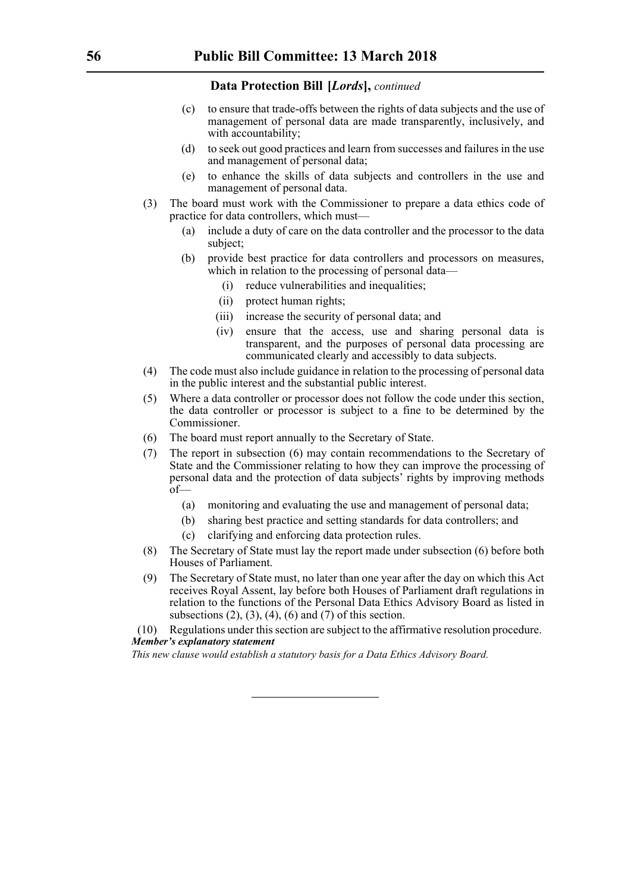- (c) to ensure that trade-offs between the rights of data subjects and the use of management of personal data are made transparently, inclusively, and with accountability;
- (d) to seek out good practices and learn from successes and failures in the use and management of personal data;
- (e) to enhance the skills of data subjects and controllers in the use and management of personal data.
- (3) The board must work with the Commissioner to prepare a data ethics code of practice for data controllers, which must—
	- (a) include a duty of care on the data controller and the processor to the data subject;
	- (b) provide best practice for data controllers and processors on measures, which in relation to the processing of personal data—
		- (i) reduce vulnerabilities and inequalities;
		- (ii) protect human rights;
		- (iii) increase the security of personal data; and
		- (iv) ensure that the access, use and sharing personal data is transparent, and the purposes of personal data processing are communicated clearly and accessibly to data subjects.
- (4) The code must also include guidance in relation to the processing of personal data in the public interest and the substantial public interest.
- (5) Where a data controller or processor does not follow the code under this section, the data controller or processor is subject to a fine to be determined by the Commissioner.
- (6) The board must report annually to the Secretary of State.
- (7) The report in subsection (6) may contain recommendations to the Secretary of State and the Commissioner relating to how they can improve the processing of personal data and the protection of data subjects' rights by improving methods of—
	- (a) monitoring and evaluating the use and management of personal data;
	- (b) sharing best practice and setting standards for data controllers; and
	- (c) clarifying and enforcing data protection rules.
- (8) The Secretary of State must lay the report made under subsection (6) before both Houses of Parliament.
- (9) The Secretary of State must, no later than one year after the day on which this Act receives Royal Assent, lay before both Houses of Parliament draft regulations in relation to the functions of the Personal Data Ethics Advisory Board as listed in subsections  $(2)$ ,  $(3)$ ,  $(4)$ ,  $(6)$  and  $(7)$  of this section.

(10) Regulations under this section are subject to the affirmative resolution procedure. *Member's explanatory statement* 

*This new clause would establish a statutory basis for a Data Ethics Advisory Board.*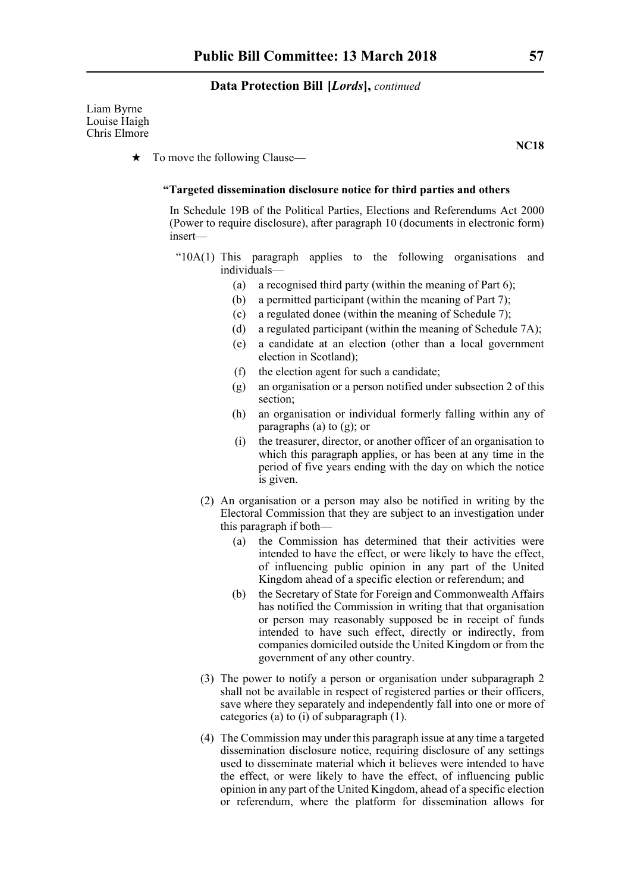Liam Byrne Louise Haigh Chris Elmore

**NC18**

 $\star$  To move the following Clause—

# **"Targeted dissemination disclosure notice for third parties and others**

In Schedule 19B of the Political Parties, Elections and Referendums Act 2000 (Power to require disclosure), after paragraph 10 (documents in electronic form) insert—

- "10A(1) This paragraph applies to the following organisations and individuals—
	- (a) a recognised third party (within the meaning of Part 6);
	- (b) a permitted participant (within the meaning of Part 7);
	- (c) a regulated donee (within the meaning of Schedule 7);
	- (d) a regulated participant (within the meaning of Schedule 7A);
	- (e) a candidate at an election (other than a local government election in Scotland);
	- (f) the election agent for such a candidate;
	- (g) an organisation or a person notified under subsection 2 of this section;
	- (h) an organisation or individual formerly falling within any of paragraphs (a) to (g); or
	- (i) the treasurer, director, or another officer of an organisation to which this paragraph applies, or has been at any time in the period of five years ending with the day on which the notice is given.
	- (2) An organisation or a person may also be notified in writing by the Electoral Commission that they are subject to an investigation under this paragraph if both—
		- (a) the Commission has determined that their activities were intended to have the effect, or were likely to have the effect, of influencing public opinion in any part of the United Kingdom ahead of a specific election or referendum; and
		- (b) the Secretary of State for Foreign and Commonwealth Affairs has notified the Commission in writing that that organisation or person may reasonably supposed be in receipt of funds intended to have such effect, directly or indirectly, from companies domiciled outside the United Kingdom or from the government of any other country.
	- (3) The power to notify a person or organisation under subparagraph 2 shall not be available in respect of registered parties or their officers, save where they separately and independently fall into one or more of categories (a) to (i) of subparagraph (1).
	- (4) The Commission may under this paragraph issue at any time a targeted dissemination disclosure notice, requiring disclosure of any settings used to disseminate material which it believes were intended to have the effect, or were likely to have the effect, of influencing public opinion in any part of the United Kingdom, ahead of a specific election or referendum, where the platform for dissemination allows for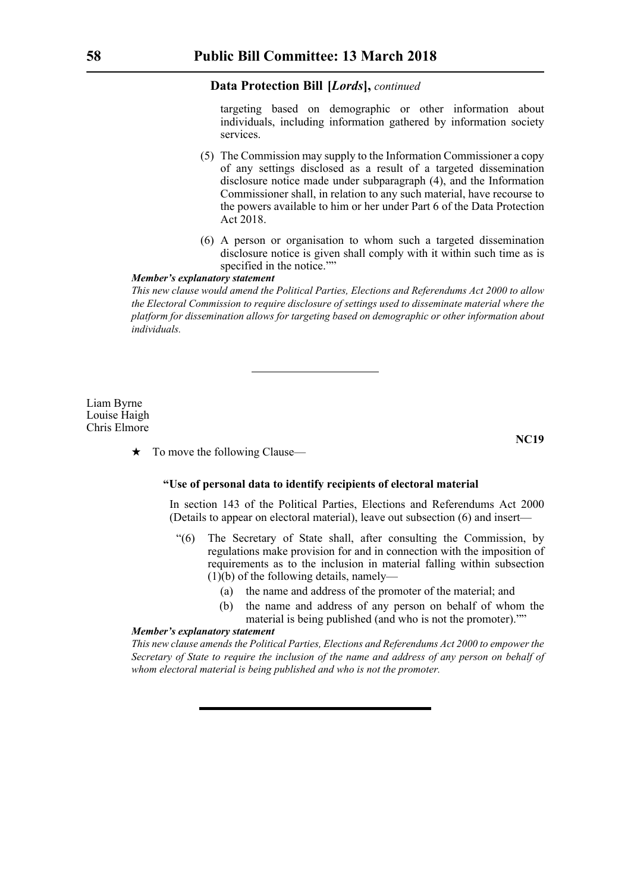targeting based on demographic or other information about individuals, including information gathered by information society services.

- (5) The Commission may supply to the Information Commissioner a copy of any settings disclosed as a result of a targeted dissemination disclosure notice made under subparagraph (4), and the Information Commissioner shall, in relation to any such material, have recourse to the powers available to him or her under Part 6 of the Data Protection Act 2018.
- (6) A person or organisation to whom such a targeted dissemination disclosure notice is given shall comply with it within such time as is specified in the notice.""

#### *Member's explanatory statement*

*This new clause would amend the Political Parties, Elections and Referendums Act 2000 to allow the Electoral Commission to require disclosure of settings used to disseminate material where the platform for dissemination allows for targeting based on demographic or other information about individuals.*

Liam Byrne Louise Haigh Chris Elmore

**NC19**

 $\star$  To move the following Clause—

#### **"Use of personal data to identify recipients of electoral material**

In section 143 of the Political Parties, Elections and Referendums Act 2000 (Details to appear on electoral material), leave out subsection (6) and insert—

- "(6) The Secretary of State shall, after consulting the Commission, by regulations make provision for and in connection with the imposition of requirements as to the inclusion in material falling within subsection (1)(b) of the following details, namely—
	- (a) the name and address of the promoter of the material; and
	- (b) the name and address of any person on behalf of whom the material is being published (and who is not the promoter).""

# *Member's explanatory statement*

*This new clause amends the Political Parties, Elections and Referendums Act 2000 to empower the Secretary of State to require the inclusion of the name and address of any person on behalf of whom electoral material is being published and who is not the promoter.*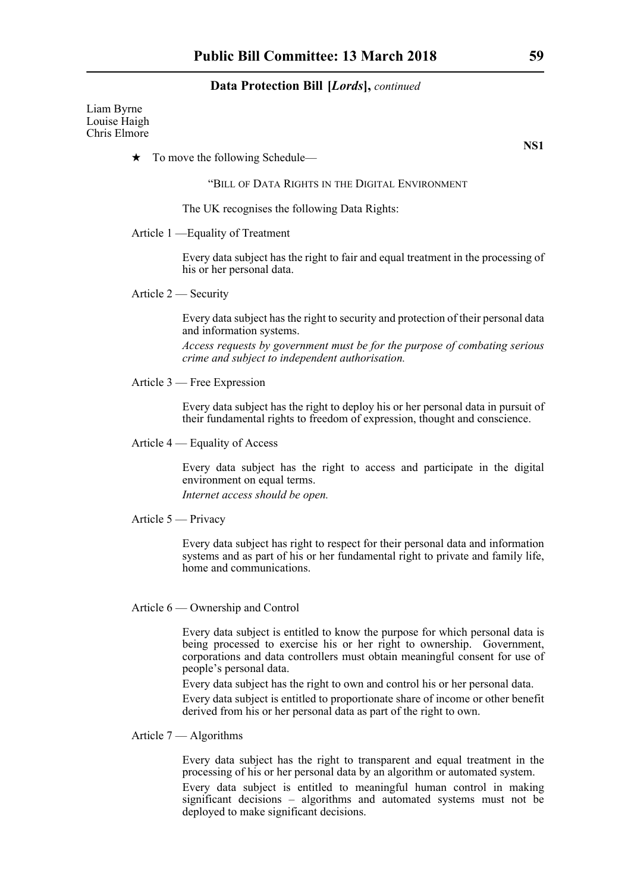Liam Byrne Louise Haigh Chris Elmore

 $\star$  To move the following Schedule—

"BILL OF DATA RIGHTS IN THE DIGITAL ENVIRONMENT

The UK recognises the following Data Rights:

#### Article 1 —Equality of Treatment

Every data subject has the right to fair and equal treatment in the processing of his or her personal data.

Article 2 — Security

Every data subject has the right to security and protection of their personal data and information systems.

*Access requests by government must be for the purpose of combating serious crime and subject to independent authorisation.*

Article 3 — Free Expression

Every data subject has the right to deploy his or her personal data in pursuit of their fundamental rights to freedom of expression, thought and conscience.

Article 4 — Equality of Access

Every data subject has the right to access and participate in the digital environment on equal terms.

*Internet access should be open.*

Article 5 — Privacy

Every data subject has right to respect for their personal data and information systems and as part of his or her fundamental right to private and family life, home and communications.

Article 6 — Ownership and Control

Every data subject is entitled to know the purpose for which personal data is being processed to exercise his or her right to ownership. Government, corporations and data controllers must obtain meaningful consent for use of people's personal data.

Every data subject has the right to own and control his or her personal data. Every data subject is entitled to proportionate share of income or other benefit derived from his or her personal data as part of the right to own.

# Article 7 — Algorithms

Every data subject has the right to transparent and equal treatment in the processing of his or her personal data by an algorithm or automated system. Every data subject is entitled to meaningful human control in making significant decisions – algorithms and automated systems must not be deployed to make significant decisions.

**NS1**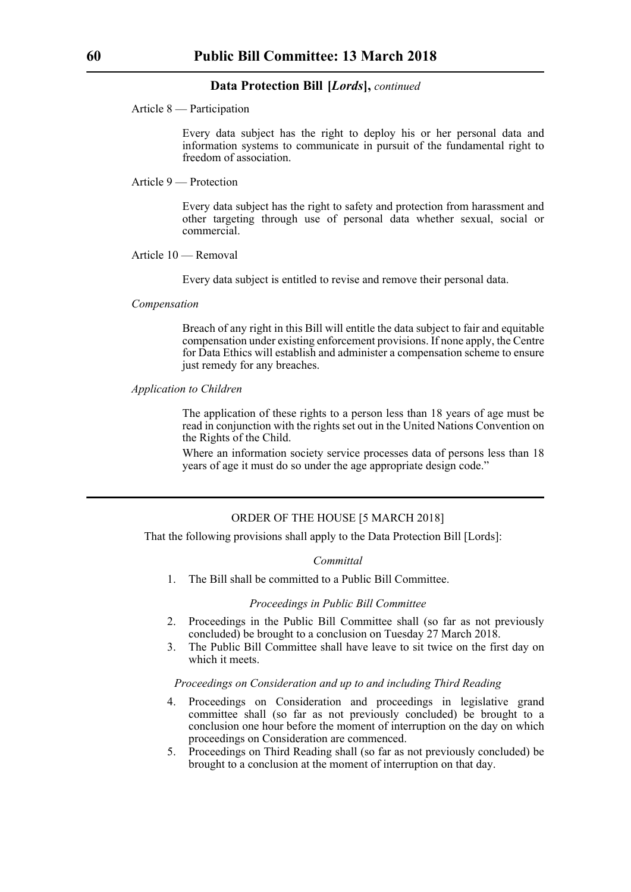Article 8 — Participation

Every data subject has the right to deploy his or her personal data and information systems to communicate in pursuit of the fundamental right to freedom of association.

Article 9 — Protection

Every data subject has the right to safety and protection from harassment and other targeting through use of personal data whether sexual, social or commercial.

#### Article 10 — Removal

Every data subject is entitled to revise and remove their personal data.

#### *Compensation*

Breach of any right in this Bill will entitle the data subject to fair and equitable compensation under existing enforcement provisions. If none apply, the Centre for Data Ethics will establish and administer a compensation scheme to ensure just remedy for any breaches.

#### *Application to Children*

The application of these rights to a person less than 18 years of age must be read in conjunction with the rights set out in the United Nations Convention on the Rights of the Child.

Where an information society service processes data of persons less than 18 years of age it must do so under the age appropriate design code."

# ORDER OF THE HOUSE [5 MARCH 2018]

That the following provisions shall apply to the Data Protection Bill [Lords]:

#### *Committal*

1. The Bill shall be committed to a Public Bill Committee.

#### *Proceedings in Public Bill Committee*

- 2. Proceedings in the Public Bill Committee shall (so far as not previously concluded) be brought to a conclusion on Tuesday 27 March 2018.
- 3. The Public Bill Committee shall have leave to sit twice on the first day on which it meets.

#### *Proceedings on Consideration and up to and including Third Reading*

- 4. Proceedings on Consideration and proceedings in legislative grand committee shall (so far as not previously concluded) be brought to a conclusion one hour before the moment of interruption on the day on which proceedings on Consideration are commenced.
- 5. Proceedings on Third Reading shall (so far as not previously concluded) be brought to a conclusion at the moment of interruption on that day.